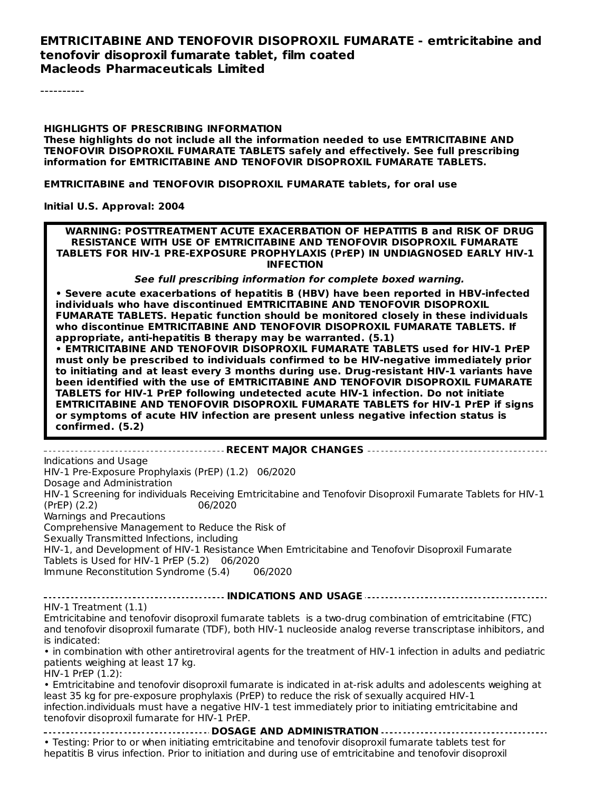#### **EMTRICITABINE AND TENOFOVIR DISOPROXIL FUMARATE - emtricitabine and tenofovir disoproxil fumarate tablet, film coated Macleods Pharmaceuticals Limited**

----------

#### **HIGHLIGHTS OF PRESCRIBING INFORMATION These highlights do not include all the information needed to use EMTRICITABINE AND TENOFOVIR DISOPROXIL FUMARATE TABLETS safely and effectively. See full prescribing information for EMTRICITABINE AND TENOFOVIR DISOPROXIL FUMARATE TABLETS.**

**EMTRICITABINE and TENOFOVIR DISOPROXIL FUMARATE tablets, for oral use**

#### **Initial U.S. Approval: 2004**

**WARNING: POSTTREATMENT ACUTE EXACERBATION OF HEPATITIS B and RISK OF DRUG RESISTANCE WITH USE OF EMTRICITABINE AND TENOFOVIR DISOPROXIL FUMARATE TABLETS FOR HIV-1 PRE-EXPOSURE PROPHYLAXIS (PrEP) IN UNDIAGNOSED EARLY HIV-1 INFECTION**

**See full prescribing information for complete boxed warning.**

**• Severe acute exacerbations of hepatitis B (HBV) have been reported in HBV-infected individuals who have discontinued EMTRICITABINE AND TENOFOVIR DISOPROXIL FUMARATE TABLETS. Hepatic function should be monitored closely in these individuals who discontinue EMTRICITABINE AND TENOFOVIR DISOPROXIL FUMARATE TABLETS. If appropriate, anti-hepatitis B therapy may be warranted. (5.1)**

**• EMTRICITABINE AND TENOFOVIR DISOPROXIL FUMARATE TABLETS used for HIV-1 PrEP must only be prescribed to individuals confirmed to be HIV-negative immediately prior to initiating and at least every 3 months during use. Drug-resistant HIV-1 variants have been identified with the use of EMTRICITABINE AND TENOFOVIR DISOPROXIL FUMARATE TABLETS for HIV-1 PrEP following undetected acute HIV-1 infection. Do not initiate EMTRICITABINE AND TENOFOVIR DISOPROXIL FUMARATE TABLETS for HIV-1 PrEP if signs or symptoms of acute HIV infection are present unless negative infection status is confirmed. (5.2)**

**RECENT MAJOR CHANGES** Indications and Usage HIV-1 Pre-Exposure Prophylaxis (PrEP) (1.2) 06/2020 Dosage and Administration HIV-1 Screening for individuals Receiving Emtricitabine and Tenofovir Disoproxil Fumarate Tablets for HIV-1 (PrEP) (2.2) 06/2020 Warnings and Precautions Comprehensive Management to Reduce the Risk of Sexually Transmitted Infections, including HIV-1, and Development of HIV-1 Resistance When Emtricitabine and Tenofovir Disoproxil Fumarate Tablets is Used for HIV-1 PrEP (5.2) 06/2020 Immune Reconstitution Syndrome (5.4) 06/2020

**INDICATIONS AND USAGE** HIV-1 Treatment (1.1)

Emtricitabine and tenofovir disoproxil fumarate tablets is a two-drug combination of emtricitabine (FTC) and tenofovir disoproxil fumarate (TDF), both HIV-1 nucleoside analog reverse transcriptase inhibitors, and is indicated:

• in combination with other antiretroviral agents for the treatment of HIV-1 infection in adults and pediatric patients weighing at least 17 kg.

HIV-1 PrEP (1.2):

• Emtricitabine and tenofovir disoproxil fumarate is indicated in at-risk adults and adolescents weighing at least 35 kg for pre-exposure prophylaxis (PrEP) to reduce the risk of sexually acquired HIV-1 infection.individuals must have a negative HIV-1 test immediately prior to initiating emtricitabine and tenofovir disoproxil fumarate for HIV-1 PrEP.

**DOSAGE AND ADMINISTRATION**

• Testing: Prior to or when initiating emtricitabine and tenofovir disoproxil fumarate tablets test for hepatitis B virus infection. Prior to initiation and during use of emtricitabine and tenofovir disoproxil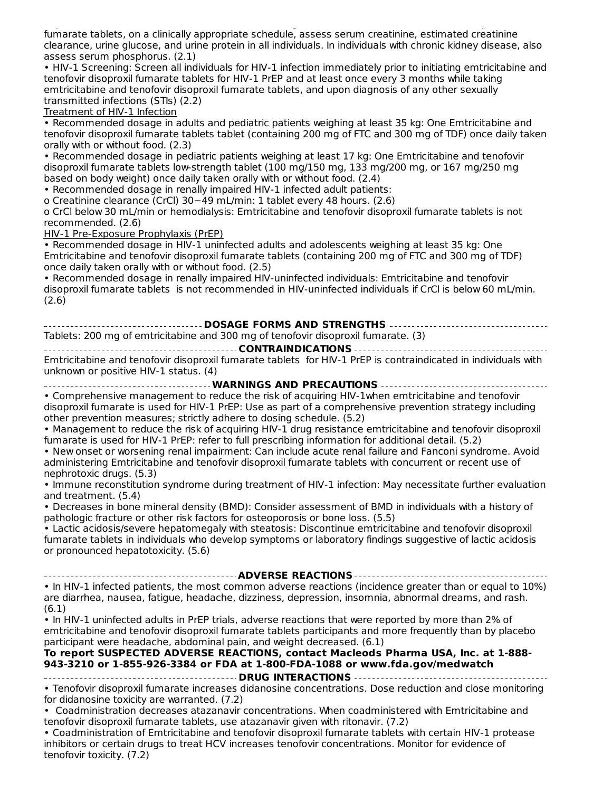hepatitis B virus infection. Prior to initiation and during use of emtricitabine and tenofovir disoproxil fumarate tablets, on a clinically appropriate schedule, assess serum creatinine, estimated creatinine clearance, urine glucose, and urine protein in all individuals. In individuals with chronic kidney disease, also assess serum phosphorus. (2.1)

• HIV-1 Screening: Screen all individuals for HIV-1 infection immediately prior to initiating emtricitabine and tenofovir disoproxil fumarate tablets for HIV-1 PrEP and at least once every 3 months while taking emtricitabine and tenofovir disoproxil fumarate tablets, and upon diagnosis of any other sexually transmitted infections (STIs) (2.2)

Treatment of HIV-1 Infection

• Recommended dosage in adults and pediatric patients weighing at least 35 kg: One Emtricitabine and tenofovir disoproxil fumarate tablets tablet (containing 200 mg of FTC and 300 mg of TDF) once daily taken orally with or without food. (2.3)

• Recommended dosage in pediatric patients weighing at least 17 kg: One Emtricitabine and tenofovir disoproxil fumarate tablets low-strength tablet (100 mg/150 mg, 133 mg/200 mg, or 167 mg/250 mg based on body weight) once daily taken orally with or without food. (2.4)

• Recommended dosage in renally impaired HIV-1 infected adult patients:

o Creatinine clearance (CrCl) 30−49 mL/min: 1 tablet every 48 hours. (2.6)

o CrCl below 30 mL/min or hemodialysis: Emtricitabine and tenofovir disoproxil fumarate tablets is not recommended. (2.6)

HIV-1 Pre-Exposure Prophylaxis (PrEP)

• Recommended dosage in HIV-1 uninfected adults and adolescents weighing at least 35 kg: One Emtricitabine and tenofovir disoproxil fumarate tablets (containing 200 mg of FTC and 300 mg of TDF) once daily taken orally with or without food. (2.5)

• Recommended dosage in renally impaired HIV-uninfected individuals: Emtricitabine and tenofovir disoproxil fumarate tablets is not recommended in HIV-uninfected individuals if CrCl is below 60 mL/min. (2.6)

**DOSAGE FORMS AND STRENGTHS** Tablets: 200 mg of emtricitabine and 300 mg of tenofovir disoproxil fumarate. (3) **CONTRAINDICATIONS**

Emtricitabine and tenofovir disoproxil fumarate tablets for HIV-1 PrEP is contraindicated in individuals with unknown or positive HIV-1 status. (4)

**WARNINGS AND PRECAUTIONS** • Comprehensive management to reduce the risk of acquiring HIV-1when emtricitabine and tenofovir disoproxil fumarate is used for HIV-1 PrEP: Use as part of a comprehensive prevention strategy including other prevention measures; strictly adhere to dosing schedule. (5.2)

• Management to reduce the risk of acquiring HIV-1 drug resistance emtricitabine and tenofovir disoproxil fumarate is used for HIV-1 PrEP: refer to full prescribing information for additional detail. (5.2)

• New onset or worsening renal impairment: Can include acute renal failure and Fanconi syndrome. Avoid administering Emtricitabine and tenofovir disoproxil fumarate tablets with concurrent or recent use of nephrotoxic drugs. (5.3)

• Immune reconstitution syndrome during treatment of HIV-1 infection: May necessitate further evaluation and treatment. (5.4)

• Decreases in bone mineral density (BMD): Consider assessment of BMD in individuals with a history of pathologic fracture or other risk factors for osteoporosis or bone loss. (5.5)

• Lactic acidosis/severe hepatomegaly with steatosis: Discontinue emtricitabine and tenofovir disoproxil fumarate tablets in individuals who develop symptoms or laboratory findings suggestive of lactic acidosis or pronounced hepatotoxicity. (5.6)

**ADVERSE REACTIONS** • In HIV-1 infected patients, the most common adverse reactions (incidence greater than or equal to 10%) are diarrhea, nausea, fatigue, headache, dizziness, depression, insomnia, abnormal dreams, and rash. (6.1)

• In HIV-1 uninfected adults in PrEP trials, adverse reactions that were reported by more than 2% of emtricitabine and tenofovir disoproxil fumarate tablets participants and more frequently than by placebo participant were headache, abdominal pain, and weight decreased. (6.1)

#### **To report SUSPECTED ADVERSE REACTIONS, contact Macleods Pharma USA, Inc. at 1-888- 943-3210 or 1-855-926-3384 or FDA at 1-800-FDA-1088 or www.fda.gov/medwatch**

**DRUG INTERACTIONS** • Tenofovir disoproxil fumarate increases didanosine concentrations. Dose reduction and close monitoring for didanosine toxicity are warranted. (7.2)

• Coadministration decreases atazanavir concentrations. When coadministered with Emtricitabine and tenofovir disoproxil fumarate tablets, use atazanavir given with ritonavir. (7.2)

• Coadministration of Emtricitabine and tenofovir disoproxil fumarate tablets with certain HIV-1 protease inhibitors or certain drugs to treat HCV increases tenofovir concentrations. Monitor for evidence of tenofovir toxicity. (7.2)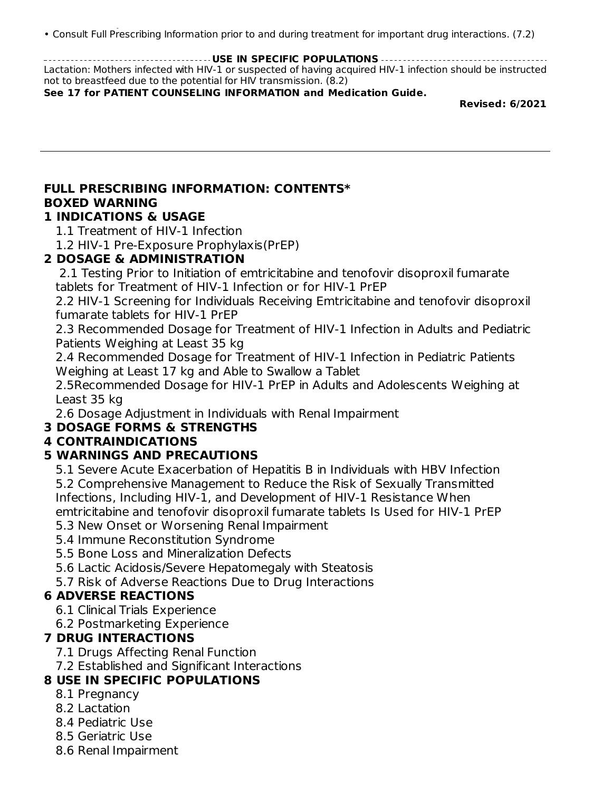tenofovir toxicity. (7.2) • Consult Full Prescribing Information prior to and during treatment for important drug interactions. (7.2)

**USE IN SPECIFIC POPULATIONS** Lactation: Mothers infected with HIV-1 or suspected of having acquired HIV-1 infection should be instructed not to breastfeed due to the potential for HIV transmission. (8.2)

**See 17 for PATIENT COUNSELING INFORMATION and Medication Guide.**

**Revised: 6/2021**

# **FULL PRESCRIBING INFORMATION: CONTENTS\* BOXED WARNING**

## **1 INDICATIONS & USAGE**

- 1.1 Treatment of HIV-1 Infection
- 1.2 HIV-1 Pre-Exposure Prophylaxis(PrEP)

## **2 DOSAGE & ADMINISTRATION**

2.1 Testing Prior to Initiation of emtricitabine and tenofovir disoproxil fumarate tablets for Treatment of HIV-1 Infection or for HIV-1 PrEP

2.2 HIV-1 Screening for Individuals Receiving Emtricitabine and tenofovir disoproxil fumarate tablets for HIV-1 PrEP

2.3 Recommended Dosage for Treatment of HIV-1 Infection in Adults and Pediatric Patients Weighing at Least 35 kg

2.4 Recommended Dosage for Treatment of HIV-1 Infection in Pediatric Patients Weighing at Least 17 kg and Able to Swallow a Tablet

2.5Recommended Dosage for HIV-1 PrEP in Adults and Adolescents Weighing at Least 35 kg

2.6 Dosage Adjustment in Individuals with Renal Impairment

## **3 DOSAGE FORMS & STRENGTHS**

## **4 CONTRAINDICATIONS**

## **5 WARNINGS AND PRECAUTIONS**

5.1 Severe Acute Exacerbation of Hepatitis B in Individuals with HBV Infection 5.2 Comprehensive Management to Reduce the Risk of Sexually Transmitted Infections, Including HIV-1, and Development of HIV-1 Resistance When emtricitabine and tenofovir disoproxil fumarate tablets Is Used for HIV-1 PrEP 5.3 New Onset or Worsening Renal Impairment

- 5.4 Immune Reconstitution Syndrome
- 5.5 Bone Loss and Mineralization Defects
- 5.6 Lactic Acidosis/Severe Hepatomegaly with Steatosis
- 5.7 Risk of Adverse Reactions Due to Drug Interactions

## **6 ADVERSE REACTIONS**

- 6.1 Clinical Trials Experience
- 6.2 Postmarketing Experience

## **7 DRUG INTERACTIONS**

- 7.1 Drugs Affecting Renal Function
- 7.2 Established and Significant Interactions

## **8 USE IN SPECIFIC POPULATIONS**

- 8.1 Pregnancy
- 8.2 Lactation
- 8.4 Pediatric Use
- 8.5 Geriatric Use
- 8.6 Renal Impairment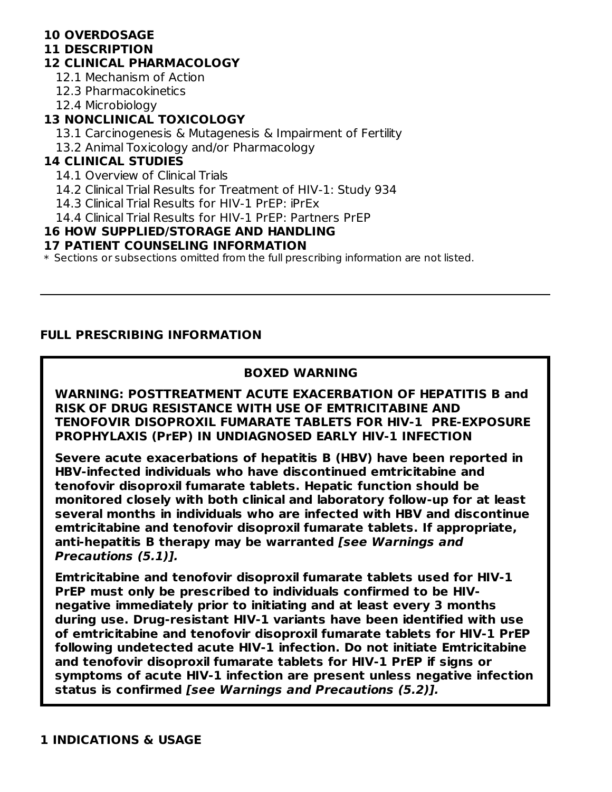## **10 OVERDOSAGE**

#### **11 DESCRIPTION**

### **12 CLINICAL PHARMACOLOGY**

- 12.1 Mechanism of Action
- 12.3 Pharmacokinetics
- 12.4 Microbiology

## **13 NONCLINICAL TOXICOLOGY**

- 13.1 Carcinogenesis & Mutagenesis & Impairment of Fertility
- 13.2 Animal Toxicology and/or Pharmacology

### **14 CLINICAL STUDIES**

- 14.1 Overview of Clinical Trials
- 14.2 Clinical Trial Results for Treatment of HIV-1: Study 934
- 14.3 Clinical Trial Results for HIV-1 PrEP: iPrEx
- 14.4 Clinical Trial Results for HIV-1 PrEP: Partners PrEP

### **16 HOW SUPPLIED/STORAGE AND HANDLING**

#### **17 PATIENT COUNSELING INFORMATION**

 $\ast$  Sections or subsections omitted from the full prescribing information are not listed.

### **FULL PRESCRIBING INFORMATION**

### **BOXED WARNING**

#### **WARNING: POSTTREATMENT ACUTE EXACERBATION OF HEPATITIS B and RISK OF DRUG RESISTANCE WITH USE OF EMTRICITABINE AND TENOFOVIR DISOPROXIL FUMARATE TABLETS FOR HIV-1 PRE-EXPOSURE PROPHYLAXIS (PrEP) IN UNDIAGNOSED EARLY HIV-1 INFECTION**

**Severe acute exacerbations of hepatitis B (HBV) have been reported in HBV-infected individuals who have discontinued emtricitabine and tenofovir disoproxil fumarate tablets. Hepatic function should be monitored closely with both clinical and laboratory follow-up for at least several months in individuals who are infected with HBV and discontinue emtricitabine and tenofovir disoproxil fumarate tablets. If appropriate, anti-hepatitis B therapy may be warranted [see Warnings and Precautions (5.1)].**

**Emtricitabine and tenofovir disoproxil fumarate tablets used for HIV-1 PrEP must only be prescribed to individuals confirmed to be HIVnegative immediately prior to initiating and at least every 3 months during use. Drug-resistant HIV-1 variants have been identified with use of emtricitabine and tenofovir disoproxil fumarate tablets for HIV-1 PrEP following undetected acute HIV-1 infection. Do not initiate Emtricitabine and tenofovir disoproxil fumarate tablets for HIV-1 PrEP if signs or symptoms of acute HIV-1 infection are present unless negative infection status is confirmed [see Warnings and Precautions (5.2)].**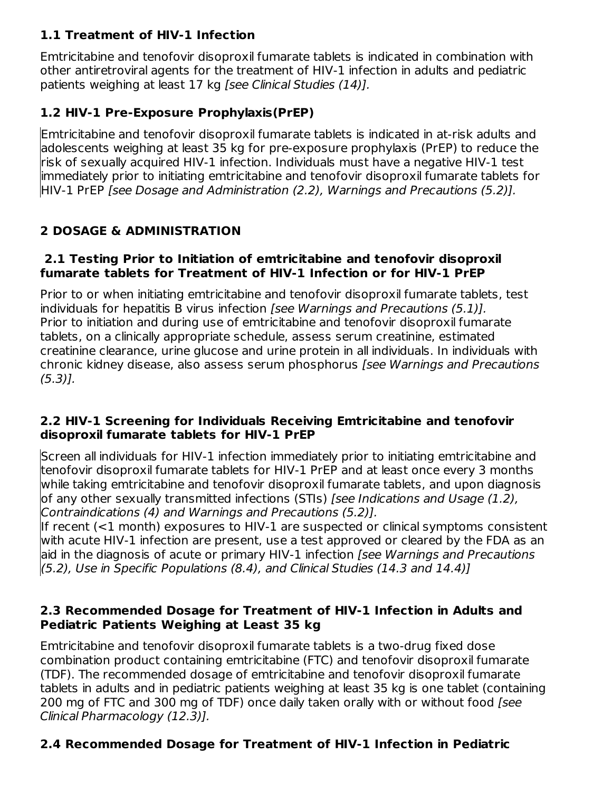## **1.1 Treatment of HIV-1 Infection**

Emtricitabine and tenofovir disoproxil fumarate tablets is indicated in combination with other antiretroviral agents for the treatment of HIV-1 infection in adults and pediatric patients weighing at least 17 kg [see Clinical Studies (14)].

## **1.2 HIV-1 Pre-Exposure Prophylaxis(PrEP)**

Emtricitabine and tenofovir disoproxil fumarate tablets is indicated in at-risk adults and adolescents weighing at least 35 kg for pre-exposure prophylaxis (PrEP) to reduce the risk of sexually acquired HIV-1 infection. Individuals must have a negative HIV-1 test immediately prior to initiating emtricitabine and tenofovir disoproxil fumarate tablets for HIV-1 PrEP [see Dosage and Administration (2.2), Warnings and Precautions (5.2)].

## **2 DOSAGE & ADMINISTRATION**

#### **2.1 Testing Prior to Initiation of emtricitabine and tenofovir disoproxil fumarate tablets for Treatment of HIV-1 Infection or for HIV-1 PrEP**

Prior to or when initiating emtricitabine and tenofovir disoproxil fumarate tablets, test individuals for hepatitis B virus infection [see Warnings and Precautions (5.1)]. Prior to initiation and during use of emtricitabine and tenofovir disoproxil fumarate tablets, on a clinically appropriate schedule, assess serum creatinine, estimated creatinine clearance, urine glucose and urine protein in all individuals. In individuals with chronic kidney disease, also assess serum phosphorus [see Warnings and Precautions  $(5.3)$ ].

#### **2.2 HIV-1 Screening for Individuals Receiving Emtricitabine and tenofovir disoproxil fumarate tablets for HIV-1 PrEP**

Screen all individuals for HIV-1 infection immediately prior to initiating emtricitabine and tenofovir disoproxil fumarate tablets for HIV-1 PrEP and at least once every 3 months while taking emtricitabine and tenofovir disoproxil fumarate tablets, and upon diagnosis of any other sexually transmitted infections (STIs) [see Indications and Usage (1.2), Contraindications (4) and Warnings and Precautions (5.2)].

If recent (<1 month) exposures to HIV-1 are suspected or clinical symptoms consistent with acute HIV-1 infection are present, use a test approved or cleared by the FDA as an aid in the diagnosis of acute or primary HIV-1 infection [see Warnings and Precautions (5.2), Use in Specific Populations (8.4), and Clinical Studies (14.3 and 14.4)]

#### **2.3 Recommended Dosage for Treatment of HIV-1 Infection in Adults and Pediatric Patients Weighing at Least 35 kg**

Emtricitabine and tenofovir disoproxil fumarate tablets is a two-drug fixed dose combination product containing emtricitabine (FTC) and tenofovir disoproxil fumarate (TDF). The recommended dosage of emtricitabine and tenofovir disoproxil fumarate tablets in adults and in pediatric patients weighing at least 35 kg is one tablet (containing 200 mg of FTC and 300 mg of TDF) once daily taken orally with or without food [see Clinical Pharmacology (12.3)].

## **2.4 Recommended Dosage for Treatment of HIV-1 Infection in Pediatric**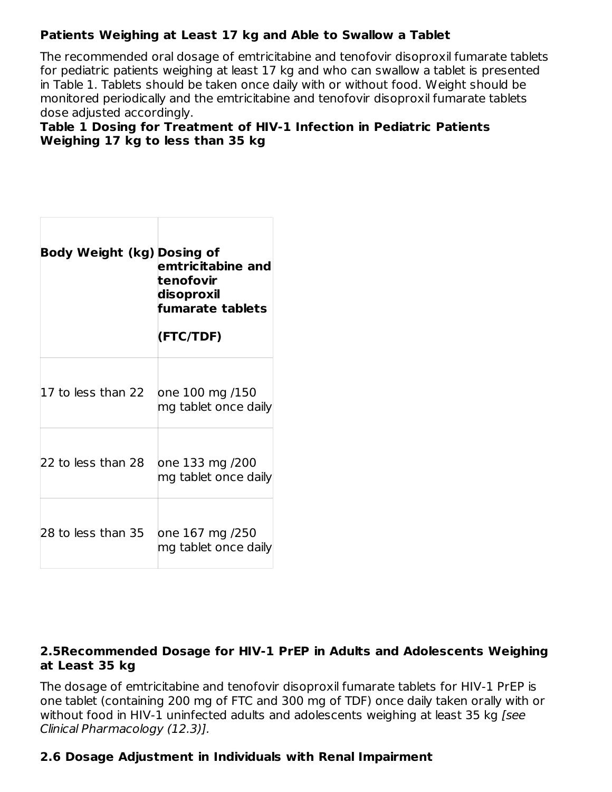## **Patients Weighing at Least 17 kg and Able to Swallow a Tablet**

The recommended oral dosage of emtricitabine and tenofovir disoproxil fumarate tablets for pediatric patients weighing at least 17 kg and who can swallow a tablet is presented in Table 1. Tablets should be taken once daily with or without food. Weight should be monitored periodically and the emtricitabine and tenofovir disoproxil fumarate tablets dose adjusted accordingly.

#### **Table 1 Dosing for Treatment of HIV-1 Infection in Pediatric Patients Weighing 17 kg to less than 35 kg**

| Body Weight (kg) Dosing of | emtricitabine and<br>tenofovir<br>disoproxil<br>fumarate tablets<br>(FTC/TDF) |
|----------------------------|-------------------------------------------------------------------------------|
|                            |                                                                               |
| 17 to less than 22         | one 100 mg /150<br>mg tablet once daily                                       |
| 22 to less than 28         | one 133 mg /200<br>mg tablet once daily                                       |
| 28 to less than 35         | one 167 mg /250<br>mg tablet once daily                                       |

### **2.5Recommended Dosage for HIV-1 PrEP in Adults and Adolescents Weighing at Least 35 kg**

The dosage of emtricitabine and tenofovir disoproxil fumarate tablets for HIV-1 PrEP is one tablet (containing 200 mg of FTC and 300 mg of TDF) once daily taken orally with or without food in HIV-1 uninfected adults and adolescents weighing at least 35 kg [see Clinical Pharmacology (12.3)].

### **2.6 Dosage Adjustment in Individuals with Renal Impairment**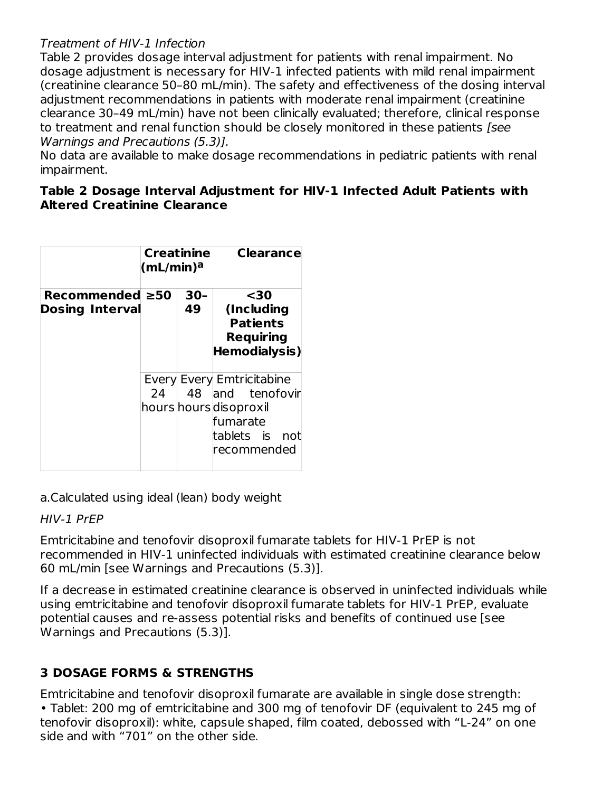### Treatment of HIV-1 Infection

Table 2 provides dosage interval adjustment for patients with renal impairment. No dosage adjustment is necessary for HIV-1 infected patients with mild renal impairment (creatinine clearance 50–80 mL/min). The safety and effectiveness of the dosing interval adjustment recommendations in patients with moderate renal impairment (creatinine clearance 30–49 mL/min) have not been clinically evaluated; therefore, clinical response to treatment and renal function should be closely monitored in these patients [see Warnings and Precautions (5.3)].

No data are available to make dosage recommendations in pediatric patients with renal impairment.

#### **Table 2 Dosage Interval Adjustment for HIV-1 Infected Adult Patients with Altered Creatinine Clearance**

|                                                 | Creatinine<br>(mL/min) <sup>a</sup> |              | <b>Clearance</b>                                                                                                         |
|-------------------------------------------------|-------------------------------------|--------------|--------------------------------------------------------------------------------------------------------------------------|
| Recommended $\geq 50$<br><b>Dosing Interval</b> |                                     | $30 -$<br>49 | $30$<br>(Including<br><b>Patients</b><br><b>Requiring</b><br>Hemodialysis)                                               |
|                                                 | 24                                  |              | Every Every Emtricitabine<br>48 and tenofovir<br>hours hours disoproxil<br>fumarate<br>tablets is<br>not<br>lrecommended |

a.Calculated using ideal (lean) body weight

### HIV-1 PrEP

Emtricitabine and tenofovir disoproxil fumarate tablets for HIV-1 PrEP is not recommended in HIV-1 uninfected individuals with estimated creatinine clearance below 60 mL/min [see Warnings and Precautions (5.3)].

If a decrease in estimated creatinine clearance is observed in uninfected individuals while using emtricitabine and tenofovir disoproxil fumarate tablets for HIV-1 PrEP, evaluate potential causes and re-assess potential risks and benefits of continued use [see Warnings and Precautions (5.3)].

# **3 DOSAGE FORMS & STRENGTHS**

Emtricitabine and tenofovir disoproxil fumarate are available in single dose strength: • Tablet: 200 mg of emtricitabine and 300 mg of tenofovir DF (equivalent to 245 mg of tenofovir disoproxil): white, capsule shaped, film coated, debossed with "L-24" on one side and with "701" on the other side.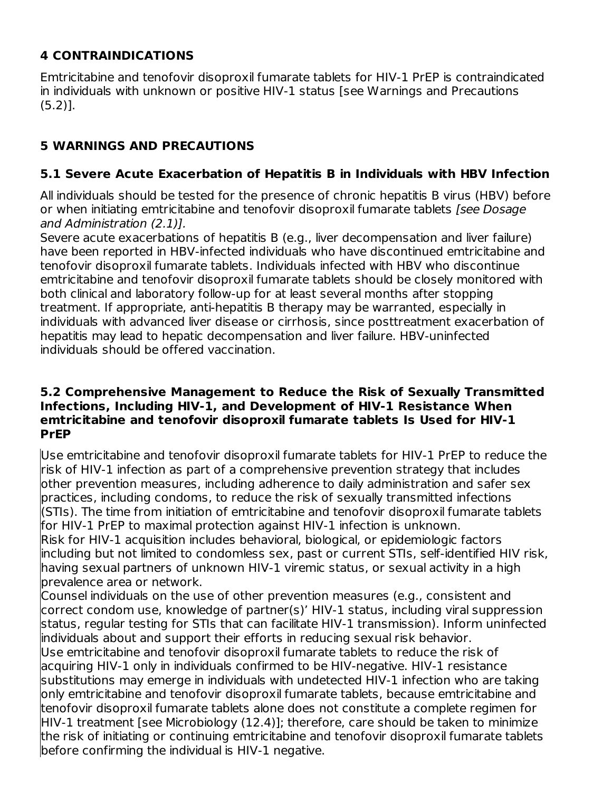## **4 CONTRAINDICATIONS**

Emtricitabine and tenofovir disoproxil fumarate tablets for HIV-1 PrEP is contraindicated in individuals with unknown or positive HIV-1 status [see Warnings and Precautions (5.2)].

## **5 WARNINGS AND PRECAUTIONS**

## **5.1 Severe Acute Exacerbation of Hepatitis B in Individuals with HBV Infection**

All individuals should be tested for the presence of chronic hepatitis B virus (HBV) before or when initiating emtricitabine and tenofovir disoproxil fumarate tablets [see Dosage] and Administration (2.1)].

Severe acute exacerbations of hepatitis B (e.g., liver decompensation and liver failure) have been reported in HBV-infected individuals who have discontinued emtricitabine and tenofovir disoproxil fumarate tablets. Individuals infected with HBV who discontinue emtricitabine and tenofovir disoproxil fumarate tablets should be closely monitored with both clinical and laboratory follow-up for at least several months after stopping treatment. If appropriate, anti-hepatitis B therapy may be warranted, especially in individuals with advanced liver disease or cirrhosis, since posttreatment exacerbation of hepatitis may lead to hepatic decompensation and liver failure. HBV-uninfected individuals should be offered vaccination.

#### **5.2 Comprehensive Management to Reduce the Risk of Sexually Transmitted Infections, Including HIV-1, and Development of HIV-1 Resistance When emtricitabine and tenofovir disoproxil fumarate tablets Is Used for HIV-1 PrEP**

Use emtricitabine and tenofovir disoproxil fumarate tablets for HIV-1 PrEP to reduce the risk of HIV-1 infection as part of a comprehensive prevention strategy that includes other prevention measures, including adherence to daily administration and safer sex practices, including condoms, to reduce the risk of sexually transmitted infections (STIs). The time from initiation of emtricitabine and tenofovir disoproxil fumarate tablets for HIV-1 PrEP to maximal protection against HIV-1 infection is unknown. Risk for HIV-1 acquisition includes behavioral, biological, or epidemiologic factors including but not limited to condomless sex, past or current STIs, self-identified HIV risk, having sexual partners of unknown HIV-1 viremic status, or sexual activity in a high prevalence area or network.

Counsel individuals on the use of other prevention measures (e.g., consistent and correct condom use, knowledge of partner(s)' HIV-1 status, including viral suppression status, regular testing for STIs that can facilitate HIV-1 transmission). Inform uninfected individuals about and support their efforts in reducing sexual risk behavior. Use emtricitabine and tenofovir disoproxil fumarate tablets to reduce the risk of acquiring HIV-1 only in individuals confirmed to be HIV-negative. HIV-1 resistance substitutions may emerge in individuals with undetected HIV-1 infection who are taking only emtricitabine and tenofovir disoproxil fumarate tablets, because emtricitabine and tenofovir disoproxil fumarate tablets alone does not constitute a complete regimen for HIV-1 treatment [see Microbiology (12.4)]; therefore, care should be taken to minimize the risk of initiating or continuing emtricitabine and tenofovir disoproxil fumarate tablets before confirming the individual is HIV-1 negative.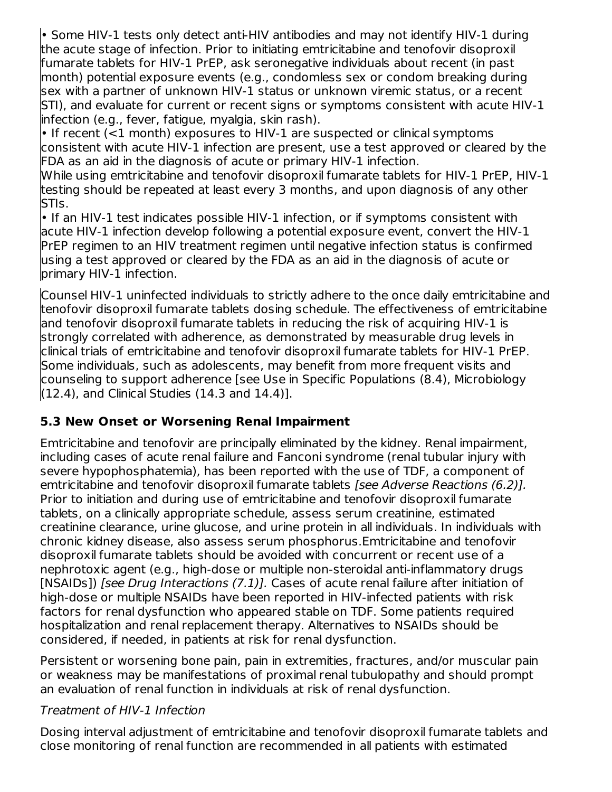• Some HIV-1 tests only detect anti-HIV antibodies and may not identify HIV-1 during the acute stage of infection. Prior to initiating emtricitabine and tenofovir disoproxil fumarate tablets for HIV-1 PrEP, ask seronegative individuals about recent (in past month) potential exposure events (e.g., condomless sex or condom breaking during sex with a partner of unknown HIV-1 status or unknown viremic status, or a recent STI), and evaluate for current or recent signs or symptoms consistent with acute HIV-1 infection (e.g., fever, fatigue, myalgia, skin rash).

 $\cdot$  If recent (<1 month) exposures to HIV-1 are suspected or clinical symptoms consistent with acute HIV-1 infection are present, use a test approved or cleared by the FDA as an aid in the diagnosis of acute or primary HIV-1 infection.

While using emtricitabine and tenofovir disoproxil fumarate tablets for HIV-1 PrEP, HIV-1 testing should be repeated at least every 3 months, and upon diagnosis of any other STIs.

• If an HIV-1 test indicates possible HIV-1 infection, or if symptoms consistent with acute HIV-1 infection develop following a potential exposure event, convert the HIV-1 PrEP regimen to an HIV treatment regimen until negative infection status is confirmed using a test approved or cleared by the FDA as an aid in the diagnosis of acute or primary HIV-1 infection.

Counsel HIV-1 uninfected individuals to strictly adhere to the once daily emtricitabine and tenofovir disoproxil fumarate tablets dosing schedule. The effectiveness of emtricitabine and tenofovir disoproxil fumarate tablets in reducing the risk of acquiring HIV-1 is strongly correlated with adherence, as demonstrated by measurable drug levels in clinical trials of emtricitabine and tenofovir disoproxil fumarate tablets for HIV-1 PrEP. Some individuals, such as adolescents, may benefit from more frequent visits and counseling to support adherence [see Use in Specific Populations (8.4), Microbiology  $(12.4)$ , and Clinical Studies  $(14.3 \text{ and } 14.4)$ ].

### **5.3 New Onset or Worsening Renal Impairment**

Emtricitabine and tenofovir are principally eliminated by the kidney. Renal impairment, including cases of acute renal failure and Fanconi syndrome (renal tubular injury with severe hypophosphatemia), has been reported with the use of TDF, a component of emtricitabine and tenofovir disoproxil fumarate tablets [see Adverse Reactions (6.2)]. Prior to initiation and during use of emtricitabine and tenofovir disoproxil fumarate tablets, on a clinically appropriate schedule, assess serum creatinine, estimated creatinine clearance, urine glucose, and urine protein in all individuals. In individuals with chronic kidney disease, also assess serum phosphorus.Emtricitabine and tenofovir disoproxil fumarate tablets should be avoided with concurrent or recent use of a nephrotoxic agent (e.g., high-dose or multiple non-steroidal anti-inflammatory drugs [NSAIDs]) [see Drug Interactions (7.1)]. Cases of acute renal failure after initiation of high-dose or multiple NSAIDs have been reported in HIV-infected patients with risk factors for renal dysfunction who appeared stable on TDF. Some patients required hospitalization and renal replacement therapy. Alternatives to NSAIDs should be considered, if needed, in patients at risk for renal dysfunction.

Persistent or worsening bone pain, pain in extremities, fractures, and/or muscular pain or weakness may be manifestations of proximal renal tubulopathy and should prompt an evaluation of renal function in individuals at risk of renal dysfunction.

### Treatment of HIV-1 Infection

Dosing interval adjustment of emtricitabine and tenofovir disoproxil fumarate tablets and close monitoring of renal function are recommended in all patients with estimated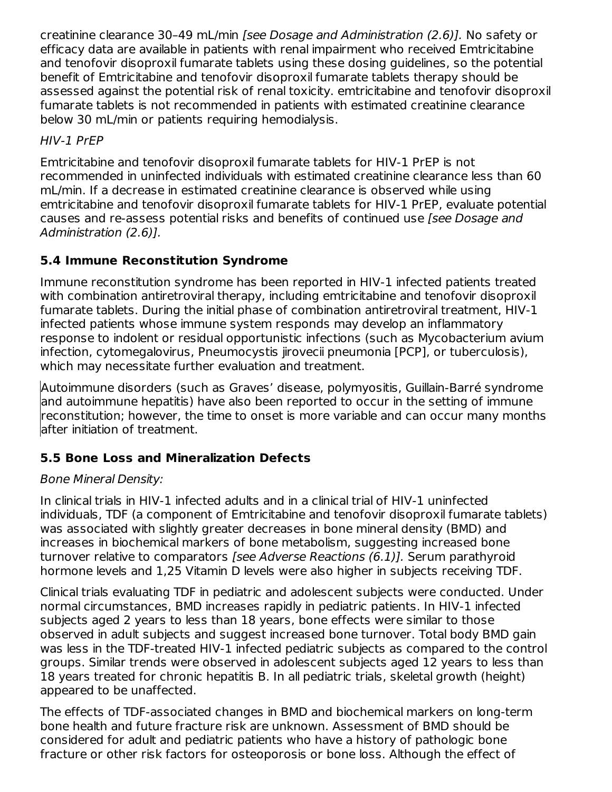creatinine clearance 30–49 mL/min [see Dosage and Administration (2.6)]. No safety or efficacy data are available in patients with renal impairment who received Emtricitabine and tenofovir disoproxil fumarate tablets using these dosing guidelines, so the potential benefit of Emtricitabine and tenofovir disoproxil fumarate tablets therapy should be assessed against the potential risk of renal toxicity. emtricitabine and tenofovir disoproxil fumarate tablets is not recommended in patients with estimated creatinine clearance below 30 mL/min or patients requiring hemodialysis.

HIV-1 PrEP

Emtricitabine and tenofovir disoproxil fumarate tablets for HIV-1 PrEP is not recommended in uninfected individuals with estimated creatinine clearance less than 60 mL/min. If a decrease in estimated creatinine clearance is observed while using emtricitabine and tenofovir disoproxil fumarate tablets for HIV-1 PrEP, evaluate potential causes and re-assess potential risks and benefits of continued use [see Dosage and Administration (2.6)].

# **5.4 Immune Reconstitution Syndrome**

Immune reconstitution syndrome has been reported in HIV-1 infected patients treated with combination antiretroviral therapy, including emtricitabine and tenofovir disoproxil fumarate tablets. During the initial phase of combination antiretroviral treatment, HIV-1 infected patients whose immune system responds may develop an inflammatory response to indolent or residual opportunistic infections (such as Mycobacterium avium infection, cytomegalovirus, Pneumocystis jirovecii pneumonia [PCP], or tuberculosis), which may necessitate further evaluation and treatment.

Autoimmune disorders (such as Graves' disease, polymyositis, Guillain-Barré syndrome and autoimmune hepatitis) have also been reported to occur in the setting of immune reconstitution; however, the time to onset is more variable and can occur many months after initiation of treatment.

# **5.5 Bone Loss and Mineralization Defects**

## Bone Mineral Density:

In clinical trials in HIV-1 infected adults and in a clinical trial of HIV-1 uninfected individuals, TDF (a component of Emtricitabine and tenofovir disoproxil fumarate tablets) was associated with slightly greater decreases in bone mineral density (BMD) and increases in biochemical markers of bone metabolism, suggesting increased bone turnover relative to comparators [see Adverse Reactions (6.1)]. Serum parathyroid hormone levels and 1,25 Vitamin D levels were also higher in subjects receiving TDF.

Clinical trials evaluating TDF in pediatric and adolescent subjects were conducted. Under normal circumstances, BMD increases rapidly in pediatric patients. In HIV-1 infected subjects aged 2 years to less than 18 years, bone effects were similar to those observed in adult subjects and suggest increased bone turnover. Total body BMD gain was less in the TDF-treated HIV-1 infected pediatric subjects as compared to the control groups. Similar trends were observed in adolescent subjects aged 12 years to less than 18 years treated for chronic hepatitis B. In all pediatric trials, skeletal growth (height) appeared to be unaffected.

The effects of TDF-associated changes in BMD and biochemical markers on long-term bone health and future fracture risk are unknown. Assessment of BMD should be considered for adult and pediatric patients who have a history of pathologic bone fracture or other risk factors for osteoporosis or bone loss. Although the effect of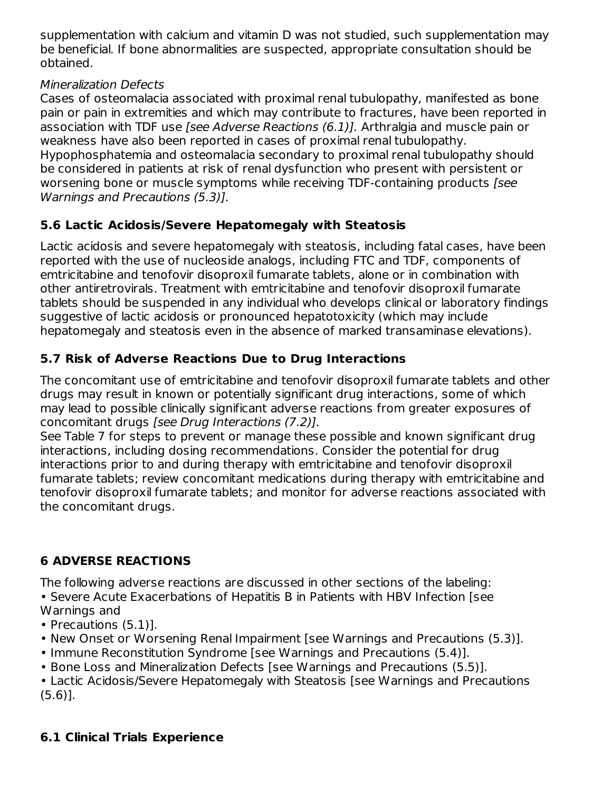supplementation with calcium and vitamin D was not studied, such supplementation may be beneficial. If bone abnormalities are suspected, appropriate consultation should be obtained.

## Mineralization Defects

Cases of osteomalacia associated with proximal renal tubulopathy, manifested as bone pain or pain in extremities and which may contribute to fractures, have been reported in association with TDF use [see Adverse Reactions (6.1)]. Arthralgia and muscle pain or weakness have also been reported in cases of proximal renal tubulopathy. Hypophosphatemia and osteomalacia secondary to proximal renal tubulopathy should be considered in patients at risk of renal dysfunction who present with persistent or worsening bone or muscle symptoms while receiving TDF-containing products [see Warnings and Precautions (5.3)].

## **5.6 Lactic Acidosis/Severe Hepatomegaly with Steatosis**

Lactic acidosis and severe hepatomegaly with steatosis, including fatal cases, have been reported with the use of nucleoside analogs, including FTC and TDF, components of emtricitabine and tenofovir disoproxil fumarate tablets, alone or in combination with other antiretrovirals. Treatment with emtricitabine and tenofovir disoproxil fumarate tablets should be suspended in any individual who develops clinical or laboratory findings suggestive of lactic acidosis or pronounced hepatotoxicity (which may include hepatomegaly and steatosis even in the absence of marked transaminase elevations).

# **5.7 Risk of Adverse Reactions Due to Drug Interactions**

The concomitant use of emtricitabine and tenofovir disoproxil fumarate tablets and other drugs may result in known or potentially significant drug interactions, some of which may lead to possible clinically significant adverse reactions from greater exposures of concomitant drugs [see Drug Interactions (7.2)].

See Table 7 for steps to prevent or manage these possible and known significant drug interactions, including dosing recommendations. Consider the potential for drug interactions prior to and during therapy with emtricitabine and tenofovir disoproxil fumarate tablets; review concomitant medications during therapy with emtricitabine and tenofovir disoproxil fumarate tablets; and monitor for adverse reactions associated with the concomitant drugs.

# **6 ADVERSE REACTIONS**

The following adverse reactions are discussed in other sections of the labeling: • Severe Acute Exacerbations of Hepatitis B in Patients with HBV Infection [see Warnings and

- Precautions (5.1)].
- New Onset or Worsening Renal Impairment [see Warnings and Precautions (5.3)].
- Immune Reconstitution Syndrome [see Warnings and Precautions (5.4)].
- Bone Loss and Mineralization Defects [see Warnings and Precautions (5.5)].

• Lactic Acidosis/Severe Hepatomegaly with Steatosis [see Warnings and Precautions (5.6)].

## **6.1 Clinical Trials Experience**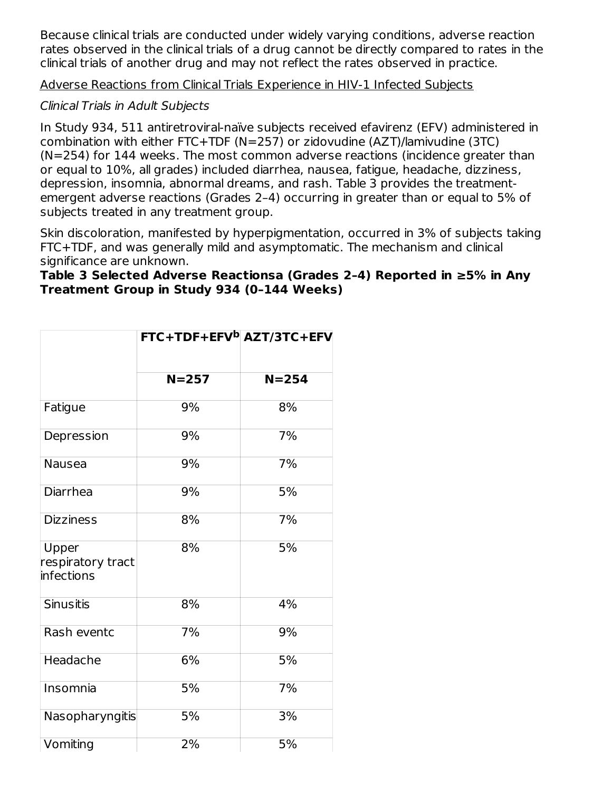Because clinical trials are conducted under widely varying conditions, adverse reaction rates observed in the clinical trials of a drug cannot be directly compared to rates in the clinical trials of another drug and may not reflect the rates observed in practice.

Adverse Reactions from Clinical Trials Experience in HIV-1 Infected Subjects

## Clinical Trials in Adult Subjects

In Study 934, 511 antiretroviral-naïve subjects received efavirenz (EFV) administered in combination with either FTC+TDF (N=257) or zidovudine (AZT)/lamivudine (3TC) (N=254) for 144 weeks. The most common adverse reactions (incidence greater than or equal to 10%, all grades) included diarrhea, nausea, fatigue, headache, dizziness, depression, insomnia, abnormal dreams, and rash. Table 3 provides the treatmentemergent adverse reactions (Grades 2–4) occurring in greater than or equal to 5% of subjects treated in any treatment group.

Skin discoloration, manifested by hyperpigmentation, occurred in 3% of subjects taking FTC+TDF, and was generally mild and asymptomatic. The mechanism and clinical significance are unknown.

#### **Table 3 Selected Adverse Reactionsa (Grades 2–4) Reported in ≥5% in Any Treatment Group in Study 934 (0–144 Weeks)**

|                                          | FTC+TDF+EFV <sup>b</sup> AZT/3TC+EFV |           |  |
|------------------------------------------|--------------------------------------|-----------|--|
|                                          | $N = 257$                            | $N = 254$ |  |
| Fatigue                                  | 9%                                   | 8%        |  |
| Depression                               | 9%                                   | 7%        |  |
| Nausea                                   | 9%                                   | 7%        |  |
| Diarrhea                                 | 9%                                   | 5%        |  |
| <b>Dizziness</b>                         | 8%                                   | 7%        |  |
| Upper<br>respiratory tract<br>infections | 8%                                   | 5%        |  |
| <b>Sinusitis</b>                         | 8%                                   | 4%        |  |
| Rash eventc                              | 7%                                   | 9%        |  |
| Headache                                 | 6%                                   | 5%        |  |
| Insomnia                                 | 5%                                   | 7%        |  |
| Nasopharyngitis                          | 5%                                   | 3%        |  |
| Vomiting                                 | 2%                                   | 5%        |  |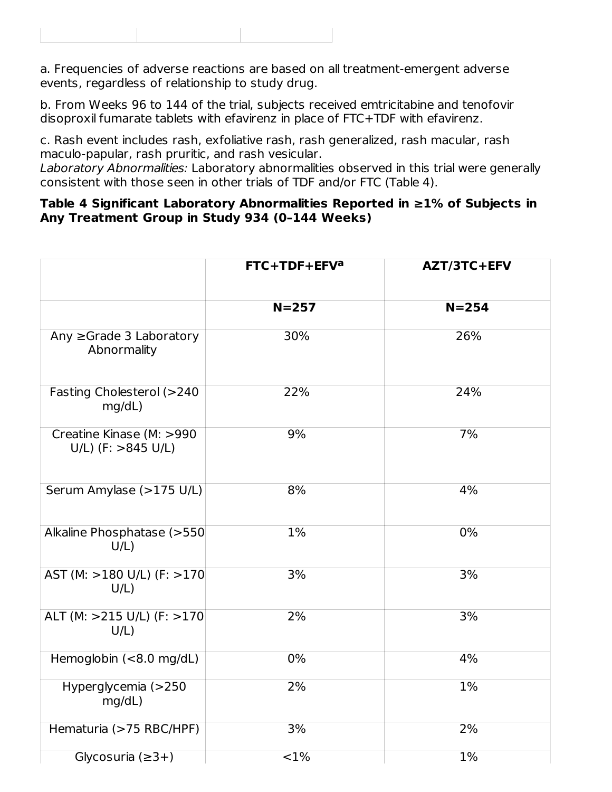|--|

a. Frequencies of adverse reactions are based on all treatment-emergent adverse events, regardless of relationship to study drug.

b. From Weeks 96 to 144 of the trial, subjects received emtricitabine and tenofovir disoproxil fumarate tablets with efavirenz in place of FTC+TDF with efavirenz.

c. Rash event includes rash, exfoliative rash, rash generalized, rash macular, rash maculo-papular, rash pruritic, and rash vesicular.

Laboratory Abnormalities: Laboratory abnormalities observed in this trial were generally consistent with those seen in other trials of TDF and/or FTC (Table 4).

#### **Table 4 Significant Laboratory Abnormalities Reported in ≥1% of Subjects in Any Treatment Group in Study 934 (0–144 Weeks)**

|                                                   | FTC+TDF+EFV <sup>a</sup> | AZT/3TC+EFV |  |
|---------------------------------------------------|--------------------------|-------------|--|
|                                                   |                          |             |  |
|                                                   | $N=257$                  | $N = 254$   |  |
| Any ≥Grade 3 Laboratory<br>Abnormality            | 30%                      | 26%         |  |
| Fasting Cholesterol (>240<br>mg/dL)               | 22%                      | 24%         |  |
| Creatine Kinase (M: >990<br>$U/L$ ) (F: >845 U/L) | 9%                       | 7%          |  |
| Serum Amylase (>175 U/L)                          | 8%                       | 4%          |  |
| Alkaline Phosphatase (>550<br>$U/L$ )             | 1%                       | 0%          |  |
| AST (M: >180 U/L) (F: >170<br>$U/L$ )             | 3%                       | 3%          |  |
| ALT (M: >215 U/L) (F: >170<br>$U/L$ )             | 2%                       | 3%          |  |
| Hemoglobin (<8.0 mg/dL)                           | $0\%$                    | 4%          |  |
| Hyperglycemia (>250<br>mg/dL)                     | 2%                       | 1%          |  |
| Hematuria (>75 RBC/HPF)                           | 3%                       | $2\%$       |  |
| Glycosuria $(≥3+)$                                | <1%                      | 1%          |  |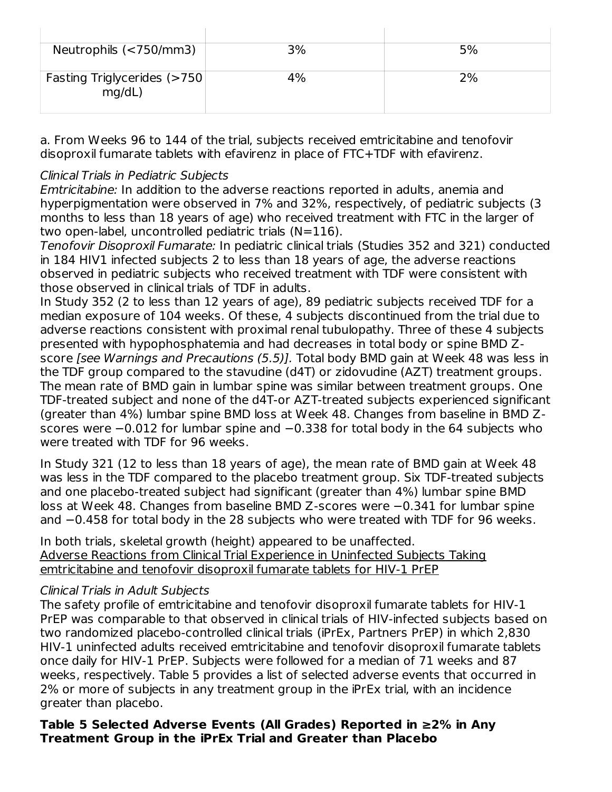| Neutrophils (<750/mm3)                | 3% | 5% |
|---------------------------------------|----|----|
| Fasting Triglycerides (>750<br>mq/dL) | 4% | 2% |

a. From Weeks 96 to 144 of the trial, subjects received emtricitabine and tenofovir disoproxil fumarate tablets with efavirenz in place of FTC+TDF with efavirenz.

### Clinical Trials in Pediatric Subjects

Emtricitabine: In addition to the adverse reactions reported in adults, anemia and hyperpigmentation were observed in 7% and 32%, respectively, of pediatric subjects (3 months to less than 18 years of age) who received treatment with FTC in the larger of two open-label, uncontrolled pediatric trials (N=116).

Tenofovir Disoproxil Fumarate: In pediatric clinical trials (Studies 352 and 321) conducted in 184 HIV1 infected subjects 2 to less than 18 years of age, the adverse reactions observed in pediatric subjects who received treatment with TDF were consistent with those observed in clinical trials of TDF in adults.

In Study 352 (2 to less than 12 years of age), 89 pediatric subjects received TDF for a median exposure of 104 weeks. Of these, 4 subjects discontinued from the trial due to adverse reactions consistent with proximal renal tubulopathy. Three of these 4 subjects presented with hypophosphatemia and had decreases in total body or spine BMD Zscore [see Warnings and Precautions (5.5)]. Total body BMD gain at Week 48 was less in the TDF group compared to the stavudine (d4T) or zidovudine (AZT) treatment groups. The mean rate of BMD gain in lumbar spine was similar between treatment groups. One TDF-treated subject and none of the d4T-or AZT-treated subjects experienced significant (greater than 4%) lumbar spine BMD loss at Week 48. Changes from baseline in BMD Zscores were −0.012 for lumbar spine and −0.338 for total body in the 64 subjects who were treated with TDF for 96 weeks.

In Study 321 (12 to less than 18 years of age), the mean rate of BMD gain at Week 48 was less in the TDF compared to the placebo treatment group. Six TDF-treated subjects and one placebo-treated subject had significant (greater than 4%) lumbar spine BMD loss at Week 48. Changes from baseline BMD Z-scores were −0.341 for lumbar spine and −0.458 for total body in the 28 subjects who were treated with TDF for 96 weeks.

In both trials, skeletal growth (height) appeared to be unaffected. Adverse Reactions from Clinical Trial Experience in Uninfected Subjects Taking emtricitabine and tenofovir disoproxil fumarate tablets for HIV-1 PrEP

### Clinical Trials in Adult Subjects

The safety profile of emtricitabine and tenofovir disoproxil fumarate tablets for HIV-1 PrEP was comparable to that observed in clinical trials of HIV-infected subjects based on two randomized placebo-controlled clinical trials (iPrEx, Partners PrEP) in which 2,830 HIV-1 uninfected adults received emtricitabine and tenofovir disoproxil fumarate tablets once daily for HIV-1 PrEP. Subjects were followed for a median of 71 weeks and 87 weeks, respectively. Table 5 provides a list of selected adverse events that occurred in 2% or more of subjects in any treatment group in the iPrEx trial, with an incidence greater than placebo.

#### **Table 5 Selected Adverse Events (All Grades) Reported in ≥2% in Any Treatment Group in the iPrEx Trial and Greater than Placebo**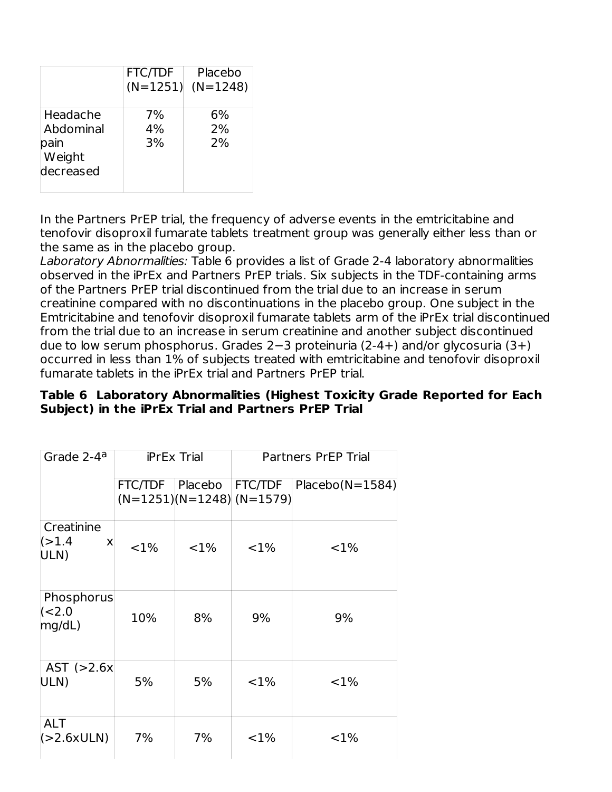|                                                      | <b>FTC/TDF</b><br>$(N=1251)$ | Placebo<br>$(N=1248)$ |
|------------------------------------------------------|------------------------------|-----------------------|
| Headache<br>Abdominal<br>pain<br>Weight<br>decreased | 7%<br>4%<br>3%               | 6%<br>2%<br>2%        |

In the Partners PrEP trial, the frequency of adverse events in the emtricitabine and tenofovir disoproxil fumarate tablets treatment group was generally either less than or the same as in the placebo group.

Laboratory Abnormalities: Table 6 provides a list of Grade 2-4 laboratory abnormalities observed in the iPrEx and Partners PrEP trials. Six subjects in the TDF-containing arms of the Partners PrEP trial discontinued from the trial due to an increase in serum creatinine compared with no discontinuations in the placebo group. One subject in the Emtricitabine and tenofovir disoproxil fumarate tablets arm of the iPrEx trial discontinued from the trial due to an increase in serum creatinine and another subject discontinued due to low serum phosphorus. Grades 2−3 proteinuria (2-4+) and/or glycosuria (3+) occurred in less than 1% of subjects treated with emtricitabine and tenofovir disoproxil fumarate tablets in the iPrEx trial and Partners PrEP trial.

| Table 6 Laboratory Abnormalities (Highest Toxicity Grade Reported for Each |
|----------------------------------------------------------------------------|
| Subject) in the iPrEx Trial and Partners PrEP Trial                        |

| Grade 2-4 <sup>a</sup>             | <b>iPrEx Trial</b> |          | <b>Partners PrEP Trial</b>                   |                   |
|------------------------------------|--------------------|----------|----------------------------------------------|-------------------|
|                                    | FTC/TDF   Placebo  |          | <b>FTC/TDF</b><br>$(N=1251)(N=1248)(N=1579)$ | $Placebo(N=1584)$ |
| Creatinine<br>(>1.4)<br>X<br>ULN)  | $< 1\%$            | ${<}1\%$ | ${<}1\%$                                     | ${<}1\%$          |
| Phosphorus<br>$\leq 2.0$<br>mq/dL) | 10%                | 8%       | 9%                                           | 9%                |
| AST $(>2.6x)$<br>ULN)              | 5%                 | 5%       | ${<}1\%$                                     | ${<}1\%$          |
| <b>ALT</b><br>(S2.6xULN)           | 7%                 | 7%       | ${<}1\%$                                     | ${<}1\%$          |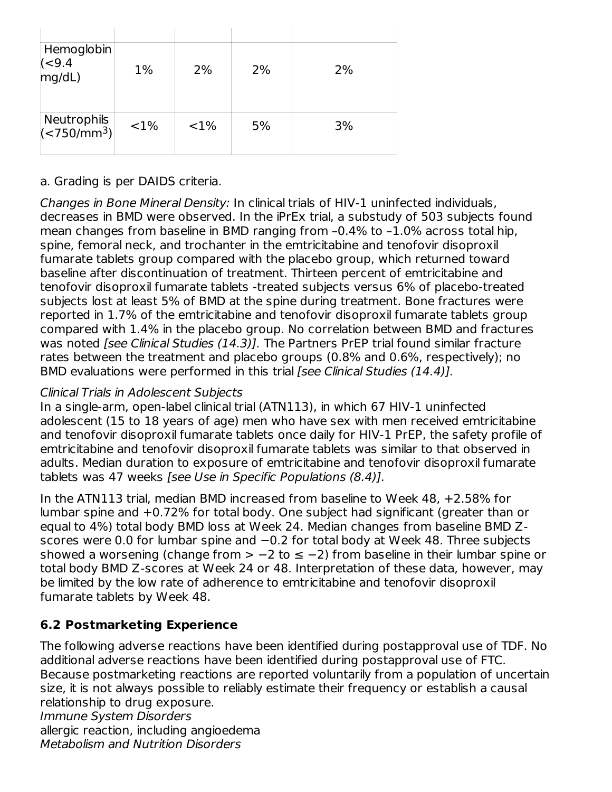| Hemoglobin<br>$\begin{array}{c} (-9.4 \\ \text{mg/dL)} \end{array}$ | $1\%$   | 2%       | 2% | 2% |
|---------------------------------------------------------------------|---------|----------|----|----|
| Neutrophils<br>(<750/mm <sup>3</sup> )                              | $< 1\%$ | ${<}1\%$ | 5% | 3% |

a. Grading is per DAIDS criteria.

Changes in Bone Mineral Density: In clinical trials of HIV-1 uninfected individuals, decreases in BMD were observed. In the iPrEx trial, a substudy of 503 subjects found mean changes from baseline in BMD ranging from –0.4% to –1.0% across total hip, spine, femoral neck, and trochanter in the emtricitabine and tenofovir disoproxil fumarate tablets group compared with the placebo group, which returned toward baseline after discontinuation of treatment. Thirteen percent of emtricitabine and tenofovir disoproxil fumarate tablets -treated subjects versus 6% of placebo-treated subjects lost at least 5% of BMD at the spine during treatment. Bone fractures were reported in 1.7% of the emtricitabine and tenofovir disoproxil fumarate tablets group compared with 1.4% in the placebo group. No correlation between BMD and fractures was noted [see Clinical Studies (14.3)]. The Partners PrEP trial found similar fracture rates between the treatment and placebo groups (0.8% and 0.6%, respectively); no BMD evaluations were performed in this trial [see Clinical Studies (14.4)].

## Clinical Trials in Adolescent Subjects

In a single-arm, open-label clinical trial (ATN113), in which 67 HIV-1 uninfected adolescent (15 to 18 years of age) men who have sex with men received emtricitabine and tenofovir disoproxil fumarate tablets once daily for HIV-1 PrEP, the safety profile of emtricitabine and tenofovir disoproxil fumarate tablets was similar to that observed in adults. Median duration to exposure of emtricitabine and tenofovir disoproxil fumarate tablets was 47 weeks [see Use in Specific Populations (8.4)].

In the ATN113 trial, median BMD increased from baseline to Week 48, +2.58% for lumbar spine and +0.72% for total body. One subject had significant (greater than or equal to 4%) total body BMD loss at Week 24. Median changes from baseline BMD Zscores were 0.0 for lumbar spine and −0.2 for total body at Week 48. Three subjects showed a worsening (change from  $> -2$  to  $\leq -2$ ) from baseline in their lumbar spine or total body BMD Z-scores at Week 24 or 48. Interpretation of these data, however, may be limited by the low rate of adherence to emtricitabine and tenofovir disoproxil fumarate tablets by Week 48.

# **6.2 Postmarketing Experience**

The following adverse reactions have been identified during postapproval use of TDF. No additional adverse reactions have been identified during postapproval use of FTC. Because postmarketing reactions are reported voluntarily from a population of uncertain size, it is not always possible to reliably estimate their frequency or establish a causal relationship to drug exposure. Immune System Disorders

allergic reaction, including angioedema Metabolism and Nutrition Disorders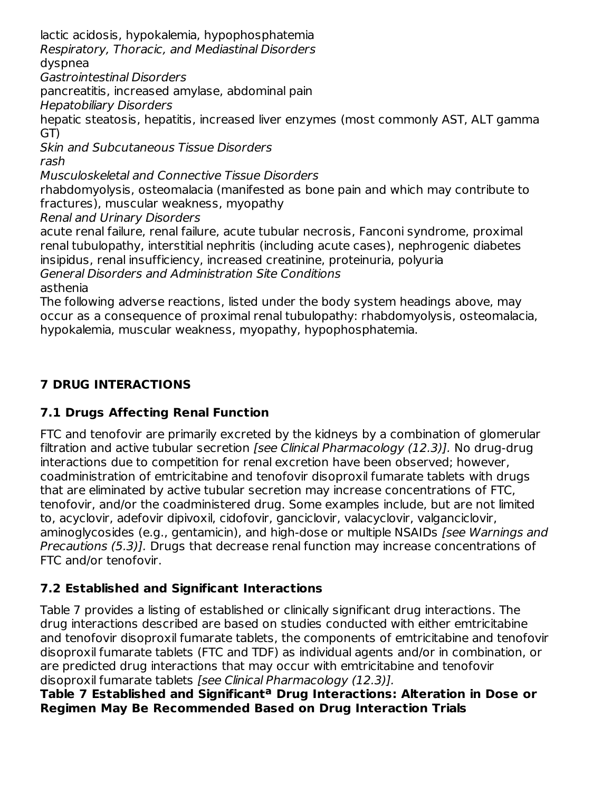lactic acidosis, hypokalemia, hypophosphatemia

Respiratory, Thoracic, and Mediastinal Disorders

dyspnea

Gastrointestinal Disorders

pancreatitis, increased amylase, abdominal pain

Hepatobiliary Disorders

hepatic steatosis, hepatitis, increased liver enzymes (most commonly AST, ALT gamma GT)

Skin and Subcutaneous Tissue Disorders rash

Musculoskeletal and Connective Tissue Disorders

rhabdomyolysis, osteomalacia (manifested as bone pain and which may contribute to fractures), muscular weakness, myopathy

Renal and Urinary Disorders

acute renal failure, renal failure, acute tubular necrosis, Fanconi syndrome, proximal renal tubulopathy, interstitial nephritis (including acute cases), nephrogenic diabetes insipidus, renal insufficiency, increased creatinine, proteinuria, polyuria General Disorders and Administration Site Conditions

asthenia

The following adverse reactions, listed under the body system headings above, may occur as a consequence of proximal renal tubulopathy: rhabdomyolysis, osteomalacia, hypokalemia, muscular weakness, myopathy, hypophosphatemia.

## **7 DRUG INTERACTIONS**

### **7.1 Drugs Affecting Renal Function**

FTC and tenofovir are primarily excreted by the kidneys by a combination of glomerular filtration and active tubular secretion [see Clinical Pharmacology (12.3)]. No drug-drug interactions due to competition for renal excretion have been observed; however, coadministration of emtricitabine and tenofovir disoproxil fumarate tablets with drugs that are eliminated by active tubular secretion may increase concentrations of FTC, tenofovir, and/or the coadministered drug. Some examples include, but are not limited to, acyclovir, adefovir dipivoxil, cidofovir, ganciclovir, valacyclovir, valganciclovir, aminoglycosides (e.g., gentamicin), and high-dose or multiple NSAIDs [see Warnings and Precautions (5.3)]. Drugs that decrease renal function may increase concentrations of FTC and/or tenofovir.

### **7.2 Established and Significant Interactions**

Table 7 provides a listing of established or clinically significant drug interactions. The drug interactions described are based on studies conducted with either emtricitabine and tenofovir disoproxil fumarate tablets, the components of emtricitabine and tenofovir disoproxil fumarate tablets (FTC and TDF) as individual agents and/or in combination, or are predicted drug interactions that may occur with emtricitabine and tenofovir disoproxil fumarate tablets [see Clinical Pharmacology (12.3)].

**Table 7 Established and Significant Drug Interactions: Alteration in Dose or aRegimen May Be Recommended Based on Drug Interaction Trials**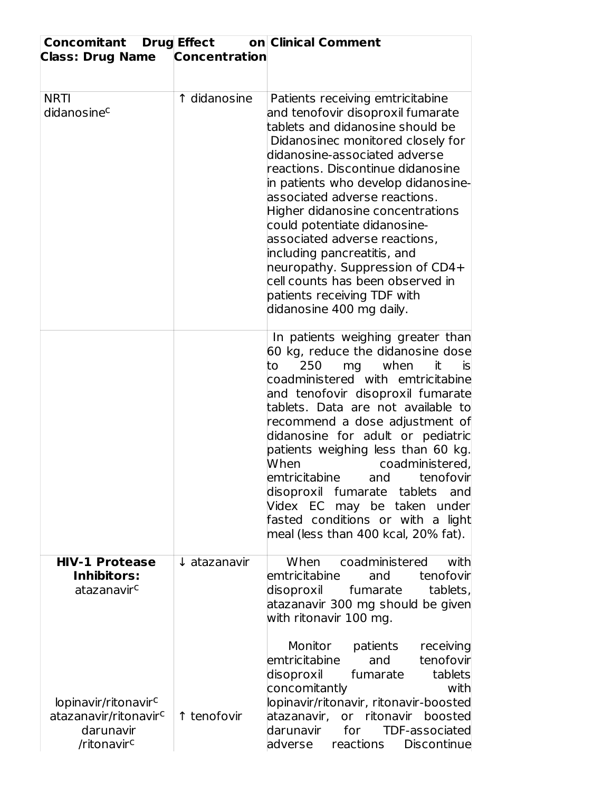| <b>Concomitant Drug Effect</b><br><b>Class: Drug Name</b>                                                     | <b>Concentration</b>    | on Clinical Comment                                                                                                                                                                                                                                                                                                                                                                                                                                                                                                                                                |
|---------------------------------------------------------------------------------------------------------------|-------------------------|--------------------------------------------------------------------------------------------------------------------------------------------------------------------------------------------------------------------------------------------------------------------------------------------------------------------------------------------------------------------------------------------------------------------------------------------------------------------------------------------------------------------------------------------------------------------|
| <b>NRTI</b><br>didanosinec                                                                                    | 1 didanosine            | Patients receiving emtricitabine<br>and tenofovir disoproxil fumarate<br>tablets and didanosine should be<br>Didanosinec monitored closely for<br>didanosine-associated adverse<br>reactions. Discontinue didanosine<br>in patients who develop didanosine-<br>associated adverse reactions.<br>Higher didanosine concentrations<br>could potentiate didanosine-<br>associated adverse reactions,<br>including pancreatitis, and<br>neuropathy. Suppression of CD4+<br>cell counts has been observed in<br>patients receiving TDF with<br>didanosine 400 mg daily. |
|                                                                                                               |                         | In patients weighing greater than<br>60 kg, reduce the didanosine dose<br>250<br>when<br>to<br>mg<br>it<br><b>is</b><br>coadministered with emtricitabine<br>and tenofovir disoproxil fumarate<br>tablets. Data are not available to<br>recommend a dose adjustment of<br>didanosine for adult or pediatric<br>patients weighing less than 60 kg.<br>When<br>coadministered,<br>emtricitabine<br>tenofovir<br>and<br>disoproxil fumarate tablets<br>and<br>Videx EC may be taken under<br>fasted conditions or with a light<br>meal (less than 400 kcal, 20% fat). |
| <b>HIV-1 Protease</b><br><b>Inhibitors:</b><br>atazanavir <sup>c</sup>                                        | $\downarrow$ atazanavir | When coadministered<br>with<br>emtricitabine<br>tenofovir<br>and<br>tablets,<br>disoproxil<br>fumarate<br>atazanavir 300 mg should be given<br>with ritonavir 100 mg.                                                                                                                                                                                                                                                                                                                                                                                              |
| lopinavir/ritonavir <sup>c</sup><br>atazanavir/ritonavir <sup>c</sup><br>darunavir<br>/ritonavir <sup>c</sup> | ↑ tenofovir             | Monitor<br>receiving<br>patients<br>tenofovir<br>emtricitabine<br>and<br>fumarate<br>tablets<br>disoproxil<br>concomitantly<br>with<br>lopinavir/ritonavir, ritonavir-boosted<br>or ritonavir boosted<br>atazanavir,<br>darunavir<br><b>TDF-associated</b><br>for<br>adverse<br>reactions<br><b>Discontinue</b>                                                                                                                                                                                                                                                    |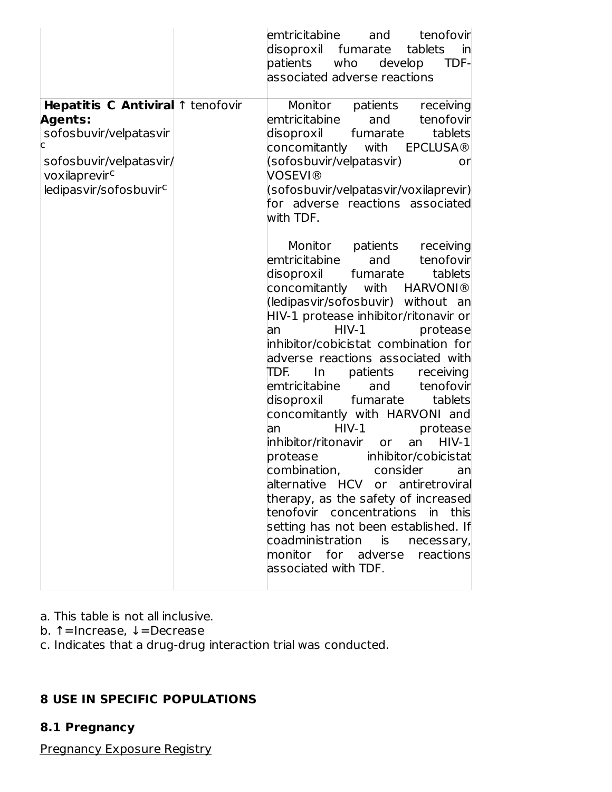|                                                                                                                                                                      | emtricitabine and<br>tenofovir<br>disoproxil<br>fumarate<br>tablets<br>inl<br>patients<br>who<br>TDF-<br>develop<br>associated adverse reactions                                                                                                                                                                                                                                                                                                                                                                                                                                                                                                                                                                                                                                                                                                      |
|----------------------------------------------------------------------------------------------------------------------------------------------------------------------|-------------------------------------------------------------------------------------------------------------------------------------------------------------------------------------------------------------------------------------------------------------------------------------------------------------------------------------------------------------------------------------------------------------------------------------------------------------------------------------------------------------------------------------------------------------------------------------------------------------------------------------------------------------------------------------------------------------------------------------------------------------------------------------------------------------------------------------------------------|
| Hepatitis C Antiviral 1 tenofovir<br><b>Agents:</b><br>sofosbuvir/velpatasvir<br>c<br>sofosbuvir/velpatasvir/<br>voxilaprevirc<br>ledipasvir/sofosbuvir <sup>c</sup> | Monitor patients receiving<br>emtricitabine<br>and<br>tenofovir<br>fumarate<br>tablets<br>disoproxil<br>with EPCLUSA®<br>concomitantly<br>(sofosbuvir/velpatasvir)<br>orl<br>VOSEVI®<br>(sofosbuvir/velpatasvir/voxilaprevir)<br>for adverse reactions associated<br>with TDF.                                                                                                                                                                                                                                                                                                                                                                                                                                                                                                                                                                        |
|                                                                                                                                                                      | Monitor patients receiving<br>tenofovir<br>emtricitabine<br>and<br>fumarate<br>disoproxil<br>tablets<br>concomitantly with HARVONI®<br>(ledipasvir/sofosbuvir) without an<br>HIV-1 protease inhibitor/ritonavir or<br>$HIV-1$<br>protease<br>lan<br>inhibitor/cobicistat combination for<br>adverse reactions associated with<br>TDF.<br>$\ln$<br>patients<br>receiving<br>emtricitabine<br>tenofovir<br>and<br>disoproxil fumarate<br>tablets<br>concomitantly with HARVONI and<br>$HIV-1$<br>protease<br>an<br>$HIV-1$<br>inhibitor/ritonavir or<br>an<br>protease<br>inhibitor/cobicistat<br>an<br>alternative HCV or antiretroviral<br>therapy, as the safety of increased<br>tenofovir concentrations in this<br>setting has not been established. If<br>coadministration is necessary,<br>monitor for adverse reactions<br>associated with TDF. |

- a. This table is not all inclusive.
- b. ↑=Increase, ↓=Decrease
- c. Indicates that a drug-drug interaction trial was conducted.

## **8 USE IN SPECIFIC POPULATIONS**

### **8.1 Pregnancy**

Pregnancy Exposure Registry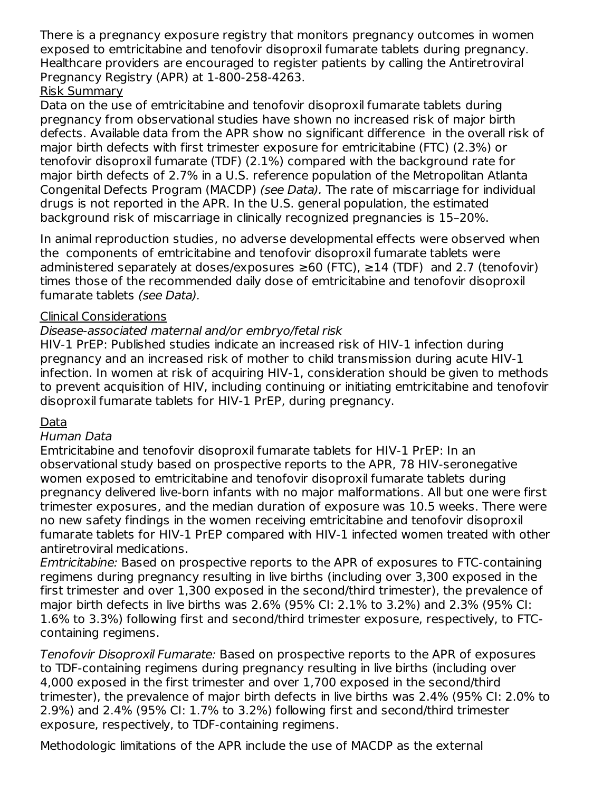There is a pregnancy exposure registry that monitors pregnancy outcomes in women exposed to emtricitabine and tenofovir disoproxil fumarate tablets during pregnancy. Healthcare providers are encouraged to register patients by calling the Antiretroviral Pregnancy Registry (APR) at 1-800-258-4263.

## Risk Summary

Data on the use of emtricitabine and tenofovir disoproxil fumarate tablets during pregnancy from observational studies have shown no increased risk of major birth defects. Available data from the APR show no significant difference in the overall risk of major birth defects with first trimester exposure for emtricitabine (FTC) (2.3%) or tenofovir disoproxil fumarate (TDF) (2.1%) compared with the background rate for major birth defects of 2.7% in a U.S. reference population of the Metropolitan Atlanta Congenital Defects Program (MACDP) (see Data). The rate of miscarriage for individual drugs is not reported in the APR. In the U.S. general population, the estimated background risk of miscarriage in clinically recognized pregnancies is 15–20%.

In animal reproduction studies, no adverse developmental effects were observed when the components of emtricitabine and tenofovir disoproxil fumarate tablets were administered separately at doses/exposures  $\geq 60$  (FTC),  $\geq 14$  (TDF) and 2.7 (tenofovir) times those of the recommended daily dose of emtricitabine and tenofovir disoproxil fumarate tablets (see Data).

### Clinical Considerations

### Disease-associated maternal and/or embryo/fetal risk

HIV-1 PrEP: Published studies indicate an increased risk of HIV-1 infection during pregnancy and an increased risk of mother to child transmission during acute HIV-1 infection. In women at risk of acquiring HIV-1, consideration should be given to methods to prevent acquisition of HIV, including continuing or initiating emtricitabine and tenofovir disoproxil fumarate tablets for HIV-1 PrEP, during pregnancy.

#### Data

#### Human Data

Emtricitabine and tenofovir disoproxil fumarate tablets for HIV-1 PrEP: In an observational study based on prospective reports to the APR, 78 HIV-seronegative women exposed to emtricitabine and tenofovir disoproxil fumarate tablets during pregnancy delivered live-born infants with no major malformations. All but one were first trimester exposures, and the median duration of exposure was 10.5 weeks. There were no new safety findings in the women receiving emtricitabine and tenofovir disoproxil fumarate tablets for HIV-1 PrEP compared with HIV-1 infected women treated with other antiretroviral medications.

Emtricitabine: Based on prospective reports to the APR of exposures to FTC-containing regimens during pregnancy resulting in live births (including over 3,300 exposed in the first trimester and over 1,300 exposed in the second/third trimester), the prevalence of major birth defects in live births was 2.6% (95% CI: 2.1% to 3.2%) and 2.3% (95% CI: 1.6% to 3.3%) following first and second/third trimester exposure, respectively, to FTCcontaining regimens.

Tenofovir Disoproxil Fumarate: Based on prospective reports to the APR of exposures to TDF-containing regimens during pregnancy resulting in live births (including over 4,000 exposed in the first trimester and over 1,700 exposed in the second/third trimester), the prevalence of major birth defects in live births was 2.4% (95% CI: 2.0% to 2.9%) and 2.4% (95% CI: 1.7% to 3.2%) following first and second/third trimester exposure, respectively, to TDF-containing regimens.

Methodologic limitations of the APR include the use of MACDP as the external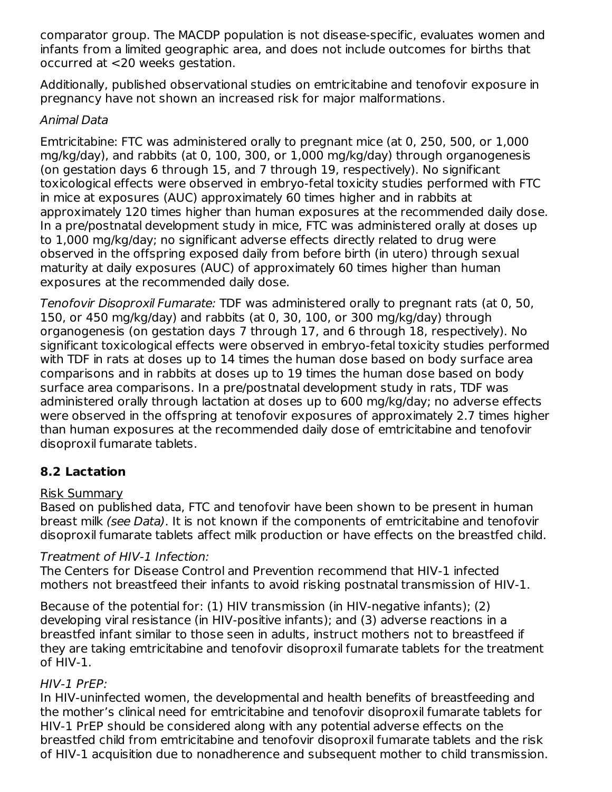comparator group. The MACDP population is not disease-specific, evaluates women and infants from a limited geographic area, and does not include outcomes for births that occurred at <20 weeks gestation.

Additionally, published observational studies on emtricitabine and tenofovir exposure in pregnancy have not shown an increased risk for major malformations.

### Animal Data

Emtricitabine: FTC was administered orally to pregnant mice (at 0, 250, 500, or 1,000 mg/kg/day), and rabbits (at 0, 100, 300, or 1,000 mg/kg/day) through organogenesis (on gestation days 6 through 15, and 7 through 19, respectively). No significant toxicological effects were observed in embryo-fetal toxicity studies performed with FTC in mice at exposures (AUC) approximately 60 times higher and in rabbits at approximately 120 times higher than human exposures at the recommended daily dose. In a pre/postnatal development study in mice, FTC was administered orally at doses up to 1,000 mg/kg/day; no significant adverse effects directly related to drug were observed in the offspring exposed daily from before birth (in utero) through sexual maturity at daily exposures (AUC) of approximately 60 times higher than human exposures at the recommended daily dose.

Tenofovir Disoproxil Fumarate: TDF was administered orally to pregnant rats (at 0, 50, 150, or 450 mg/kg/day) and rabbits (at 0, 30, 100, or 300 mg/kg/day) through organogenesis (on gestation days 7 through 17, and 6 through 18, respectively). No significant toxicological effects were observed in embryo-fetal toxicity studies performed with TDF in rats at doses up to 14 times the human dose based on body surface area comparisons and in rabbits at doses up to 19 times the human dose based on body surface area comparisons. In a pre/postnatal development study in rats, TDF was administered orally through lactation at doses up to 600 mg/kg/day; no adverse effects were observed in the offspring at tenofovir exposures of approximately 2.7 times higher than human exposures at the recommended daily dose of emtricitabine and tenofovir disoproxil fumarate tablets.

## **8.2 Lactation**

### Risk Summary

Based on published data, FTC and tenofovir have been shown to be present in human breast milk (see Data). It is not known if the components of emtricitabine and tenofovir disoproxil fumarate tablets affect milk production or have effects on the breastfed child.

### Treatment of HIV-1 Infection:

The Centers for Disease Control and Prevention recommend that HIV-1 infected mothers not breastfeed their infants to avoid risking postnatal transmission of HIV-1.

Because of the potential for: (1) HIV transmission (in HIV-negative infants); (2) developing viral resistance (in HIV-positive infants); and (3) adverse reactions in a breastfed infant similar to those seen in adults, instruct mothers not to breastfeed if they are taking emtricitabine and tenofovir disoproxil fumarate tablets for the treatment of HIV-1.

### HIV-1 PrEP:

In HIV-uninfected women, the developmental and health benefits of breastfeeding and the mother's clinical need for emtricitabine and tenofovir disoproxil fumarate tablets for HIV-1 PrEP should be considered along with any potential adverse effects on the breastfed child from emtricitabine and tenofovir disoproxil fumarate tablets and the risk of HIV-1 acquisition due to nonadherence and subsequent mother to child transmission.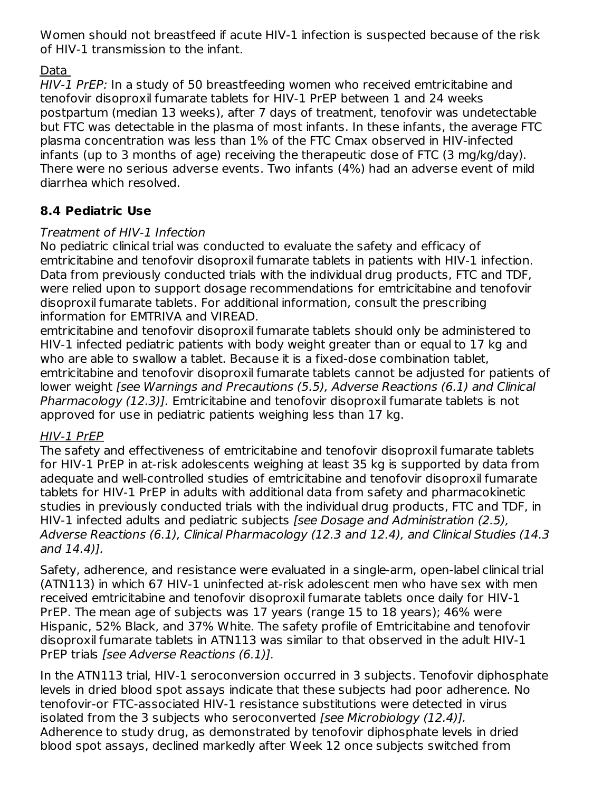Women should not breastfeed if acute HIV-1 infection is suspected because of the risk of HIV-1 transmission to the infant.

## Data

HIV-1 PrEP: In a study of 50 breastfeeding women who received emtricitabine and tenofovir disoproxil fumarate tablets for HIV-1 PrEP between 1 and 24 weeks postpartum (median 13 weeks), after 7 days of treatment, tenofovir was undetectable but FTC was detectable in the plasma of most infants. In these infants, the average FTC plasma concentration was less than 1% of the FTC Cmax observed in HIV-infected infants (up to 3 months of age) receiving the therapeutic dose of FTC (3 mg/kg/day). There were no serious adverse events. Two infants (4%) had an adverse event of mild diarrhea which resolved.

## **8.4 Pediatric Use**

### Treatment of HIV-1 Infection

No pediatric clinical trial was conducted to evaluate the safety and efficacy of emtricitabine and tenofovir disoproxil fumarate tablets in patients with HIV-1 infection. Data from previously conducted trials with the individual drug products, FTC and TDF, were relied upon to support dosage recommendations for emtricitabine and tenofovir disoproxil fumarate tablets. For additional information, consult the prescribing information for EMTRIVA and VIREAD.

emtricitabine and tenofovir disoproxil fumarate tablets should only be administered to HIV-1 infected pediatric patients with body weight greater than or equal to 17 kg and who are able to swallow a tablet. Because it is a fixed-dose combination tablet, emtricitabine and tenofovir disoproxil fumarate tablets cannot be adjusted for patients of lower weight [see Warnings and Precautions (5.5), Adverse Reactions (6.1) and Clinical Pharmacology (12.3)]. Emtricitabine and tenofovir disoproxil fumarate tablets is not approved for use in pediatric patients weighing less than 17 kg.

### HIV-1 PrEP

The safety and effectiveness of emtricitabine and tenofovir disoproxil fumarate tablets for HIV-1 PrEP in at-risk adolescents weighing at least 35 kg is supported by data from adequate and well-controlled studies of emtricitabine and tenofovir disoproxil fumarate tablets for HIV-1 PrEP in adults with additional data from safety and pharmacokinetic studies in previously conducted trials with the individual drug products, FTC and TDF, in HIV-1 infected adults and pediatric subjects [see Dosage and Administration (2.5), Adverse Reactions (6.1), Clinical Pharmacology (12.3 and 12.4), and Clinical Studies (14.3 and 14.4)].

Safety, adherence, and resistance were evaluated in a single-arm, open-label clinical trial (ATN113) in which 67 HIV-1 uninfected at-risk adolescent men who have sex with men received emtricitabine and tenofovir disoproxil fumarate tablets once daily for HIV-1 PrEP. The mean age of subjects was 17 years (range 15 to 18 years); 46% were Hispanic, 52% Black, and 37% White. The safety profile of Emtricitabine and tenofovir disoproxil fumarate tablets in ATN113 was similar to that observed in the adult HIV-1 PrEP trials [see Adverse Reactions (6.1)].

In the ATN113 trial, HIV-1 seroconversion occurred in 3 subjects. Tenofovir diphosphate levels in dried blood spot assays indicate that these subjects had poor adherence. No tenofovir-or FTC-associated HIV-1 resistance substitutions were detected in virus isolated from the 3 subjects who seroconverted [see Microbiology (12.4)]. Adherence to study drug, as demonstrated by tenofovir diphosphate levels in dried blood spot assays, declined markedly after Week 12 once subjects switched from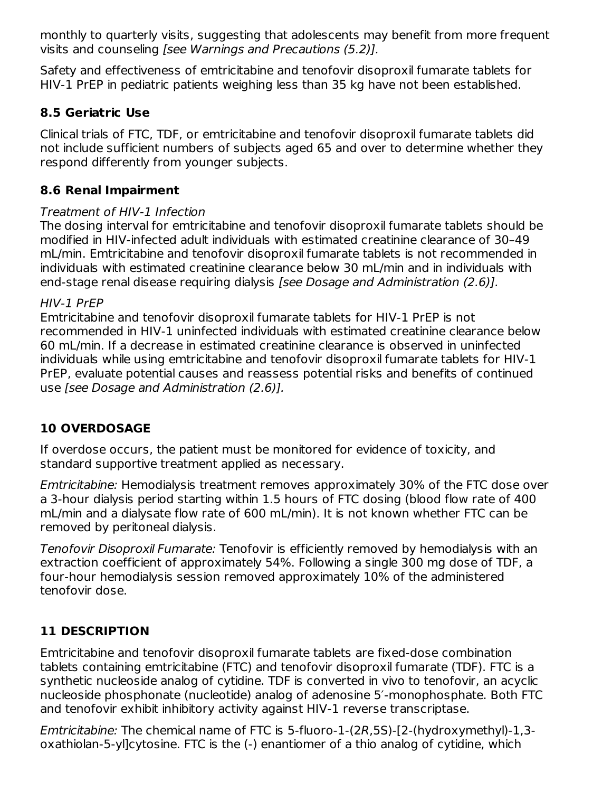monthly to quarterly visits, suggesting that adolescents may benefit from more frequent visits and counseling [see Warnings and Precautions (5.2)].

Safety and effectiveness of emtricitabine and tenofovir disoproxil fumarate tablets for HIV-1 PrEP in pediatric patients weighing less than 35 kg have not been established.

## **8.5 Geriatric Use**

Clinical trials of FTC, TDF, or emtricitabine and tenofovir disoproxil fumarate tablets did not include sufficient numbers of subjects aged 65 and over to determine whether they respond differently from younger subjects.

## **8.6 Renal Impairment**

### Treatment of HIV-1 Infection

The dosing interval for emtricitabine and tenofovir disoproxil fumarate tablets should be modified in HIV-infected adult individuals with estimated creatinine clearance of 30–49 mL/min. Emtricitabine and tenofovir disoproxil fumarate tablets is not recommended in individuals with estimated creatinine clearance below 30 mL/min and in individuals with end-stage renal disease requiring dialysis *[see Dosage and Administration (2.6)]*.

### HIV-1 PrEP

Emtricitabine and tenofovir disoproxil fumarate tablets for HIV-1 PrEP is not recommended in HIV-1 uninfected individuals with estimated creatinine clearance below 60 mL/min. If a decrease in estimated creatinine clearance is observed in uninfected individuals while using emtricitabine and tenofovir disoproxil fumarate tablets for HIV-1 PrEP, evaluate potential causes and reassess potential risks and benefits of continued use [see Dosage and Administration (2.6)].

### **10 OVERDOSAGE**

If overdose occurs, the patient must be monitored for evidence of toxicity, and standard supportive treatment applied as necessary.

Emtricitabine: Hemodialysis treatment removes approximately 30% of the FTC dose over a 3-hour dialysis period starting within 1.5 hours of FTC dosing (blood flow rate of 400 mL/min and a dialysate flow rate of 600 mL/min). It is not known whether FTC can be removed by peritoneal dialysis.

Tenofovir Disoproxil Fumarate: Tenofovir is efficiently removed by hemodialysis with an extraction coefficient of approximately 54%. Following a single 300 mg dose of TDF, a four-hour hemodialysis session removed approximately 10% of the administered tenofovir dose.

## **11 DESCRIPTION**

Emtricitabine and tenofovir disoproxil fumarate tablets are fixed-dose combination tablets containing emtricitabine (FTC) and tenofovir disoproxil fumarate (TDF). FTC is a synthetic nucleoside analog of cytidine. TDF is converted in vivo to tenofovir, an acyclic nucleoside phosphonate (nucleotide) analog of adenosine 5′-monophosphate. Both FTC and tenofovir exhibit inhibitory activity against HIV-1 reverse transcriptase.

Emtricitabine: The chemical name of FTC is 5-fluoro-1-(2R,5S)-[2-(hydroxymethyl)-1,3 oxathiolan-5-yl]cytosine. FTC is the (-) enantiomer of a thio analog of cytidine, which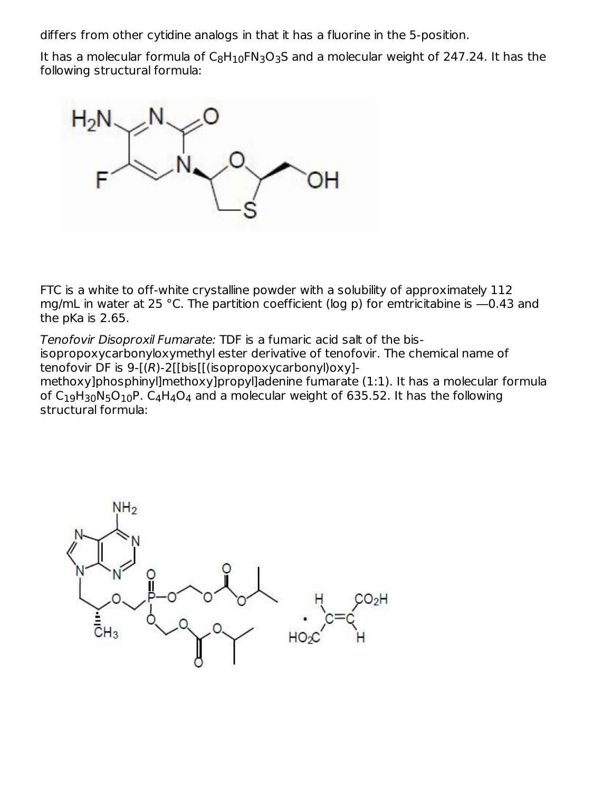differs from other cytidine analogs in that it has a fluorine in the 5-position.

It has a molecular formula of  $\mathsf{C_8H_{10}FN_3O_3S}$  and a molecular weight of 247.24. It has the following structural formula:



FTC is a white to off-white crystalline powder with a solubility of approximately 112 mg/mL in water at 25 °C. The partition coefficient (log p) for emtricitabine is ―0.43 and the pKa is 2.65.

Tenofovir Disoproxil Fumarate: TDF is a fumaric acid salt of the bisisopropoxycarbonyloxymethyl ester derivative of tenofovir. The chemical name of tenofovir DF is 9-[(R)-2[[bis[[(isopropoxycarbonyl)oxy] methoxy]phosphinyl]methoxy]propyl]adenine fumarate (1:1). It has a molecular formula of C<sub>19</sub>H<sub>30</sub>N<sub>5</sub>O<sub>10</sub>P. C<sub>4</sub>H<sub>4</sub>O<sub>4</sub> and a molecular weight of 635.52. It has the following structural formula:

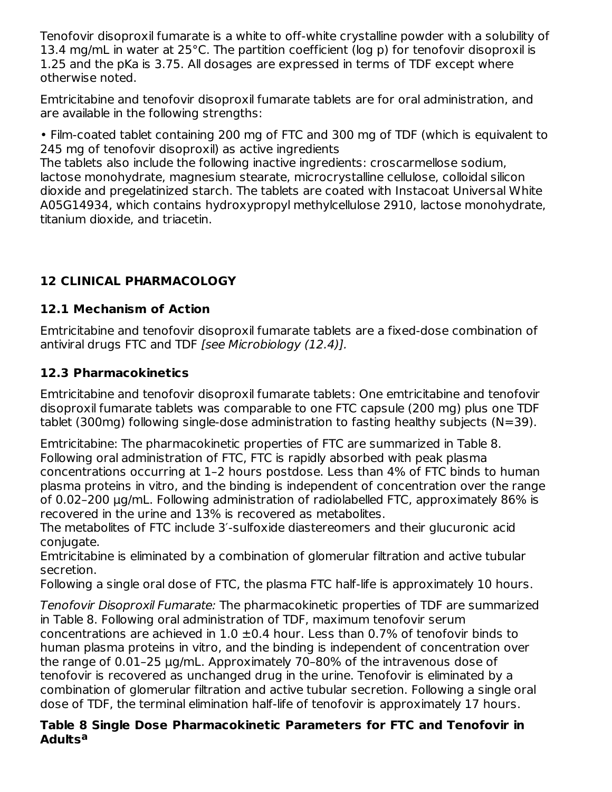Tenofovir disoproxil fumarate is a white to off-white crystalline powder with a solubility of 13.4 mg/mL in water at 25°C. The partition coefficient (log p) for tenofovir disoproxil is 1.25 and the pKa is 3.75. All dosages are expressed in terms of TDF except where otherwise noted.

Emtricitabine and tenofovir disoproxil fumarate tablets are for oral administration, and are available in the following strengths:

• Film-coated tablet containing 200 mg of FTC and 300 mg of TDF (which is equivalent to 245 mg of tenofovir disoproxil) as active ingredients

The tablets also include the following inactive ingredients: croscarmellose sodium, lactose monohydrate, magnesium stearate, microcrystalline cellulose, colloidal silicon dioxide and pregelatinized starch. The tablets are coated with Instacoat Universal White A05G14934, which contains hydroxypropyl methylcellulose 2910, lactose monohydrate, titanium dioxide, and triacetin.

# **12 CLINICAL PHARMACOLOGY**

## **12.1 Mechanism of Action**

Emtricitabine and tenofovir disoproxil fumarate tablets are a fixed-dose combination of antiviral drugs FTC and TDF [see Microbiology (12.4)].

## **12.3 Pharmacokinetics**

Emtricitabine and tenofovir disoproxil fumarate tablets: One emtricitabine and tenofovir disoproxil fumarate tablets was comparable to one FTC capsule (200 mg) plus one TDF tablet (300mg) following single-dose administration to fasting healthy subjects (N=39).

Emtricitabine: The pharmacokinetic properties of FTC are summarized in Table 8. Following oral administration of FTC, FTC is rapidly absorbed with peak plasma concentrations occurring at 1–2 hours postdose. Less than 4% of FTC binds to human plasma proteins in vitro, and the binding is independent of concentration over the range of 0.02–200 μg/mL. Following administration of radiolabelled FTC, approximately 86% is recovered in the urine and 13% is recovered as metabolites.

The metabolites of FTC include 3′-sulfoxide diastereomers and their glucuronic acid conjugate.

Emtricitabine is eliminated by a combination of glomerular filtration and active tubular secretion.

Following a single oral dose of FTC, the plasma FTC half-life is approximately 10 hours.

Tenofovir Disoproxil Fumarate: The pharmacokinetic properties of TDF are summarized in Table 8. Following oral administration of TDF, maximum tenofovir serum concentrations are achieved in  $1.0 \pm 0.4$  hour. Less than 0.7% of tenofovir binds to human plasma proteins in vitro, and the binding is independent of concentration over the range of 0.01–25 µg/mL. Approximately 70–80% of the intravenous dose of tenofovir is recovered as unchanged drug in the urine. Tenofovir is eliminated by a combination of glomerular filtration and active tubular secretion. Following a single oral dose of TDF, the terminal elimination half-life of tenofovir is approximately 17 hours.

#### **Table 8 Single Dose Pharmacokinetic Parameters for FTC and Tenofovir in Adults a**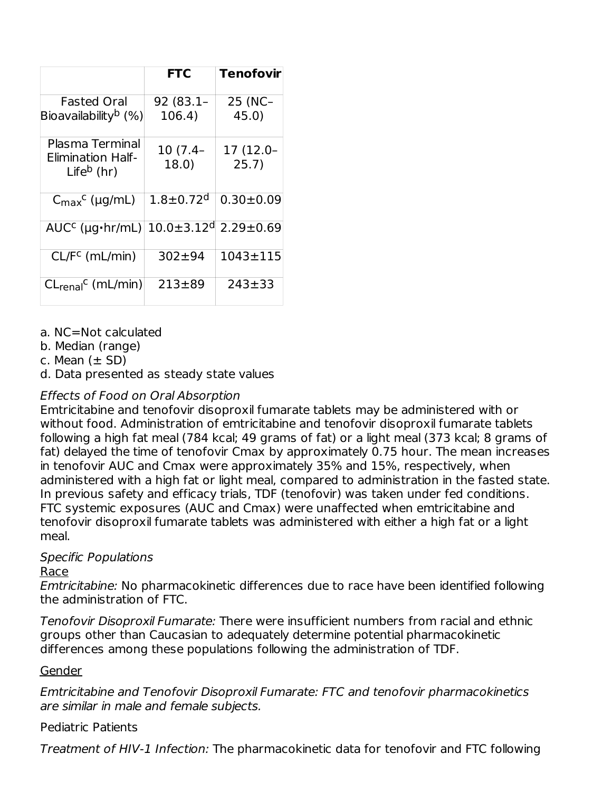|                                                              | <b>FTC</b>                   | <b>Tenofovir</b>   |
|--------------------------------------------------------------|------------------------------|--------------------|
| <b>Fasted Oral</b><br>Bioavailability <sup>b</sup> (%)       | 92 (83.1–<br>106.4)          | 25 (NC-<br>45.0)   |
| Plasma Terminal<br><b>Elimination Half-</b><br>Life $b$ (hr) | 10 (7.4–<br>18.0)            | 17 (12.0-<br>25.7) |
| $C_{\text{max}}^{\text{c}}$ (µg/mL)                          | $1.8 + 0.72$ <sup>d</sup>    | $0.30 \pm 0.09$    |
| $AUCc$ (µg $hr/mL$ )                                         | $10.0 \pm 3.12$ <sup>d</sup> | $2.29 \pm 0.69$    |
| $CL/Fc$ (mL/min)                                             | $302 + 94$                   | $1043 \pm 115$     |
| $CLrenalC$ (mL/min)                                          | $213 + 89$                   | $243 + 33$         |

a. NC=Not calculated

b. Median (range)

c. Mean  $(\pm$  SD)

d. Data presented as steady state values

### Effects of Food on Oral Absorption

Emtricitabine and tenofovir disoproxil fumarate tablets may be administered with or without food. Administration of emtricitabine and tenofovir disoproxil fumarate tablets following a high fat meal (784 kcal; 49 grams of fat) or a light meal (373 kcal; 8 grams of fat) delayed the time of tenofovir Cmax by approximately 0.75 hour. The mean increases in tenofovir AUC and Cmax were approximately 35% and 15%, respectively, when administered with a high fat or light meal, compared to administration in the fasted state. In previous safety and efficacy trials, TDF (tenofovir) was taken under fed conditions. FTC systemic exposures (AUC and Cmax) were unaffected when emtricitabine and tenofovir disoproxil fumarate tablets was administered with either a high fat or a light meal.

#### Specific Populations

#### Race

Emtricitabine: No pharmacokinetic differences due to race have been identified following the administration of FTC.

Tenofovir Disoproxil Fumarate: There were insufficient numbers from racial and ethnic groups other than Caucasian to adequately determine potential pharmacokinetic differences among these populations following the administration of TDF.

#### Gender

Emtricitabine and Tenofovir Disoproxil Fumarate: FTC and tenofovir pharmacokinetics are similar in male and female subjects.

### Pediatric Patients

Treatment of HIV-1 Infection: The pharmacokinetic data for tenofovir and FTC following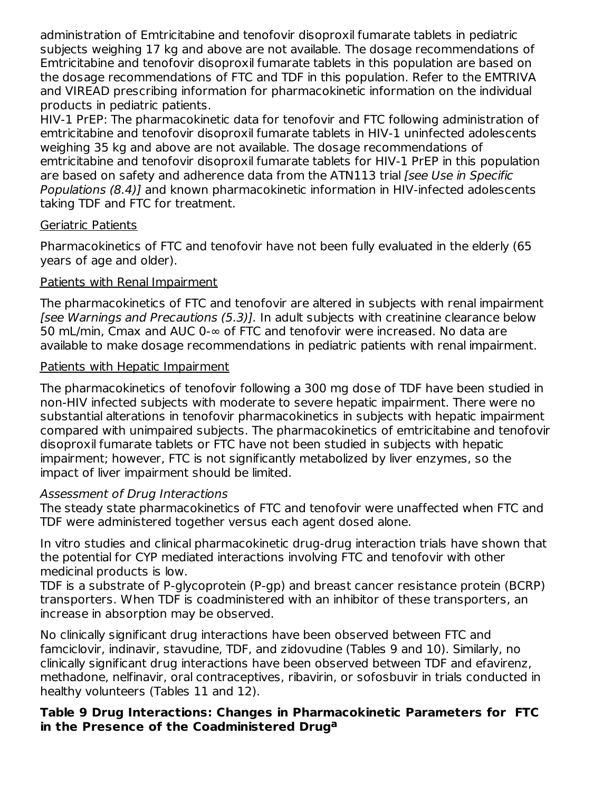administration of Emtricitabine and tenofovir disoproxil fumarate tablets in pediatric subjects weighing 17 kg and above are not available. The dosage recommendations of Emtricitabine and tenofovir disoproxil fumarate tablets in this population are based on the dosage recommendations of FTC and TDF in this population. Refer to the EMTRIVA and VIREAD prescribing information for pharmacokinetic information on the individual products in pediatric patients.

HIV-1 PrEP: The pharmacokinetic data for tenofovir and FTC following administration of emtricitabine and tenofovir disoproxil fumarate tablets in HIV-1 uninfected adolescents weighing 35 kg and above are not available. The dosage recommendations of emtricitabine and tenofovir disoproxil fumarate tablets for HIV-1 PrEP in this population are based on safety and adherence data from the ATN113 trial [see Use in Specific Populations (8.4)] and known pharmacokinetic information in HIV-infected adolescents taking TDF and FTC for treatment.

### Geriatric Patients

Pharmacokinetics of FTC and tenofovir have not been fully evaluated in the elderly (65 years of age and older).

### Patients with Renal Impairment

The pharmacokinetics of FTC and tenofovir are altered in subjects with renal impairment [see Warnings and Precautions (5.3)]. In adult subjects with creatinine clearance below 50 mL/min, Cmax and AUC 0-∞ of FTC and tenofovir were increased. No data are available to make dosage recommendations in pediatric patients with renal impairment.

#### Patients with Hepatic Impairment

The pharmacokinetics of tenofovir following a 300 mg dose of TDF have been studied in non-HIV infected subjects with moderate to severe hepatic impairment. There were no substantial alterations in tenofovir pharmacokinetics in subjects with hepatic impairment compared with unimpaired subjects. The pharmacokinetics of emtricitabine and tenofovir disoproxil fumarate tablets or FTC have not been studied in subjects with hepatic impairment; however, FTC is not significantly metabolized by liver enzymes, so the impact of liver impairment should be limited.

#### Assessment of Drug Interactions

The steady state pharmacokinetics of FTC and tenofovir were unaffected when FTC and TDF were administered together versus each agent dosed alone.

In vitro studies and clinical pharmacokinetic drug-drug interaction trials have shown that the potential for CYP mediated interactions involving FTC and tenofovir with other medicinal products is low.

TDF is a substrate of P-glycoprotein (P-gp) and breast cancer resistance protein (BCRP) transporters. When TDF is coadministered with an inhibitor of these transporters, an increase in absorption may be observed.

No clinically significant drug interactions have been observed between FTC and famciclovir, indinavir, stavudine, TDF, and zidovudine (Tables 9 and 10). Similarly, no clinically significant drug interactions have been observed between TDF and efavirenz, methadone, nelfinavir, oral contraceptives, ribavirin, or sofosbuvir in trials conducted in healthy volunteers (Tables 11 and 12).

#### **Table 9 Drug Interactions: Changes in Pharmacokinetic Parameters for FTC in the Presence of the Coadministered Drug<sup>a</sup>**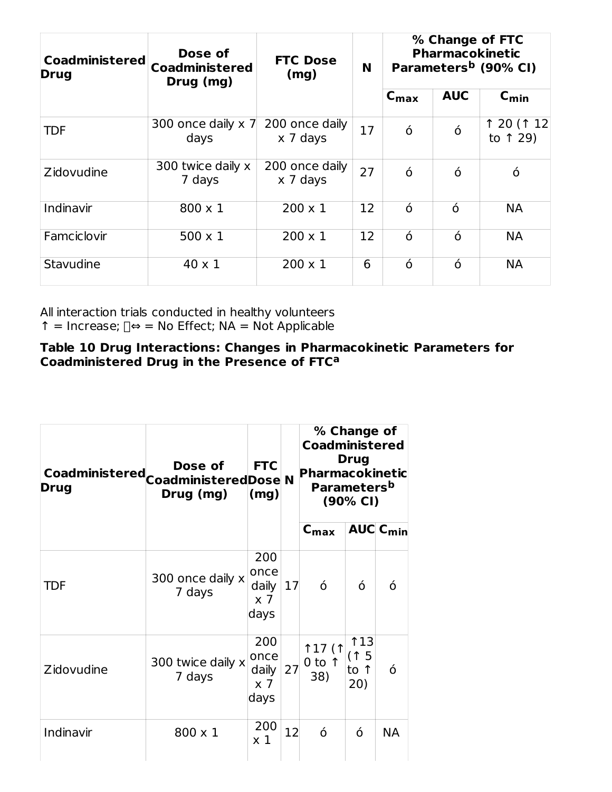| <b>Coadministered</b><br><b>Drug</b> | Dose of<br><b>Coadministered</b><br>Drug (mg) | <b>FTC Dose</b><br>(mg)    | N  |                  | % Change of FTC<br><b>Pharmacokinetic</b><br>Parameters <sup>b</sup> (90% CI) |                         |  |
|--------------------------------------|-----------------------------------------------|----------------------------|----|------------------|-------------------------------------------------------------------------------|-------------------------|--|
|                                      |                                               |                            |    | $C_{\text{max}}$ | <b>AUC</b>                                                                    | $C_{min}$               |  |
| TDF                                  | 300 once daily $\times$ 7<br>days             | 200 once daily<br>x 7 days | 17 | ó                | ó                                                                             | ↑ 20 (↑ 12)<br>to 1 29) |  |
| Zidovudine                           | 300 twice daily x<br>7 days                   | 200 once daily<br>x 7 days | 27 | ó                | ó                                                                             | ó                       |  |
| Indinavir                            | $800 \times 1$                                | $200 \times 1$             | 12 | ó                | ó                                                                             | <b>NA</b>               |  |
| Famciclovir                          | $500 \times 1$                                | $200 \times 1$             | 12 | ó                | $\acute{o}$                                                                   | <b>NA</b>               |  |
| Stavudine                            | 40 x 1                                        | $200 \times 1$             | 6  | ó                | ó                                                                             | <b>NA</b>               |  |

All interaction trials conducted in healthy volunteers ↑ = Increase;  $\Box \Leftrightarrow$  = No Effect; NA = Not Applicable

#### **Table 10 Drug Interactions: Changes in Pharmacokinetic Parameters for Coadministered Drug in the Presence of FTC a**

| Drug       | Dose of<br>Drug (mg)        | <b>Coadministered</b><br><b>Drug</b><br><b>FTC</b><br><b>Pharmacokinetic</b><br>Coadministered Coadministered Dose N<br>Parameters <sup>b</sup><br>(mg)<br>$(90\% \text{ Cl})$ |    | % Change of                               |                            |                 |  |  |
|------------|-----------------------------|--------------------------------------------------------------------------------------------------------------------------------------------------------------------------------|----|-------------------------------------------|----------------------------|-----------------|--|--|
|            |                             |                                                                                                                                                                                |    | $c_{\text{max}}$                          |                            | <b>AUC Cmin</b> |  |  |
| <b>TDF</b> | 300 once daily x<br>7 days  | 200<br>once<br>daily<br>$\times$ 7<br>days                                                                                                                                     | 17 | ó                                         | ó                          | ó               |  |  |
| Zidovudine | 300 twice daily x<br>7 days | 200<br>once<br>daily<br>$\times$ 7<br>days                                                                                                                                     | 27 | <b>117 (1</b><br>$0$ to $\uparrow$<br>38) | 113<br>(↑ 5<br>to 1<br>20) | ó               |  |  |
| Indinavir  | $800 \times 1$              | 200<br>$\times 1$                                                                                                                                                              | 12 | ó                                         | ó                          | <b>NA</b>       |  |  |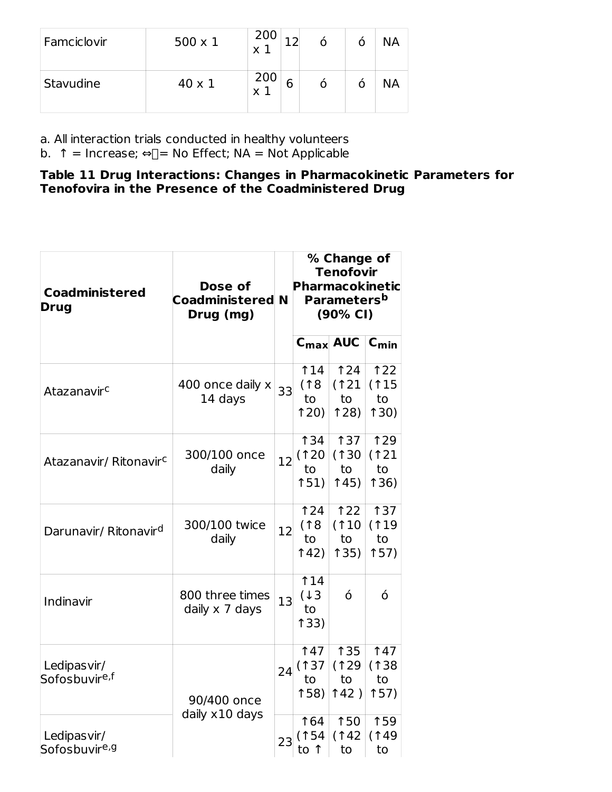| Famciclovir | $500 \times 1$ | 200<br>X |   |  | <b>NA</b> |
|-------------|----------------|----------|---|--|-----------|
| Stavudine   | $40 \times 1$  | 200<br>X | 6 |  | NА        |

a. All interaction trials conducted in healthy volunteers

b. ↑ = Increase; ⇔ $\Box$ = No Effect; NA = Not Applicable

#### **Table 11 Drug Interactions: Changes in Pharmacokinetic Parameters for Tenofovira in the Presence of the Coadministered Drug**

| <b>Coadministered</b><br><b>Drug</b>     | Dose of<br><b>Coadministered N</b><br>Drug (mg) |    | % Change of<br><b>Tenofovir</b><br><b>Pharmacokinetic</b><br>Parameters <sup>b</sup><br>(90% CI) |                                   |                                   |  |
|------------------------------------------|-------------------------------------------------|----|--------------------------------------------------------------------------------------------------|-----------------------------------|-----------------------------------|--|
|                                          |                                                 |    | $C_{\text{max}}$                                                                                 | <b>AUC</b>                        | $C_{\text{min}}$                  |  |
| Atazanavir <sup>c</sup>                  | 400 once daily x<br>14 days                     | 33 | 14<br>(18)<br>to<br>120                                                                          | 124<br>(121)<br>to<br>128         | 122<br>(115<br>to<br>130)         |  |
| Atazanavir/ Ritonavir <sup>c</sup>       | 300/100 once<br>daily                           | 12 | <b>134</b><br>(120)<br>to<br>151)                                                                | <b>137</b><br>(130)<br>to<br>145) | <b>129</b><br>(121)<br>to<br>136) |  |
| Darunavir/ Ritonavir <sup>d</sup>        | 300/100 twice<br>daily                          | 12 | 124<br>(18)<br>to<br>142)                                                                        | 122<br>(110<br>to<br>135)         | <b>137</b><br>(119<br>to<br>157)  |  |
| Indinavir                                | 800 three times<br>daily x 7 days               | 13 | 14<br>(13)<br>to<br>133)                                                                         | ó                                 | ó                                 |  |
| Ledipasvir/<br>Sofosbuvir <sup>e,f</sup> | 90/400 once                                     |    | 147<br>(137)<br>24<br>to<br>158)                                                                 | <b>135</b><br>(129<br>to<br>142)  | <b>147</b><br>(138)<br>to<br>157) |  |
| Ledipasvir/<br>Sofosbuvir <sup>e,g</sup> | daily x10 days                                  | 23 | 164<br>(154)<br>to 1                                                                             | 150<br>(142)<br>to                | 159<br>(149)<br>to                |  |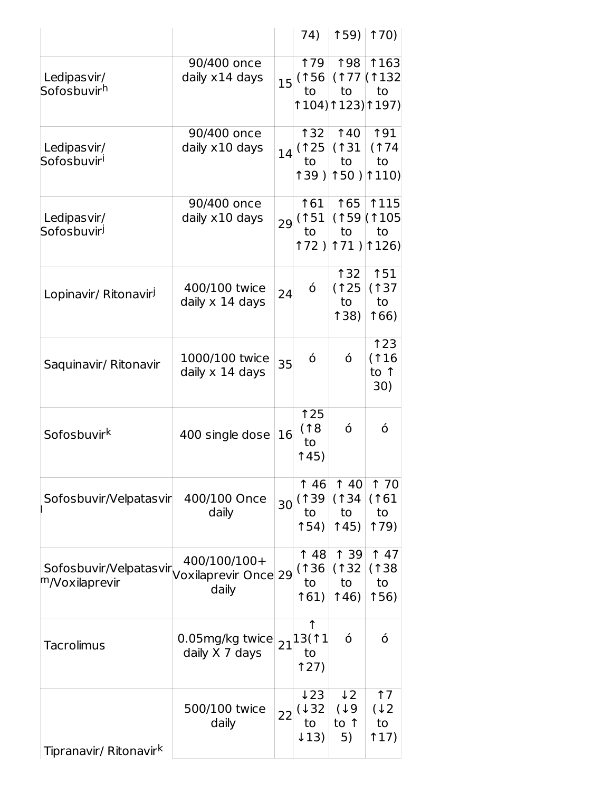|                                                                           |                                   |    | 74)                                         | 159                                     | <b>170)</b>                                          |
|---------------------------------------------------------------------------|-----------------------------------|----|---------------------------------------------|-----------------------------------------|------------------------------------------------------|
| Ledipasvir/<br>Sofosbuvir <sup>h</sup>                                    | 90/400 once<br>daily x14 days     |    | <b>179</b><br>$15$ (156<br>to               | <b>198</b><br>to                        | <b>1163</b><br>(177)(132)<br>to<br>↑104) ↑123) ↑197) |
| Ledipasvir/<br>Sofosbuvir <sup>i</sup>                                    | 90/400 once<br>daily x10 days     |    | ↑32<br>14(125)(131)<br>to<br>139)           | <b>140</b><br>to                        | 191<br>(174)<br>to<br>$150$ ) $110$                  |
| Ledipasvir/<br>Sofosbuvir <sup>j</sup>                                    | 90/400 once<br>daily x10 days     | 29 | 161<br>(151)<br>to<br>172)                  | 165<br>to                               | <b>1115</b><br>(159)(1105<br>to<br>$171$ ) $126$     |
| Lopinavir/ Ritonavir <sup>J</sup>                                         | 400/100 twice<br>daily x 14 days  | 24 | ó                                           | <b>132</b><br>(125<br>to<br><b>138)</b> | 151<br>(137)<br>to<br>166)                           |
| Saquinavir/ Ritonavir                                                     | 1000/100 twice<br>daily x 14 days | 35 | ó                                           | ó                                       | 123<br>(116<br>to 1<br>30)                           |
| Sofosbuvir <sup>k</sup>                                                   | 400 single dose                   | 16 | 125<br>(18)<br>to<br>î 45)                  | ó                                       | ó                                                    |
| Sofosbuvir/Velpatasvir                                                    | 400/100 Once<br>daily             | 30 | $\uparrow$ 46<br>(139)<br>to<br><b>154)</b> | $\uparrow$ 40<br>(134)<br>to<br>145)    | 1 70<br>(161)<br>to<br>179)                          |
| Sofosbuvir/Velpatasvir/Voxilaprevir Once 29<br><sup>m</sup> /Voxilaprevir | 400/100/100+<br>daily             |    | 148<br>(136<br>to<br>161)                   | 1 39<br>(132)<br>to<br>146)             | 147<br>(138)<br>to<br>156)                           |
| <b>Tacrolimus</b>                                                         | 0.05mg/kg twice<br>daily X 7 days |    | ↑<br>$21^{13(11)}$<br>to<br>127)            | ó                                       | ó                                                    |
| Tipranavir/ Ritonavir <sup>k</sup>                                        | 500/100 twice<br>daily            | 22 | ↓23<br>(132)<br>to<br>$\downarrow$ 13)      | $\downarrow$ 2<br>(19<br>to ↑<br>5)     | 17<br>(12)<br>to<br>117)                             |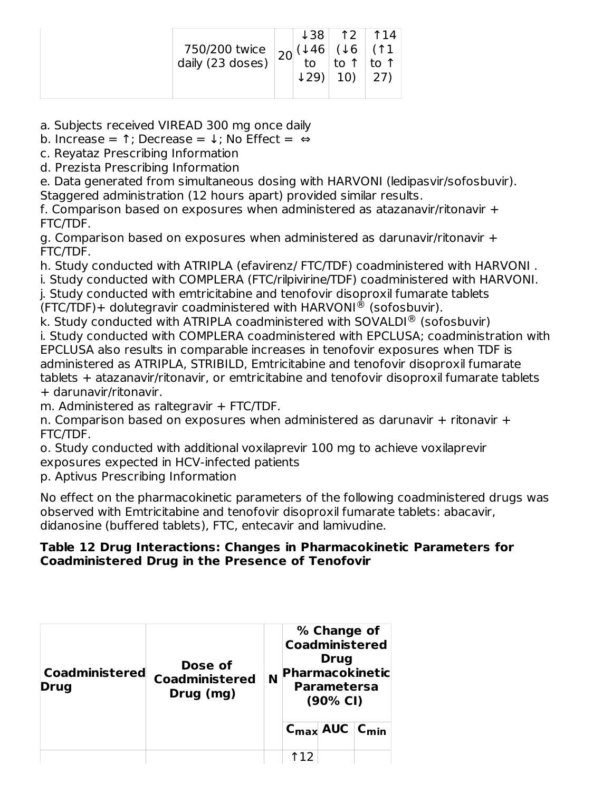| 750/200 twice $\begin{vmatrix} 20 & 46 \\ 10 & 6 \end{vmatrix}$ (46 |  | $\downarrow$ 29) |  | $ 138 $ 12   114<br>(↑1)<br>∣ to ↑ |
|---------------------------------------------------------------------|--|------------------|--|------------------------------------|
|---------------------------------------------------------------------|--|------------------|--|------------------------------------|

a. Subjects received VIREAD 300 mg once daily

b. Increase =  $\uparrow$ ; Decrease =  $\downarrow$ ; No Effect = ⇔

c. Reyataz Prescribing Information

d. Prezista Prescribing Information

e. Data generated from simultaneous dosing with HARVONI (ledipasvir/sofosbuvir). Staggered administration (12 hours apart) provided similar results.

f. Comparison based on exposures when administered as atazanavir/ritonavir + FTC/TDF.

g. Comparison based on exposures when administered as darunavir/ritonavir + FTC/TDF.

h. Study conducted with ATRIPLA (efavirenz/ FTC/TDF) coadministered with HARVONI . i. Study conducted with COMPLERA (FTC/rilpivirine/TDF) coadministered with HARVONI. j. Study conducted with emtricitabine and tenofovir disoproxil fumarate tablets

 $(FTC/TDF)$ + dolutegravir coadministered with HARVONI® (sofosbuvir).

k. Study conducted with ATRIPLA coadministered with SOVALDI $^{\circledR}$  (sofosbuvir) i. Study conducted with COMPLERA coadministered with EPCLUSA; coadministration with EPCLUSA also results in comparable increases in tenofovir exposures when TDF is administered as ATRIPLA, STRIBILD, Emtricitabine and tenofovir disoproxil fumarate tablets + atazanavir/ritonavir, or emtricitabine and tenofovir disoproxil fumarate tablets + darunavir/ritonavir.

m. Administered as raltegravir + FTC/TDF.

n. Comparison based on exposures when administered as darunavir + ritonavir + FTC/TDF.

o. Study conducted with additional voxilaprevir 100 mg to achieve voxilaprevir exposures expected in HCV-infected patients

p. Aptivus Prescribing Information

No effect on the pharmacokinetic parameters of the following coadministered drugs was observed with Emtricitabine and tenofovir disoproxil fumarate tablets: abacavir, didanosine (buffered tablets), FTC, entecavir and lamivudine.

#### **Table 12 Drug Interactions: Changes in Pharmacokinetic Parameters for Coadministered Drug in the Presence of Tenofovir**

| <b>Coadministered</b><br><b>Drug</b> | Dose of<br><b>Coadministered</b><br>Drug (mg) | N | % Change of<br><b>Coadministered</b><br><b>Drug</b><br><b>Pharmacokinetic</b><br><b>Parametersa</b><br>$(90\% \text{ Cl})$ |                                       |  |
|--------------------------------------|-----------------------------------------------|---|----------------------------------------------------------------------------------------------------------------------------|---------------------------------------|--|
|                                      |                                               |   |                                                                                                                            | $C_{\text{max}}$ AUC $C_{\text{min}}$ |  |
|                                      |                                               |   |                                                                                                                            |                                       |  |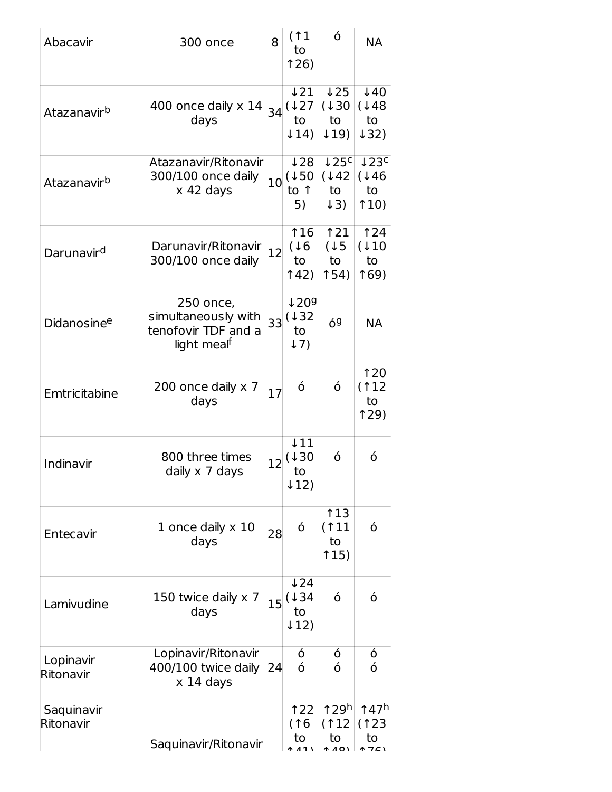| Abacavir                | 8<br>300 once                                                                      |    | (11)<br>to<br>126)                                        | ó                                                              | <b>NA</b>                                           |
|-------------------------|------------------------------------------------------------------------------------|----|-----------------------------------------------------------|----------------------------------------------------------------|-----------------------------------------------------|
| Atazanavir <sup>b</sup> | 400 once daily $\times$ 14<br>days                                                 |    | $\downarrow$ 21<br>$34^{(127)}$<br>to<br>$\downarrow$ 14) | $\sqrt{25}$<br>(130)<br>to<br>$\downarrow$ 19)                 | $\downarrow$ 40<br>(148)<br>to<br>$\downarrow$ 32)  |
| Atazanavir <sup>b</sup> | Atazanavir/Ritonavir<br>300/100 once daily<br>$x$ 42 days                          |    | 128<br>$10^{(150)}$<br>to 1<br>5)                         | $\downarrow$ 25 <sup>c</sup><br>(142)<br>to<br>$\downarrow$ 3) | $\downarrow$ 23 <sup>c</sup><br>(146)<br>to<br>110) |
| Darunavir <sup>d</sup>  | Darunavir/Ritonavir<br>300/100 once daily                                          | 12 | 116<br>(16)<br>to<br>142)                                 | 121<br>(15<br>to<br>154)                                       | <b>124</b><br>(110)<br>to<br>169)                   |
| Didanosinee             | 250 once,<br>simultaneously with<br>tenofovir TDF and a<br>light meal <sup>f</sup> | 33 | 1209<br>(132)<br>to<br>$\downarrow$ 7)                    | 69                                                             | <b>NA</b>                                           |
| Emtricitabine           | 200 once daily x 7<br>days                                                         | 17 | ó                                                         | ó                                                              | 120<br>(112)<br>to<br>129                           |
| Indinavir               | 800 three times<br>daily x 7 days                                                  | 12 | $\downarrow$ 11<br>(130)<br>to<br>$\downarrow$ 12)        | ó                                                              | ó                                                   |
| Entecavir               | 1 once daily x 10<br>days                                                          | 28 | ó                                                         | 13<br>(11)<br>to<br>115)                                       | ó                                                   |
| Lamivudine              | 150 twice daily x 7<br>days                                                        | 15 | $\downarrow$ 24<br>(134)<br>to<br>$\downarrow$ 12)        | ó                                                              | ó                                                   |
| Lopinavir<br>Ritonavir  | Lopinavir/Ritonavir<br>400/100 twice daily<br>$x$ 14 days                          | 24 | ó<br>ó                                                    | ó<br>ó                                                         | ó<br>ó                                              |
| Saquinavir<br>Ritonavir | Saquinavir/Ritonavir                                                               |    | 122<br>(16<br>to                                          | 129 <sup>h</sup><br>(112)<br>to<br><b>A 40)</b>                | 147 <sup>h</sup><br>(123)<br>to<br><b>↑ フC\</b>     |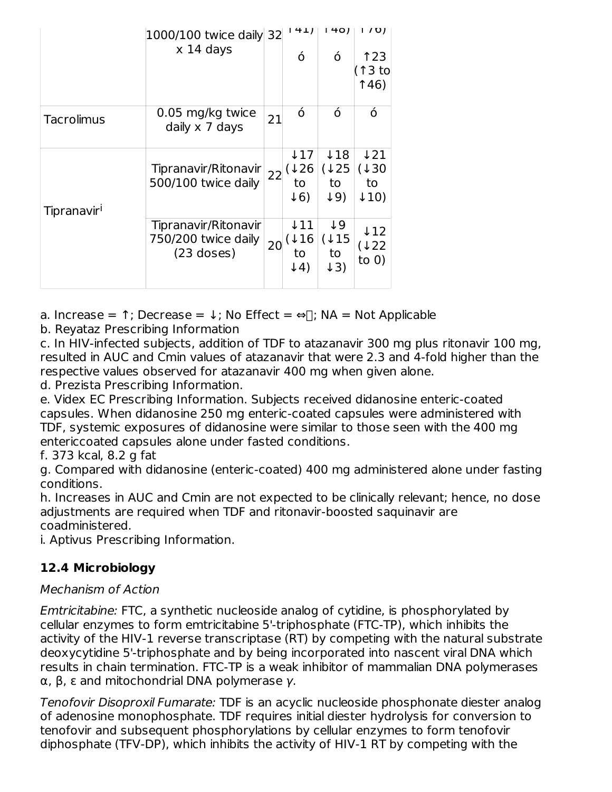|                         | 1000/100 twice daily 32<br>$x$ 14 days |    | 141                   | 1401                  | 1/01             |
|-------------------------|----------------------------------------|----|-----------------------|-----------------------|------------------|
|                         |                                        |    | ó                     | ó                     | 123<br>(↑3 to    |
|                         |                                        |    |                       |                       | 146)             |
| <b>Tacrolimus</b>       | 0.05 mg/kg twice<br>daily x 7 days     | 21 | ó                     | Ó                     | ó                |
|                         |                                        |    | ↓17                   | ↓18                   | 121              |
|                         | Tipranavir/Ritonavir                   | 22 | $\downarrow$ 26       | (125)                 | (130)            |
|                         | 500/100 twice daily                    |    | to                    | to                    | to               |
| Tipranavir <sup>i</sup> |                                        |    | $\downarrow$ 6)       | $\downarrow$ 9)       | $\downarrow$ 10) |
|                         | Tipranavir/Ritonavir                   |    | ↓11                   | ↓9                    | $\downarrow$ 12  |
|                         | 750/200 twice daily                    | 20 | ↓16                   | (115)                 | (↓22             |
|                         | $(23$ doses)                           |    | to<br>$\downarrow$ 4) | to<br>$\downarrow$ 3) | to $0)$          |
|                         |                                        |    |                       |                       |                  |

a. Increase =  $\uparrow$ ; Decrease =  $\downarrow$ ; No Effect =  $\Leftrightarrow$   $\uparrow$ ; NA = Not Applicable

b. Reyataz Prescribing Information

c. In HIV-infected subjects, addition of TDF to atazanavir 300 mg plus ritonavir 100 mg, resulted in AUC and Cmin values of atazanavir that were 2.3 and 4-fold higher than the respective values observed for atazanavir 400 mg when given alone.

d. Prezista Prescribing Information.

e. Videx EC Prescribing Information. Subjects received didanosine enteric-coated capsules. When didanosine 250 mg enteric-coated capsules were administered with TDF, systemic exposures of didanosine were similar to those seen with the 400 mg entericcoated capsules alone under fasted conditions.

f. 373 kcal, 8.2 g fat

g. Compared with didanosine (enteric-coated) 400 mg administered alone under fasting conditions.

h. Increases in AUC and Cmin are not expected to be clinically relevant; hence, no dose adjustments are required when TDF and ritonavir-boosted saquinavir are coadministered.

i. Aptivus Prescribing Information.

## **12.4 Microbiology**

### Mechanism of Action

Emtricitabine: FTC, a synthetic nucleoside analog of cytidine, is phosphorylated by cellular enzymes to form emtricitabine 5'-triphosphate (FTC-TP), which inhibits the activity of the HIV-1 reverse transcriptase (RT) by competing with the natural substrate deoxycytidine 5'-triphosphate and by being incorporated into nascent viral DNA which results in chain termination. FTC-TP is a weak inhibitor of mammalian DNA polymerases α, β, ε and mitochondrial DNA polymerase γ.

Tenofovir Disoproxil Fumarate: TDF is an acyclic nucleoside phosphonate diester analog of adenosine monophosphate. TDF requires initial diester hydrolysis for conversion to tenofovir and subsequent phosphorylations by cellular enzymes to form tenofovir diphosphate (TFV-DP), which inhibits the activity of HIV-1 RT by competing with the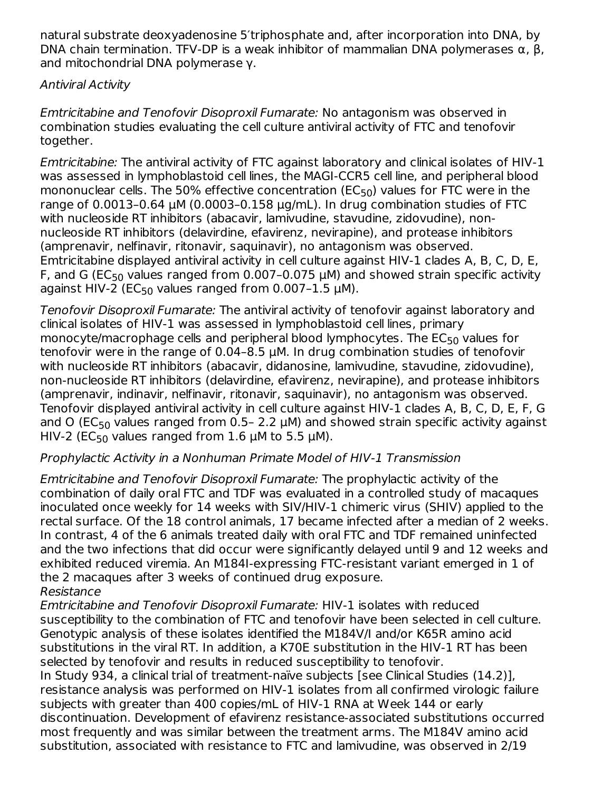natural substrate deoxyadenosine 5′triphosphate and, after incorporation into DNA, by DNA chain termination. TFV-DP is a weak inhibitor of mammalian DNA polymerases  $\alpha$ ,  $\beta$ , and mitochondrial DNA polymerase γ.

### Antiviral Activity

Emtricitabine and Tenofovir Disoproxil Fumarate: No antagonism was observed in combination studies evaluating the cell culture antiviral activity of FTC and tenofovir together.

Emtricitabine: The antiviral activity of FTC against laboratory and clinical isolates of HIV-1 was assessed in lymphoblastoid cell lines, the MAGI-CCR5 cell line, and peripheral blood mononuclear cells. The 50% effective concentration (EC $_{50}$ ) values for FTC were in the range of 0.0013-0.64  $\mu$ M (0.0003-0.158  $\mu$ g/mL). In drug combination studies of FTC with nucleoside RT inhibitors (abacavir, lamivudine, stavudine, zidovudine), nonnucleoside RT inhibitors (delavirdine, efavirenz, nevirapine), and protease inhibitors (amprenavir, nelfinavir, ritonavir, saquinavir), no antagonism was observed. Emtricitabine displayed antiviral activity in cell culture against HIV-1 clades A, B, C, D, E, F, and G (EC<sub>50</sub> values ranged from 0.007–0.075  $\mu$ M) and showed strain specific activity against HIV-2 (EC $_{50}$  values ranged from 0.007-1.5  $\mu$ M).

Tenofovir Disoproxil Fumarate: The antiviral activity of tenofovir against laboratory and clinical isolates of HIV-1 was assessed in lymphoblastoid cell lines, primary monocyte/macrophage cells and peripheral blood lymphocytes. The  $\mathsf{EC}_{50}$  values for tenofovir were in the range of 0.04–8.5 μM. In drug combination studies of tenofovir with nucleoside RT inhibitors (abacavir, didanosine, lamivudine, stavudine, zidovudine), non-nucleoside RT inhibitors (delavirdine, efavirenz, nevirapine), and protease inhibitors (amprenavir, indinavir, nelfinavir, ritonavir, saquinavir), no antagonism was observed. Tenofovir displayed antiviral activity in cell culture against HIV-1 clades A, B, C, D, E, F, G and O (EC $_{50}$  values ranged from 0.5- 2.2  $\mu$ M) and showed strain specific activity against HIV-2 (EC<sub>50</sub> values ranged from 1.6  $\mu$ M to 5.5  $\mu$ M).

#### Prophylactic Activity in a Nonhuman Primate Model of HIV-1 Transmission

Emtricitabine and Tenofovir Disoproxil Fumarate: The prophylactic activity of the combination of daily oral FTC and TDF was evaluated in a controlled study of macaques inoculated once weekly for 14 weeks with SIV/HIV-1 chimeric virus (SHIV) applied to the rectal surface. Of the 18 control animals, 17 became infected after a median of 2 weeks. In contrast, 4 of the 6 animals treated daily with oral FTC and TDF remained uninfected and the two infections that did occur were significantly delayed until 9 and 12 weeks and exhibited reduced viremia. An M184I-expressing FTC-resistant variant emerged in 1 of the 2 macaques after 3 weeks of continued drug exposure. Resistance

Emtricitabine and Tenofovir Disoproxil Fumarate: HIV-1 isolates with reduced susceptibility to the combination of FTC and tenofovir have been selected in cell culture. Genotypic analysis of these isolates identified the M184V/I and/or K65R amino acid substitutions in the viral RT. In addition, a K70E substitution in the HIV-1 RT has been selected by tenofovir and results in reduced susceptibility to tenofovir.

In Study 934, a clinical trial of treatment-naïve subjects [see Clinical Studies (14.2)], resistance analysis was performed on HIV-1 isolates from all confirmed virologic failure subjects with greater than 400 copies/mL of HIV-1 RNA at Week 144 or early discontinuation. Development of efavirenz resistance-associated substitutions occurred most frequently and was similar between the treatment arms. The M184V amino acid substitution, associated with resistance to FTC and lamivudine, was observed in 2/19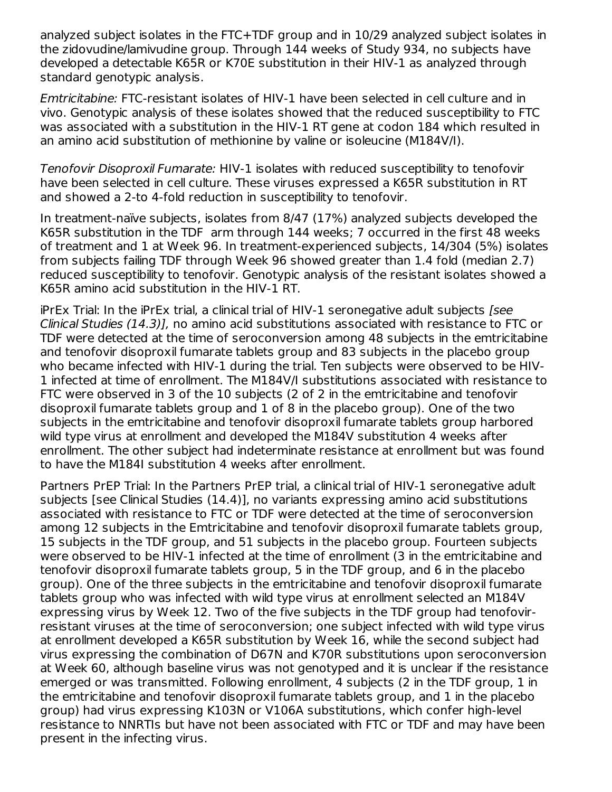analyzed subject isolates in the FTC+TDF group and in 10/29 analyzed subject isolates in the zidovudine/lamivudine group. Through 144 weeks of Study 934, no subjects have developed a detectable K65R or K70E substitution in their HIV-1 as analyzed through standard genotypic analysis.

Emtricitabine: FTC-resistant isolates of HIV-1 have been selected in cell culture and in vivo. Genotypic analysis of these isolates showed that the reduced susceptibility to FTC was associated with a substitution in the HIV-1 RT gene at codon 184 which resulted in an amino acid substitution of methionine by valine or isoleucine (M184V/I).

Tenofovir Disoproxil Fumarate: HIV-1 isolates with reduced susceptibility to tenofovir have been selected in cell culture. These viruses expressed a K65R substitution in RT and showed a 2-to 4-fold reduction in susceptibility to tenofovir.

In treatment-naïve subjects, isolates from 8/47 (17%) analyzed subjects developed the K65R substitution in the TDF arm through 144 weeks; 7 occurred in the first 48 weeks of treatment and 1 at Week 96. In treatment-experienced subjects, 14/304 (5%) isolates from subjects failing TDF through Week 96 showed greater than 1.4 fold (median 2.7) reduced susceptibility to tenofovir. Genotypic analysis of the resistant isolates showed a K65R amino acid substitution in the HIV-1 RT.

iPrEx Trial: In the iPrEx trial, a clinical trial of HIV-1 seronegative adult subjects [see Clinical Studies (14.3)], no amino acid substitutions associated with resistance to FTC or TDF were detected at the time of seroconversion among 48 subjects in the emtricitabine and tenofovir disoproxil fumarate tablets group and 83 subjects in the placebo group who became infected with HIV-1 during the trial. Ten subjects were observed to be HIV-1 infected at time of enrollment. The M184V/I substitutions associated with resistance to FTC were observed in 3 of the 10 subjects (2 of 2 in the emtricitabine and tenofovir disoproxil fumarate tablets group and 1 of 8 in the placebo group). One of the two subjects in the emtricitabine and tenofovir disoproxil fumarate tablets group harbored wild type virus at enrollment and developed the M184V substitution 4 weeks after enrollment. The other subject had indeterminate resistance at enrollment but was found to have the M184I substitution 4 weeks after enrollment.

Partners PrEP Trial: In the Partners PrEP trial, a clinical trial of HIV-1 seronegative adult subjects [see Clinical Studies (14.4)], no variants expressing amino acid substitutions associated with resistance to FTC or TDF were detected at the time of seroconversion among 12 subjects in the Emtricitabine and tenofovir disoproxil fumarate tablets group, 15 subjects in the TDF group, and 51 subjects in the placebo group. Fourteen subjects were observed to be HIV-1 infected at the time of enrollment (3 in the emtricitabine and tenofovir disoproxil fumarate tablets group, 5 in the TDF group, and 6 in the placebo group). One of the three subjects in the emtricitabine and tenofovir disoproxil fumarate tablets group who was infected with wild type virus at enrollment selected an M184V expressing virus by Week 12. Two of the five subjects in the TDF group had tenofovirresistant viruses at the time of seroconversion; one subject infected with wild type virus at enrollment developed a K65R substitution by Week 16, while the second subject had virus expressing the combination of D67N and K70R substitutions upon seroconversion at Week 60, although baseline virus was not genotyped and it is unclear if the resistance emerged or was transmitted. Following enrollment, 4 subjects (2 in the TDF group, 1 in the emtricitabine and tenofovir disoproxil fumarate tablets group, and 1 in the placebo group) had virus expressing K103N or V106A substitutions, which confer high-level resistance to NNRTIs but have not been associated with FTC or TDF and may have been present in the infecting virus.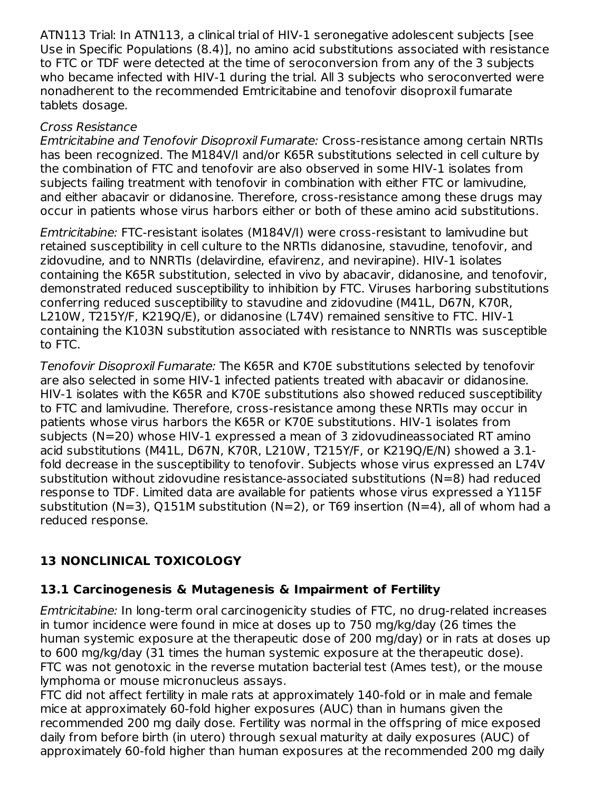ATN113 Trial: In ATN113, a clinical trial of HIV-1 seronegative adolescent subjects [see Use in Specific Populations (8.4)], no amino acid substitutions associated with resistance to FTC or TDF were detected at the time of seroconversion from any of the 3 subjects who became infected with HIV-1 during the trial. All 3 subjects who seroconverted were nonadherent to the recommended Emtricitabine and tenofovir disoproxil fumarate tablets dosage.

## Cross Resistance

Emtricitabine and Tenofovir Disoproxil Fumarate: Cross-resistance among certain NRTIs has been recognized. The M184V/I and/or K65R substitutions selected in cell culture by the combination of FTC and tenofovir are also observed in some HIV-1 isolates from subjects failing treatment with tenofovir in combination with either FTC or lamivudine, and either abacavir or didanosine. Therefore, cross-resistance among these drugs may occur in patients whose virus harbors either or both of these amino acid substitutions.

Emtricitabine: FTC-resistant isolates (M184V/I) were cross-resistant to lamivudine but retained susceptibility in cell culture to the NRTIs didanosine, stavudine, tenofovir, and zidovudine, and to NNRTIs (delavirdine, efavirenz, and nevirapine). HIV-1 isolates containing the K65R substitution, selected in vivo by abacavir, didanosine, and tenofovir, demonstrated reduced susceptibility to inhibition by FTC. Viruses harboring substitutions conferring reduced susceptibility to stavudine and zidovudine (M41L, D67N, K70R, L210W, T215Y/F, K219Q/E), or didanosine (L74V) remained sensitive to FTC. HIV-1 containing the K103N substitution associated with resistance to NNRTIs was susceptible to FTC.

Tenofovir Disoproxil Fumarate: The K65R and K70E substitutions selected by tenofovir are also selected in some HIV-1 infected patients treated with abacavir or didanosine. HIV-1 isolates with the K65R and K70E substitutions also showed reduced susceptibility to FTC and lamivudine. Therefore, cross-resistance among these NRTIs may occur in patients whose virus harbors the K65R or K70E substitutions. HIV-1 isolates from subjects (N=20) whose HIV-1 expressed a mean of 3 zidovudineassociated RT amino acid substitutions (M41L, D67N, K70R, L210W, T215Y/F, or K219Q/E/N) showed a 3.1 fold decrease in the susceptibility to tenofovir. Subjects whose virus expressed an L74V substitution without zidovudine resistance-associated substitutions (N=8) had reduced response to TDF. Limited data are available for patients whose virus expressed a Y115F substitution (N=3), Q151M substitution (N=2), or T69 insertion (N=4), all of whom had a reduced response.

# **13 NONCLINICAL TOXICOLOGY**

## **13.1 Carcinogenesis & Mutagenesis & Impairment of Fertility**

Emtricitabine: In long-term oral carcinogenicity studies of FTC, no drug-related increases in tumor incidence were found in mice at doses up to 750 mg/kg/day (26 times the human systemic exposure at the therapeutic dose of 200 mg/day) or in rats at doses up to 600 mg/kg/day (31 times the human systemic exposure at the therapeutic dose). FTC was not genotoxic in the reverse mutation bacterial test (Ames test), or the mouse lymphoma or mouse micronucleus assays.

FTC did not affect fertility in male rats at approximately 140-fold or in male and female mice at approximately 60-fold higher exposures (AUC) than in humans given the recommended 200 mg daily dose. Fertility was normal in the offspring of mice exposed daily from before birth (in utero) through sexual maturity at daily exposures (AUC) of approximately 60-fold higher than human exposures at the recommended 200 mg daily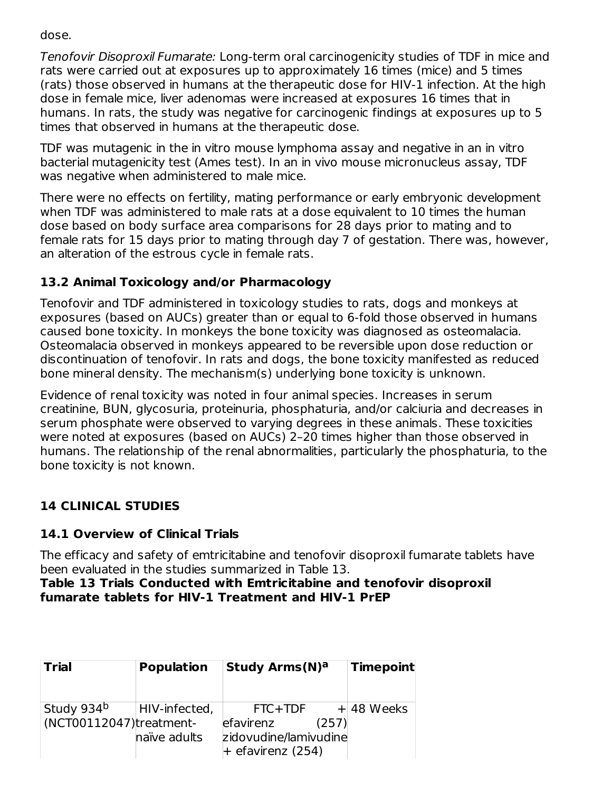dose.

Tenofovir Disoproxil Fumarate: Long-term oral carcinogenicity studies of TDF in mice and rats were carried out at exposures up to approximately 16 times (mice) and 5 times (rats) those observed in humans at the therapeutic dose for HIV-1 infection. At the high dose in female mice, liver adenomas were increased at exposures 16 times that in humans. In rats, the study was negative for carcinogenic findings at exposures up to 5 times that observed in humans at the therapeutic dose.

TDF was mutagenic in the in vitro mouse lymphoma assay and negative in an in vitro bacterial mutagenicity test (Ames test). In an in vivo mouse micronucleus assay, TDF was negative when administered to male mice.

There were no effects on fertility, mating performance or early embryonic development when TDF was administered to male rats at a dose equivalent to 10 times the human dose based on body surface area comparisons for 28 days prior to mating and to female rats for 15 days prior to mating through day 7 of gestation. There was, however, an alteration of the estrous cycle in female rats.

## **13.2 Animal Toxicology and/or Pharmacology**

Tenofovir and TDF administered in toxicology studies to rats, dogs and monkeys at exposures (based on AUCs) greater than or equal to 6-fold those observed in humans caused bone toxicity. In monkeys the bone toxicity was diagnosed as osteomalacia. Osteomalacia observed in monkeys appeared to be reversible upon dose reduction or discontinuation of tenofovir. In rats and dogs, the bone toxicity manifested as reduced bone mineral density. The mechanism(s) underlying bone toxicity is unknown.

Evidence of renal toxicity was noted in four animal species. Increases in serum creatinine, BUN, glycosuria, proteinuria, phosphaturia, and/or calciuria and decreases in serum phosphate were observed to varying degrees in these animals. These toxicities were noted at exposures (based on AUCs) 2–20 times higher than those observed in humans. The relationship of the renal abnormalities, particularly the phosphaturia, to the bone toxicity is not known.

# **14 CLINICAL STUDIES**

## **14.1 Overview of Clinical Trials**

The efficacy and safety of emtricitabine and tenofovir disoproxil fumarate tablets have been evaluated in the studies summarized in Table 13.

#### **Table 13 Trials Conducted with Emtricitabine and tenofovir disoproxil fumarate tablets for HIV-1 Treatment and HIV-1 PrEP**

| <b>Trial</b>            | <b>Population</b> | <b>Study Arms (N)a</b>                                             | <b>Timepoint</b> |
|-------------------------|-------------------|--------------------------------------------------------------------|------------------|
| Study 934 <sup>b</sup>  | HIV-infected,     | FTC+TDF                                                            | $+48$ Weeks      |
| (NCT00112047)treatment- | naïve adults      | efavirenz<br>(257)<br>zidovudine/lamivudine<br>$+$ efavirenz (254) |                  |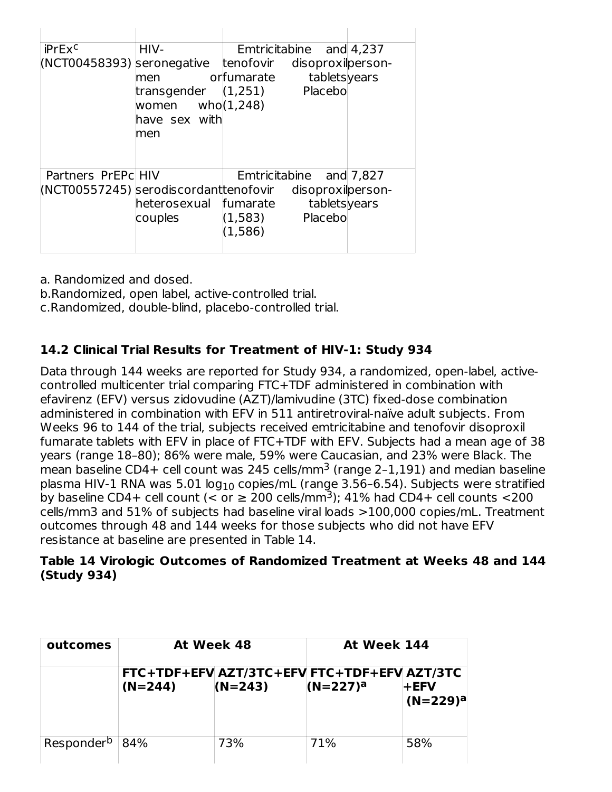| iPrEx <sup>c</sup><br>(NCT00458393) seronegative             | HIV-<br>men<br>transgender<br>women $who(1,248)$<br>have sex with<br>men | Emtricitabine and 4,237<br>tenofovir<br>disoproxilperson-<br>tabletsyears<br>orfumarate<br>Placebo<br>(1,251) |  |
|--------------------------------------------------------------|--------------------------------------------------------------------------|---------------------------------------------------------------------------------------------------------------|--|
| Partners PrEPc HIV<br>(NCT00557245) serodiscordant tenofovir | heterosexual<br>couples                                                  | Emtricitabine and 7,827<br>disoproxilperson-<br>tabletsyears<br>fumarate<br>Placebo<br>(1,583)<br>(1,586)     |  |

a. Randomized and dosed.

b.Randomized, open label, active-controlled trial.

c.Randomized, double-blind, placebo-controlled trial.

## **14.2 Clinical Trial Results for Treatment of HIV-1: Study 934**

Data through 144 weeks are reported for Study 934, a randomized, open-label, activecontrolled multicenter trial comparing FTC+TDF administered in combination with efavirenz (EFV) versus zidovudine (AZT)/lamivudine (3TC) fixed-dose combination administered in combination with EFV in 511 antiretroviral-naïve adult subjects. From Weeks 96 to 144 of the trial, subjects received emtricitabine and tenofovir disoproxil fumarate tablets with EFV in place of FTC+TDF with EFV. Subjects had a mean age of 38 years (range 18–80); 86% were male, 59% were Caucasian, and 23% were Black. The mean baseline CD4+ cell count was 245 cells/mm $^3$  (range 2–1,191) and median baseline plasma HIV-1 RNA was 5.01 log $_{10}$  copies/mL (range 3.56–6.54). Subjects were stratified by baseline CD4+ cell count (< or  $\geq 200$  cells/mm<sup>3</sup>); 41% had CD4+ cell counts <200 cells/mm3 and 51% of subjects had baseline viral loads >100,000 copies/mL. Treatment outcomes through 48 and 144 weeks for those subjects who did not have EFV resistance at baseline are presented in Table 14.

### **Table 14 Virologic Outcomes of Randomized Treatment at Weeks 48 and 144 (Study 934)**

| outcomes                   | At Week 48 |           | At Week 144                                                |                        |  |
|----------------------------|------------|-----------|------------------------------------------------------------|------------------------|--|
|                            | $(N=244)$  | $(N=243)$ | FTC+TDF+EFV AZT/3TC+EFV FTC+TDF+EFV AZT/3TC<br>$(N=227)^a$ | $+$ EFV<br>$(N=229)^a$ |  |
| Responder <sup>b</sup> 84% |            | 73%       | 71%                                                        | 58%                    |  |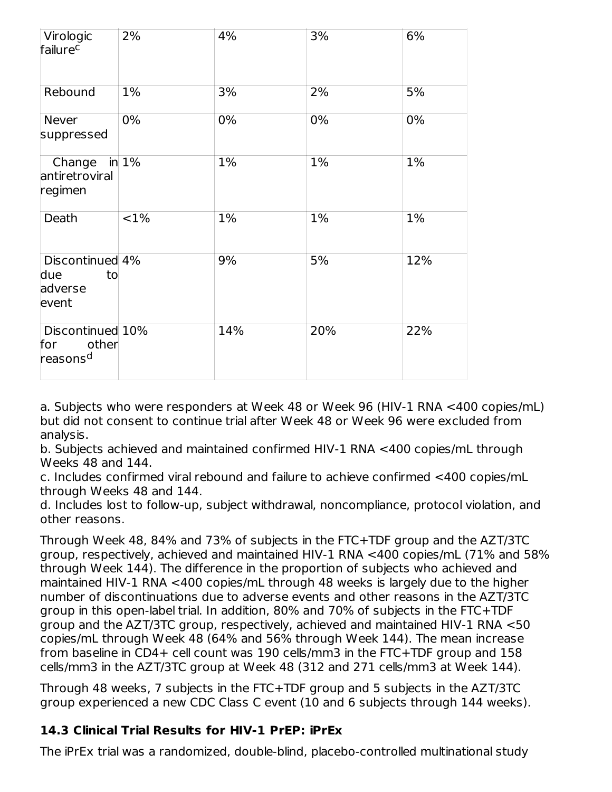| Virologic<br>failurec                                    | 2%       | 4%  | 3%  | 6%  |
|----------------------------------------------------------|----------|-----|-----|-----|
| Rebound                                                  | 1%       | 3%  | 2%  | 5%  |
| Never<br>suppressed                                      | 0%       | 0%  | 0%  | 0%  |
| Change<br>antiretroviral<br>regimen                      | in $1\%$ | 1%  | 1%  | 1%  |
| Death                                                    | <1%      | 1%  | 1%  | 1%  |
| Discontinued 4%<br>due<br>to<br>adverse<br>event         |          | 9%  | 5%  | 12% |
| Discontinued 10%<br>other<br>for<br>reasons <sup>d</sup> |          | 14% | 20% | 22% |

a. Subjects who were responders at Week 48 or Week 96 (HIV-1 RNA <400 copies/mL) but did not consent to continue trial after Week 48 or Week 96 were excluded from analysis.

b. Subjects achieved and maintained confirmed HIV-1 RNA <400 copies/mL through Weeks 48 and 144.

c. Includes confirmed viral rebound and failure to achieve confirmed <400 copies/mL through Weeks 48 and 144.

d. Includes lost to follow-up, subject withdrawal, noncompliance, protocol violation, and other reasons.

Through Week 48, 84% and 73% of subjects in the FTC+TDF group and the AZT/3TC group, respectively, achieved and maintained HIV-1 RNA <400 copies/mL (71% and 58% through Week 144). The difference in the proportion of subjects who achieved and maintained HIV-1 RNA <400 copies/mL through 48 weeks is largely due to the higher number of discontinuations due to adverse events and other reasons in the AZT/3TC group in this open-label trial. In addition, 80% and 70% of subjects in the FTC+TDF group and the AZT/3TC group, respectively, achieved and maintained HIV-1 RNA <50 copies/mL through Week 48 (64% and 56% through Week 144). The mean increase from baseline in CD4+ cell count was 190 cells/mm3 in the FTC+TDF group and 158 cells/mm3 in the AZT/3TC group at Week 48 (312 and 271 cells/mm3 at Week 144).

Through 48 weeks, 7 subjects in the FTC+TDF group and 5 subjects in the AZT/3TC group experienced a new CDC Class C event (10 and 6 subjects through 144 weeks).

## **14.3 Clinical Trial Results for HIV-1 PrEP: iPrEx**

The iPrEx trial was a randomized, double-blind, placebo-controlled multinational study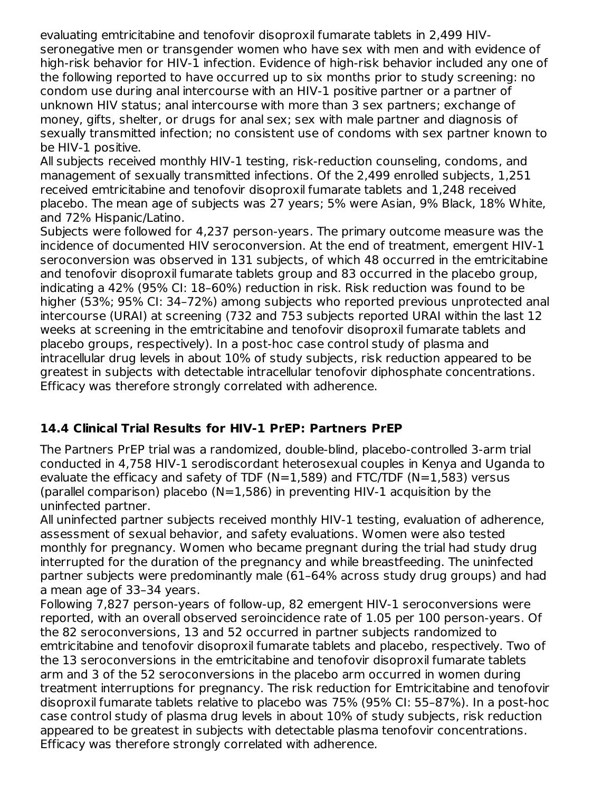evaluating emtricitabine and tenofovir disoproxil fumarate tablets in 2,499 HIVseronegative men or transgender women who have sex with men and with evidence of high-risk behavior for HIV-1 infection. Evidence of high-risk behavior included any one of the following reported to have occurred up to six months prior to study screening: no condom use during anal intercourse with an HIV-1 positive partner or a partner of unknown HIV status; anal intercourse with more than 3 sex partners; exchange of money, gifts, shelter, or drugs for anal sex; sex with male partner and diagnosis of sexually transmitted infection; no consistent use of condoms with sex partner known to be HIV-1 positive.

All subjects received monthly HIV-1 testing, risk-reduction counseling, condoms, and management of sexually transmitted infections. Of the 2,499 enrolled subjects, 1,251 received emtricitabine and tenofovir disoproxil fumarate tablets and 1,248 received placebo. The mean age of subjects was 27 years; 5% were Asian, 9% Black, 18% White, and 72% Hispanic/Latino.

Subjects were followed for 4,237 person-years. The primary outcome measure was the incidence of documented HIV seroconversion. At the end of treatment, emergent HIV-1 seroconversion was observed in 131 subjects, of which 48 occurred in the emtricitabine and tenofovir disoproxil fumarate tablets group and 83 occurred in the placebo group, indicating a 42% (95% CI: 18–60%) reduction in risk. Risk reduction was found to be higher (53%; 95% CI: 34–72%) among subjects who reported previous unprotected anal intercourse (URAI) at screening (732 and 753 subjects reported URAI within the last 12 weeks at screening in the emtricitabine and tenofovir disoproxil fumarate tablets and placebo groups, respectively). In a post-hoc case control study of plasma and intracellular drug levels in about 10% of study subjects, risk reduction appeared to be greatest in subjects with detectable intracellular tenofovir diphosphate concentrations. Efficacy was therefore strongly correlated with adherence.

## **14.4 Clinical Trial Results for HIV-1 PrEP: Partners PrEP**

The Partners PrEP trial was a randomized, double-blind, placebo-controlled 3-arm trial conducted in 4,758 HIV-1 serodiscordant heterosexual couples in Kenya and Uganda to evaluate the efficacy and safety of TDF ( $N=1,589$ ) and FTC/TDF ( $N=1,583$ ) versus (parallel comparison) placebo ( $N=1,586$ ) in preventing HIV-1 acquisition by the uninfected partner.

All uninfected partner subjects received monthly HIV-1 testing, evaluation of adherence, assessment of sexual behavior, and safety evaluations. Women were also tested monthly for pregnancy. Women who became pregnant during the trial had study drug interrupted for the duration of the pregnancy and while breastfeeding. The uninfected partner subjects were predominantly male (61–64% across study drug groups) and had a mean age of 33–34 years.

Following 7,827 person-years of follow-up, 82 emergent HIV-1 seroconversions were reported, with an overall observed seroincidence rate of 1.05 per 100 person-years. Of the 82 seroconversions, 13 and 52 occurred in partner subjects randomized to emtricitabine and tenofovir disoproxil fumarate tablets and placebo, respectively. Two of the 13 seroconversions in the emtricitabine and tenofovir disoproxil fumarate tablets arm and 3 of the 52 seroconversions in the placebo arm occurred in women during treatment interruptions for pregnancy. The risk reduction for Emtricitabine and tenofovir disoproxil fumarate tablets relative to placebo was 75% (95% CI: 55–87%). In a post-hoc case control study of plasma drug levels in about 10% of study subjects, risk reduction appeared to be greatest in subjects with detectable plasma tenofovir concentrations. Efficacy was therefore strongly correlated with adherence.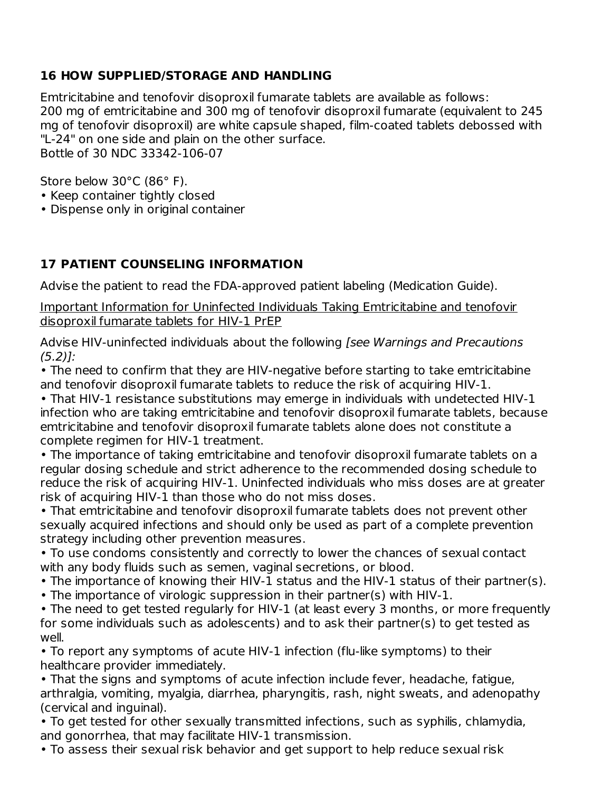## **16 HOW SUPPLIED/STORAGE AND HANDLING**

Emtricitabine and tenofovir disoproxil fumarate tablets are available as follows: 200 mg of emtricitabine and 300 mg of tenofovir disoproxil fumarate (equivalent to 245 mg of tenofovir disoproxil) are white capsule shaped, film-coated tablets debossed with "L-24" on one side and plain on the other surface. Bottle of 30 NDC 33342-106-07

Store below 30°C (86° F).

- Keep container tightly closed
- Dispense only in original container

## **17 PATIENT COUNSELING INFORMATION**

Advise the patient to read the FDA-approved patient labeling (Medication Guide).

Important Information for Uninfected Individuals Taking Emtricitabine and tenofovir disoproxil fumarate tablets for HIV-1 PrEP

Advise HIV-uninfected individuals about the following [see Warnings and Precautions  $(5.2)$ ]:

• The need to confirm that they are HIV-negative before starting to take emtricitabine and tenofovir disoproxil fumarate tablets to reduce the risk of acquiring HIV-1.

• That HIV-1 resistance substitutions may emerge in individuals with undetected HIV-1 infection who are taking emtricitabine and tenofovir disoproxil fumarate tablets, because emtricitabine and tenofovir disoproxil fumarate tablets alone does not constitute a complete regimen for HIV-1 treatment.

• The importance of taking emtricitabine and tenofovir disoproxil fumarate tablets on a regular dosing schedule and strict adherence to the recommended dosing schedule to reduce the risk of acquiring HIV-1. Uninfected individuals who miss doses are at greater risk of acquiring HIV-1 than those who do not miss doses.

• That emtricitabine and tenofovir disoproxil fumarate tablets does not prevent other sexually acquired infections and should only be used as part of a complete prevention strategy including other prevention measures.

• To use condoms consistently and correctly to lower the chances of sexual contact with any body fluids such as semen, vaginal secretions, or blood.

- The importance of knowing their HIV-1 status and the HIV-1 status of their partner(s).
- The importance of virologic suppression in their partner(s) with HIV-1.

• The need to get tested regularly for HIV-1 (at least every 3 months, or more frequently for some individuals such as adolescents) and to ask their partner(s) to get tested as well.

• To report any symptoms of acute HIV-1 infection (flu-like symptoms) to their healthcare provider immediately.

• That the signs and symptoms of acute infection include fever, headache, fatigue, arthralgia, vomiting, myalgia, diarrhea, pharyngitis, rash, night sweats, and adenopathy (cervical and inguinal).

• To get tested for other sexually transmitted infections, such as syphilis, chlamydia, and gonorrhea, that may facilitate HIV-1 transmission.

• To assess their sexual risk behavior and get support to help reduce sexual risk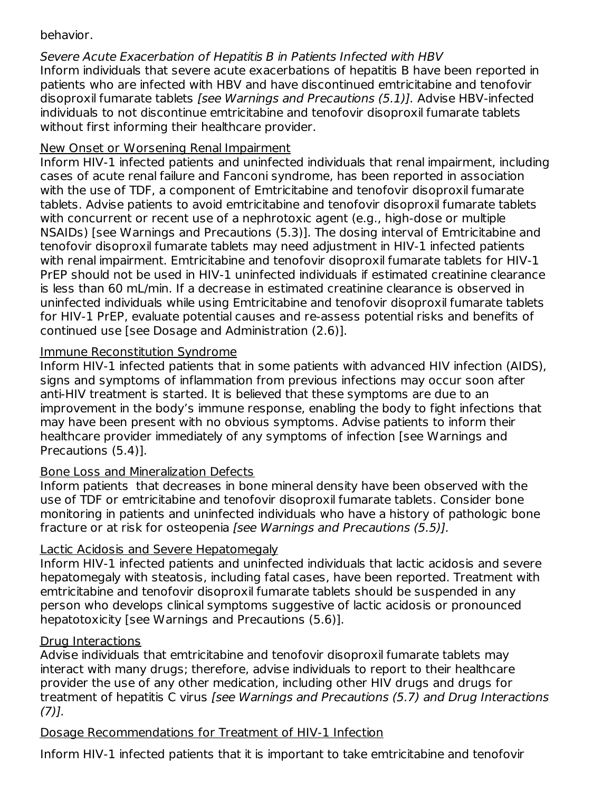## behavior.

Severe Acute Exacerbation of Hepatitis B in Patients Infected with HBV Inform individuals that severe acute exacerbations of hepatitis B have been reported in patients who are infected with HBV and have discontinued emtricitabine and tenofovir disoproxil fumarate tablets [see Warnings and Precautions (5.1)]. Advise HBV-infected individuals to not discontinue emtricitabine and tenofovir disoproxil fumarate tablets without first informing their healthcare provider.

## New Onset or Worsening Renal Impairment

Inform HIV-1 infected patients and uninfected individuals that renal impairment, including cases of acute renal failure and Fanconi syndrome, has been reported in association with the use of TDF, a component of Emtricitabine and tenofovir disoproxil fumarate tablets. Advise patients to avoid emtricitabine and tenofovir disoproxil fumarate tablets with concurrent or recent use of a nephrotoxic agent (e.g., high-dose or multiple NSAIDs) [see Warnings and Precautions (5.3)]. The dosing interval of Emtricitabine and tenofovir disoproxil fumarate tablets may need adjustment in HIV-1 infected patients with renal impairment. Emtricitabine and tenofovir disoproxil fumarate tablets for HIV-1 PrEP should not be used in HIV-1 uninfected individuals if estimated creatinine clearance is less than 60 mL/min. If a decrease in estimated creatinine clearance is observed in uninfected individuals while using Emtricitabine and tenofovir disoproxil fumarate tablets for HIV-1 PrEP, evaluate potential causes and re-assess potential risks and benefits of continued use [see Dosage and Administration (2.6)].

## Immune Reconstitution Syndrome

Inform HIV-1 infected patients that in some patients with advanced HIV infection (AIDS), signs and symptoms of inflammation from previous infections may occur soon after anti-HIV treatment is started. It is believed that these symptoms are due to an improvement in the body's immune response, enabling the body to fight infections that may have been present with no obvious symptoms. Advise patients to inform their healthcare provider immediately of any symptoms of infection [see Warnings and Precautions (5.4)].

## Bone Loss and Mineralization Defects

Inform patients that decreases in bone mineral density have been observed with the use of TDF or emtricitabine and tenofovir disoproxil fumarate tablets. Consider bone monitoring in patients and uninfected individuals who have a history of pathologic bone fracture or at risk for osteopenia [see Warnings and Precautions (5.5)].

## Lactic Acidosis and Severe Hepatomegaly

Inform HIV-1 infected patients and uninfected individuals that lactic acidosis and severe hepatomegaly with steatosis, including fatal cases, have been reported. Treatment with emtricitabine and tenofovir disoproxil fumarate tablets should be suspended in any person who develops clinical symptoms suggestive of lactic acidosis or pronounced hepatotoxicity [see Warnings and Precautions (5.6)].

### Drug Interactions

Advise individuals that emtricitabine and tenofovir disoproxil fumarate tablets may interact with many drugs; therefore, advise individuals to report to their healthcare provider the use of any other medication, including other HIV drugs and drugs for treatment of hepatitis C virus [see Warnings and Precautions (5.7) and Drug Interactions  $(7)$ ].

## Dosage Recommendations for Treatment of HIV-1 Infection

Inform HIV-1 infected patients that it is important to take emtricitabine and tenofovir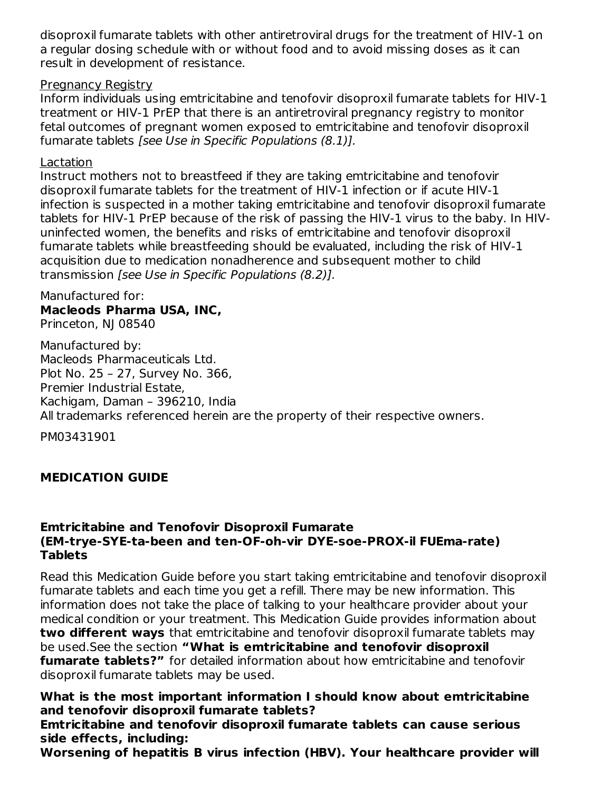disoproxil fumarate tablets with other antiretroviral drugs for the treatment of HIV-1 on a regular dosing schedule with or without food and to avoid missing doses as it can result in development of resistance.

#### Pregnancy Registry

Inform individuals using emtricitabine and tenofovir disoproxil fumarate tablets for HIV-1 treatment or HIV-1 PrEP that there is an antiretroviral pregnancy registry to monitor fetal outcomes of pregnant women exposed to emtricitabine and tenofovir disoproxil fumarate tablets [see Use in Specific Populations (8.1)].

#### Lactation

Instruct mothers not to breastfeed if they are taking emtricitabine and tenofovir disoproxil fumarate tablets for the treatment of HIV-1 infection or if acute HIV-1 infection is suspected in a mother taking emtricitabine and tenofovir disoproxil fumarate tablets for HIV-1 PrEP because of the risk of passing the HIV-1 virus to the baby. In HIVuninfected women, the benefits and risks of emtricitabine and tenofovir disoproxil fumarate tablets while breastfeeding should be evaluated, including the risk of HIV-1 acquisition due to medication nonadherence and subsequent mother to child transmission [see Use in Specific Populations (8.2)].

### Manufactured for: **Macleods Pharma USA, INC,**

Princeton, NJ 08540

Manufactured by: Macleods Pharmaceuticals Ltd. Plot No. 25 – 27, Survey No. 366, Premier Industrial Estate, Kachigam, Daman – 396210, India All trademarks referenced herein are the property of their respective owners.

PM03431901

## **MEDICATION GUIDE**

#### **Emtricitabine and Tenofovir Disoproxil Fumarate (EM-trye-SYE-ta-been and ten-OF-oh-vir DYE-soe-PROX-il FUEma-rate) Tablets**

Read this Medication Guide before you start taking emtricitabine and tenofovir disoproxil fumarate tablets and each time you get a refill. There may be new information. This information does not take the place of talking to your healthcare provider about your medical condition or your treatment. This Medication Guide provides information about **two different ways** that emtricitabine and tenofovir disoproxil fumarate tablets may be used.See the section **"What is emtricitabine and tenofovir disoproxil fumarate tablets?"** for detailed information about how emtricitabine and tenofovir disoproxil fumarate tablets may be used.

**What is the most important information I should know about emtricitabine and tenofovir disoproxil fumarate tablets?**

**Emtricitabine and tenofovir disoproxil fumarate tablets can cause serious side effects, including:**

**Worsening of hepatitis B virus infection (HBV). Your healthcare provider will**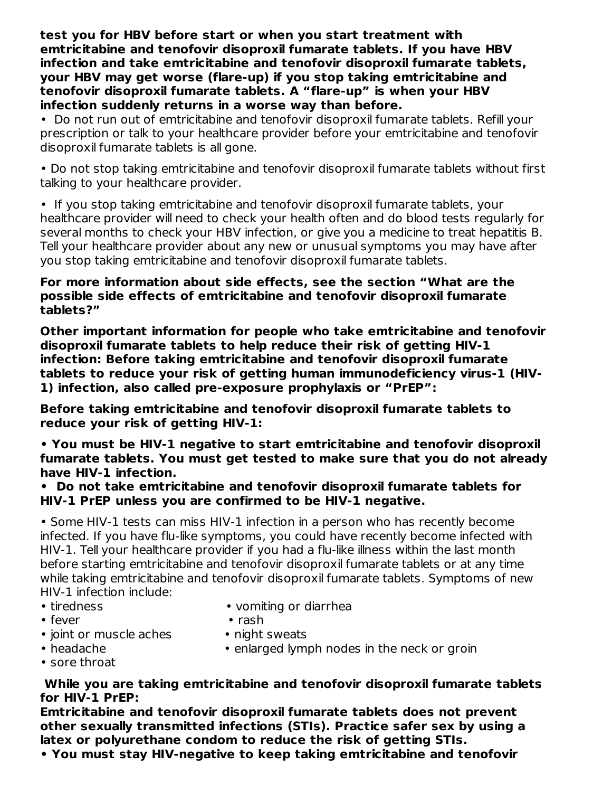**test you for HBV before start or when you start treatment with emtricitabine and tenofovir disoproxil fumarate tablets. If you have HBV infection and take emtricitabine and tenofovir disoproxil fumarate tablets, your HBV may get worse (flare-up) if you stop taking emtricitabine and tenofovir disoproxil fumarate tablets. A "flare-up" is when your HBV infection suddenly returns in a worse way than before.**

• Do not run out of emtricitabine and tenofovir disoproxil fumarate tablets. Refill your prescription or talk to your healthcare provider before your emtricitabine and tenofovir disoproxil fumarate tablets is all gone.

• Do not stop taking emtricitabine and tenofovir disoproxil fumarate tablets without first talking to your healthcare provider.

• If you stop taking emtricitabine and tenofovir disoproxil fumarate tablets, your healthcare provider will need to check your health often and do blood tests regularly for several months to check your HBV infection, or give you a medicine to treat hepatitis B. Tell your healthcare provider about any new or unusual symptoms you may have after you stop taking emtricitabine and tenofovir disoproxil fumarate tablets.

#### **For more information about side effects, see the section "What are the possible side effects of emtricitabine and tenofovir disoproxil fumarate tablets?"**

**Other important information for people who take emtricitabine and tenofovir disoproxil fumarate tablets to help reduce their risk of getting HIV-1 infection: Before taking emtricitabine and tenofovir disoproxil fumarate tablets to reduce your risk of getting human immunodeficiency virus-1 (HIV-1) infection, also called pre-exposure prophylaxis or "PrEP":**

**Before taking emtricitabine and tenofovir disoproxil fumarate tablets to reduce your risk of getting HIV-1:**

**• You must be HIV-1 negative to start emtricitabine and tenofovir disoproxil fumarate tablets. You must get tested to make sure that you do not already have HIV-1 infection.**

**• Do not take emtricitabine and tenofovir disoproxil fumarate tablets for HIV-1 PrEP unless you are confirmed to be HIV-1 negative.**

• Some HIV-1 tests can miss HIV-1 infection in a person who has recently become infected. If you have flu-like symptoms, you could have recently become infected with HIV-1. Tell your healthcare provider if you had a flu-like illness within the last month before starting emtricitabine and tenofovir disoproxil fumarate tablets or at any time while taking emtricitabine and tenofovir disoproxil fumarate tablets. Symptoms of new HIV-1 infection include:

- 
- fever rash
	-
- 
- tiredness vomiting or diarrhea
	-
- joint or muscle aches night sweats
- 
- headache enlarged lymph nodes in the neck or groin
- sore throat

#### **While you are taking emtricitabine and tenofovir disoproxil fumarate tablets for HIV-1 PrEP:**

**Emtricitabine and tenofovir disoproxil fumarate tablets does not prevent other sexually transmitted infections (STIs). Practice safer sex by using a latex or polyurethane condom to reduce the risk of getting STIs.**

**• You must stay HIV-negative to keep taking emtricitabine and tenofovir**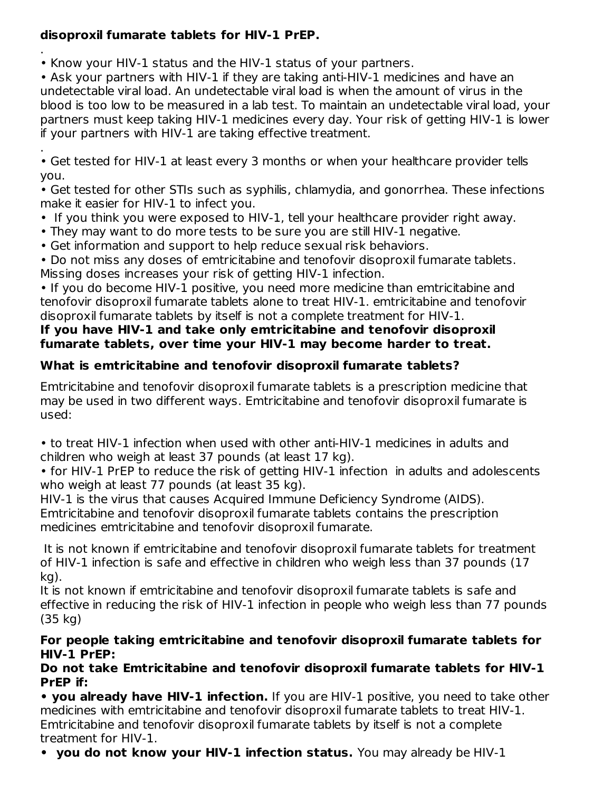## **disoproxil fumarate tablets for HIV-1 PrEP.**

. • Know your HIV-1 status and the HIV-1 status of your partners.

• Ask your partners with HIV-1 if they are taking anti-HIV-1 medicines and have an undetectable viral load. An undetectable viral load is when the amount of virus in the blood is too low to be measured in a lab test. To maintain an undetectable viral load, your partners must keep taking HIV-1 medicines every day. Your risk of getting HIV-1 is lower if your partners with HIV-1 are taking effective treatment.

. • Get tested for HIV-1 at least every 3 months or when your healthcare provider tells you.

• Get tested for other STIs such as syphilis, chlamydia, and gonorrhea. These infections make it easier for HIV-1 to infect you.

- If you think you were exposed to HIV-1, tell your healthcare provider right away.
- They may want to do more tests to be sure you are still HIV-1 negative.
- Get information and support to help reduce sexual risk behaviors.

• Do not miss any doses of emtricitabine and tenofovir disoproxil fumarate tablets. Missing doses increases your risk of getting HIV-1 infection.

• If you do become HIV-1 positive, you need more medicine than emtricitabine and tenofovir disoproxil fumarate tablets alone to treat HIV-1. emtricitabine and tenofovir disoproxil fumarate tablets by itself is not a complete treatment for HIV-1.

### **If you have HIV-1 and take only emtricitabine and tenofovir disoproxil fumarate tablets, over time your HIV-1 may become harder to treat.**

## **What is emtricitabine and tenofovir disoproxil fumarate tablets?**

Emtricitabine and tenofovir disoproxil fumarate tablets is a prescription medicine that may be used in two different ways. Emtricitabine and tenofovir disoproxil fumarate is used:

• to treat HIV-1 infection when used with other anti-HIV-1 medicines in adults and children who weigh at least 37 pounds (at least 17 kg).

• for HIV-1 PrEP to reduce the risk of getting HIV-1 infection in adults and adolescents who weigh at least 77 pounds (at least 35 kg).

HIV-1 is the virus that causes Acquired Immune Deficiency Syndrome (AIDS). Emtricitabine and tenofovir disoproxil fumarate tablets contains the prescription medicines emtricitabine and tenofovir disoproxil fumarate.

It is not known if emtricitabine and tenofovir disoproxil fumarate tablets for treatment of HIV-1 infection is safe and effective in children who weigh less than 37 pounds (17 kg).

It is not known if emtricitabine and tenofovir disoproxil fumarate tablets is safe and effective in reducing the risk of HIV-1 infection in people who weigh less than 77 pounds (35 kg)

### **For people taking emtricitabine and tenofovir disoproxil fumarate tablets for HIV-1 PrEP:**

### **Do not take Emtricitabine and tenofovir disoproxil fumarate tablets for HIV-1 PrEP if:**

**• you already have HIV-1 infection.** If you are HIV-1 positive, you need to take other medicines with emtricitabine and tenofovir disoproxil fumarate tablets to treat HIV-1. Emtricitabine and tenofovir disoproxil fumarate tablets by itself is not a complete treatment for HIV-1.

**• you do not know your HIV-1 infection status.** You may already be HIV-1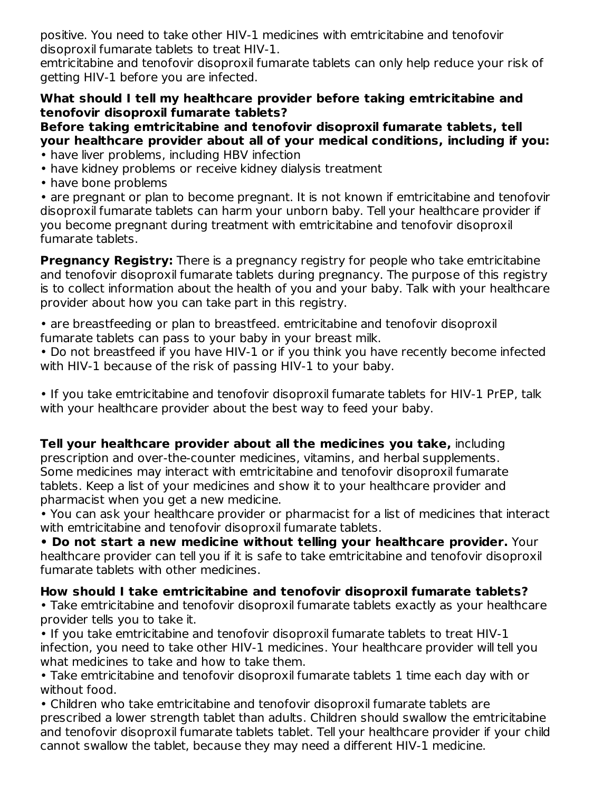positive. You need to take other HIV-1 medicines with emtricitabine and tenofovir disoproxil fumarate tablets to treat HIV-1.

emtricitabine and tenofovir disoproxil fumarate tablets can only help reduce your risk of getting HIV-1 before you are infected.

### **What should I tell my healthcare provider before taking emtricitabine and tenofovir disoproxil fumarate tablets?**

### **Before taking emtricitabine and tenofovir disoproxil fumarate tablets, tell your healthcare provider about all of your medical conditions, including if you:**

- have liver problems, including HBV infection
- have kidney problems or receive kidney dialysis treatment
- have bone problems

• are pregnant or plan to become pregnant. It is not known if emtricitabine and tenofovir disoproxil fumarate tablets can harm your unborn baby. Tell your healthcare provider if you become pregnant during treatment with emtricitabine and tenofovir disoproxil fumarate tablets.

**Pregnancy Registry:** There is a pregnancy registry for people who take emtricitabine and tenofovir disoproxil fumarate tablets during pregnancy. The purpose of this registry is to collect information about the health of you and your baby. Talk with your healthcare provider about how you can take part in this registry.

• are breastfeeding or plan to breastfeed. emtricitabine and tenofovir disoproxil fumarate tablets can pass to your baby in your breast milk.

• Do not breastfeed if you have HIV-1 or if you think you have recently become infected with HIV-1 because of the risk of passing HIV-1 to your baby.

• If you take emtricitabine and tenofovir disoproxil fumarate tablets for HIV-1 PrEP, talk with your healthcare provider about the best way to feed your baby.

**Tell your healthcare provider about all the medicines you take,** including prescription and over-the-counter medicines, vitamins, and herbal supplements. Some medicines may interact with emtricitabine and tenofovir disoproxil fumarate tablets. Keep a list of your medicines and show it to your healthcare provider and pharmacist when you get a new medicine.

• You can ask your healthcare provider or pharmacist for a list of medicines that interact with emtricitabine and tenofovir disoproxil fumarate tablets.

**• Do not start a new medicine without telling your healthcare provider.** Your healthcare provider can tell you if it is safe to take emtricitabine and tenofovir disoproxil fumarate tablets with other medicines.

### **How should I take emtricitabine and tenofovir disoproxil fumarate tablets?**

• Take emtricitabine and tenofovir disoproxil fumarate tablets exactly as your healthcare provider tells you to take it.

• If you take emtricitabine and tenofovir disoproxil fumarate tablets to treat HIV-1 infection, you need to take other HIV-1 medicines. Your healthcare provider will tell you what medicines to take and how to take them.

• Take emtricitabine and tenofovir disoproxil fumarate tablets 1 time each day with or without food.

• Children who take emtricitabine and tenofovir disoproxil fumarate tablets are prescribed a lower strength tablet than adults. Children should swallow the emtricitabine and tenofovir disoproxil fumarate tablets tablet. Tell your healthcare provider if your child cannot swallow the tablet, because they may need a different HIV-1 medicine.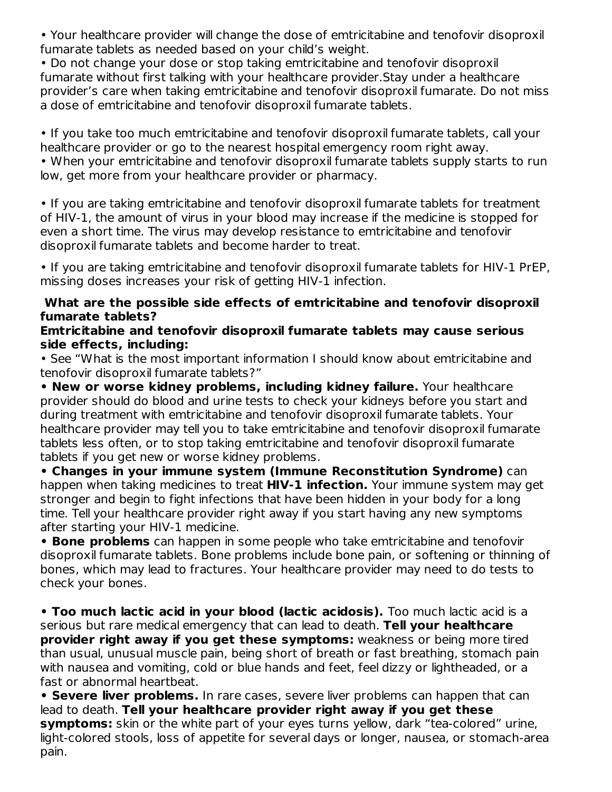• Your healthcare provider will change the dose of emtricitabine and tenofovir disoproxil fumarate tablets as needed based on your child's weight.

• Do not change your dose or stop taking emtricitabine and tenofovir disoproxil fumarate without first talking with your healthcare provider.Stay under a healthcare provider's care when taking emtricitabine and tenofovir disoproxil fumarate. Do not miss a dose of emtricitabine and tenofovir disoproxil fumarate tablets.

• If you take too much emtricitabine and tenofovir disoproxil fumarate tablets, call your healthcare provider or go to the nearest hospital emergency room right away. • When your emtricitabine and tenofovir disoproxil fumarate tablets supply starts to run low, get more from your healthcare provider or pharmacy.

• If you are taking emtricitabine and tenofovir disoproxil fumarate tablets for treatment of HIV-1, the amount of virus in your blood may increase if the medicine is stopped for even a short time. The virus may develop resistance to emtricitabine and tenofovir disoproxil fumarate tablets and become harder to treat.

• If you are taking emtricitabine and tenofovir disoproxil fumarate tablets for HIV-1 PrEP, missing doses increases your risk of getting HIV-1 infection.

#### **What are the possible side effects of emtricitabine and tenofovir disoproxil fumarate tablets?**

#### **Emtricitabine and tenofovir disoproxil fumarate tablets may cause serious side effects, including:**

• See "What is the most important information I should know about emtricitabine and tenofovir disoproxil fumarate tablets?"

**• New or worse kidney problems, including kidney failure.** Your healthcare provider should do blood and urine tests to check your kidneys before you start and during treatment with emtricitabine and tenofovir disoproxil fumarate tablets. Your healthcare provider may tell you to take emtricitabine and tenofovir disoproxil fumarate tablets less often, or to stop taking emtricitabine and tenofovir disoproxil fumarate tablets if you get new or worse kidney problems.

**• Changes in your immune system (Immune Reconstitution Syndrome)** can happen when taking medicines to treat **HIV-1 infection.** Your immune system may get stronger and begin to fight infections that have been hidden in your body for a long time. Tell your healthcare provider right away if you start having any new symptoms after starting your HIV-1 medicine.

**• Bone problems** can happen in some people who take emtricitabine and tenofovir disoproxil fumarate tablets. Bone problems include bone pain, or softening or thinning of bones, which may lead to fractures. Your healthcare provider may need to do tests to check your bones.

**• Too much lactic acid in your blood (lactic acidosis).** Too much lactic acid is a serious but rare medical emergency that can lead to death. **Tell your healthcare provider right away if you get these symptoms:** weakness or being more tired than usual, unusual muscle pain, being short of breath or fast breathing, stomach pain with nausea and vomiting, cold or blue hands and feet, feel dizzy or lightheaded, or a fast or abnormal heartbeat.

**• Severe liver problems.** In rare cases, severe liver problems can happen that can lead to death. **Tell your healthcare provider right away if you get these symptoms:** skin or the white part of your eyes turns yellow, dark "tea-colored" urine, light-colored stools, loss of appetite for several days or longer, nausea, or stomach-area pain.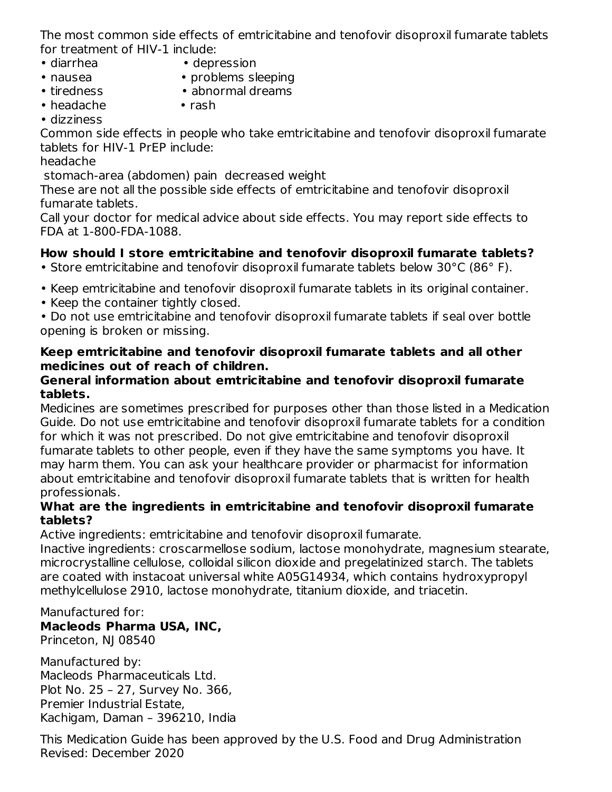The most common side effects of emtricitabine and tenofovir disoproxil fumarate tablets for treatment of HIV-1 include:

- diarrhea depression
- nausea problems sleeping
	-
- 
- tiredness abnormal dreams
- headache rash
- dizziness

Common side effects in people who take emtricitabine and tenofovir disoproxil fumarate tablets for HIV-1 PrEP include:

headache

stomach-area (abdomen) pain decreased weight

These are not all the possible side effects of emtricitabine and tenofovir disoproxil fumarate tablets.

Call your doctor for medical advice about side effects. You may report side effects to FDA at 1-800-FDA-1088.

## **How should I store emtricitabine and tenofovir disoproxil fumarate tablets?**

• Store emtricitabine and tenofovir disoproxil fumarate tablets below 30°C (86° F).

- Keep emtricitabine and tenofovir disoproxil fumarate tablets in its original container.
- Keep the container tightly closed.

• Do not use emtricitabine and tenofovir disoproxil fumarate tablets if seal over bottle opening is broken or missing.

#### **Keep emtricitabine and tenofovir disoproxil fumarate tablets and all other medicines out of reach of children.**

#### **General information about emtricitabine and tenofovir disoproxil fumarate tablets.**

Medicines are sometimes prescribed for purposes other than those listed in a Medication Guide. Do not use emtricitabine and tenofovir disoproxil fumarate tablets for a condition for which it was not prescribed. Do not give emtricitabine and tenofovir disoproxil fumarate tablets to other people, even if they have the same symptoms you have. It may harm them. You can ask your healthcare provider or pharmacist for information about emtricitabine and tenofovir disoproxil fumarate tablets that is written for health professionals.

### **What are the ingredients in emtricitabine and tenofovir disoproxil fumarate tablets?**

Active ingredients: emtricitabine and tenofovir disoproxil fumarate.

Inactive ingredients: croscarmellose sodium, lactose monohydrate, magnesium stearate, microcrystalline cellulose, colloidal silicon dioxide and pregelatinized starch. The tablets are coated with instacoat universal white A05G14934, which contains hydroxypropyl methylcellulose 2910, lactose monohydrate, titanium dioxide, and triacetin.

## Manufactured for:

#### **Macleods Pharma USA, INC,** Princeton, NJ 08540

Manufactured by:

Macleods Pharmaceuticals Ltd. Plot No. 25 – 27, Survey No. 366, Premier Industrial Estate, Kachigam, Daman – 396210, India

This Medication Guide has been approved by the U.S. Food and Drug Administration Revised: December 2020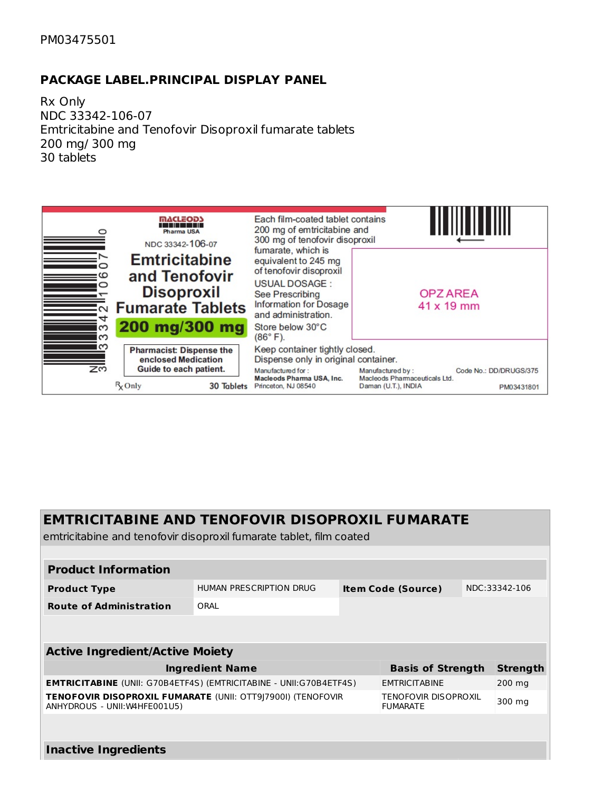#### PM03475501

#### **PACKAGE LABEL.PRINCIPAL DISPLAY PANEL**

Rx Only NDC 33342-106-07 Emtricitabine and Tenofovir Disoproxil fumarate tablets 200 mg/ 300 mg 30 tablets



## **EMTRICITABINE AND TENOFOVIR DISOPROXIL FUMARATE**

emtricitabine and tenofovir disoproxil fumarate tablet, film coated

| <b>Product Information</b>                                                                                                                     |      |  |                           |  |                 |  |
|------------------------------------------------------------------------------------------------------------------------------------------------|------|--|---------------------------|--|-----------------|--|
| HUMAN PRESCRIPTION DRUG<br><b>Product Type</b>                                                                                                 |      |  | <b>Item Code (Source)</b> |  | NDC:33342-106   |  |
| <b>Route of Administration</b>                                                                                                                 | ORAL |  |                           |  |                 |  |
|                                                                                                                                                |      |  |                           |  |                 |  |
| <b>Active Ingredient/Active Moiety</b>                                                                                                         |      |  |                           |  |                 |  |
| <b>Ingredient Name</b>                                                                                                                         |      |  | <b>Basis of Strength</b>  |  | <b>Strength</b> |  |
| <b>EMTRICITABINE</b> (UNII: G70B4ETF4S) (EMTRICITABINE - UNII:G70B4ETF4S)                                                                      |      |  | <b>EMTRICITABINE</b>      |  | $200$ mg        |  |
| <b>TENOFOVIR DISOPROXIL FUMARATE (UNII: OTT9 7900I) (TENOFOVIR</b><br>TENOFOVIR DISOPROXIL<br>ANHYDROUS - UNII: W4HFE001U5)<br><b>FUMARATE</b> |      |  | 300 mg                    |  |                 |  |
|                                                                                                                                                |      |  |                           |  |                 |  |
| <b>Inactive Ingredients</b>                                                                                                                    |      |  |                           |  |                 |  |